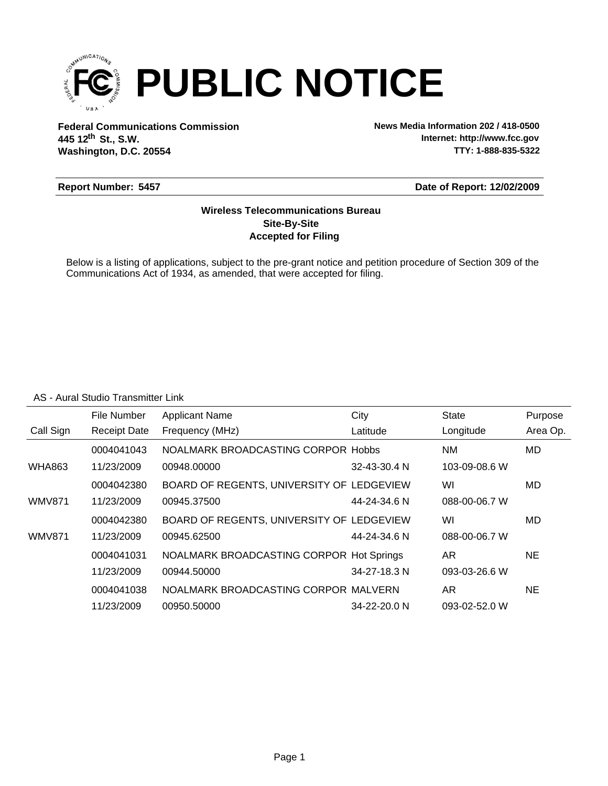

**Federal Communications Commission News Media Information 202 / 418-0500 Washington, D.C. 20554 th 445 12 St., S.W.**

**Internet: http://www.fcc.gov TTY: 1-888-835-5322**

#### **Report Number: 5457**

#### **Date of Report: 12/02/2009**

## **Accepted for Filing Site-By-Site Wireless Telecommunications Bureau**

Below is a listing of applications, subject to the pre-grant notice and petition procedure of Section 309 of the Communications Act of 1934, as amended, that were accepted for filing.

#### AS - Aural Studio Transmitter Link

|               | File Number         | <b>Applicant Name</b>                     | City         | <b>State</b>  | Purpose   |
|---------------|---------------------|-------------------------------------------|--------------|---------------|-----------|
| Call Sign     | <b>Receipt Date</b> | Frequency (MHz)                           | Latitude     | Longitude     | Area Op.  |
|               | 0004041043          | NOALMARK BROADCASTING CORPOR Hobbs        |              | NM.           | MD.       |
| <b>WHA863</b> | 11/23/2009          | 00948.00000                               | 32-43-30.4 N | 103-09-08.6 W |           |
|               | 0004042380          | BOARD OF REGENTS, UNIVERSITY OF LEDGEVIEW |              | WI            | MD        |
| <b>WMV871</b> | 11/23/2009          | 00945.37500                               | 44-24-34.6 N | 088-00-06.7 W |           |
|               | 0004042380          | BOARD OF REGENTS, UNIVERSITY OF LEDGEVIEW |              | WI            | MD        |
| <b>WMV871</b> | 11/23/2009          | 00945.62500                               | 44-24-34.6 N | 088-00-06.7 W |           |
|               | 0004041031          | NOALMARK BROADCASTING CORPOR Hot Springs  |              | AR.           | <b>NE</b> |
|               | 11/23/2009          | 00944.50000                               | 34-27-18.3 N | 093-03-26.6 W |           |
|               | 0004041038          | NOALMARK BROADCASTING CORPOR MALVERN      |              | AR.           | <b>NE</b> |
|               | 11/23/2009          | 00950.50000                               | 34-22-20.0 N | 093-02-52.0 W |           |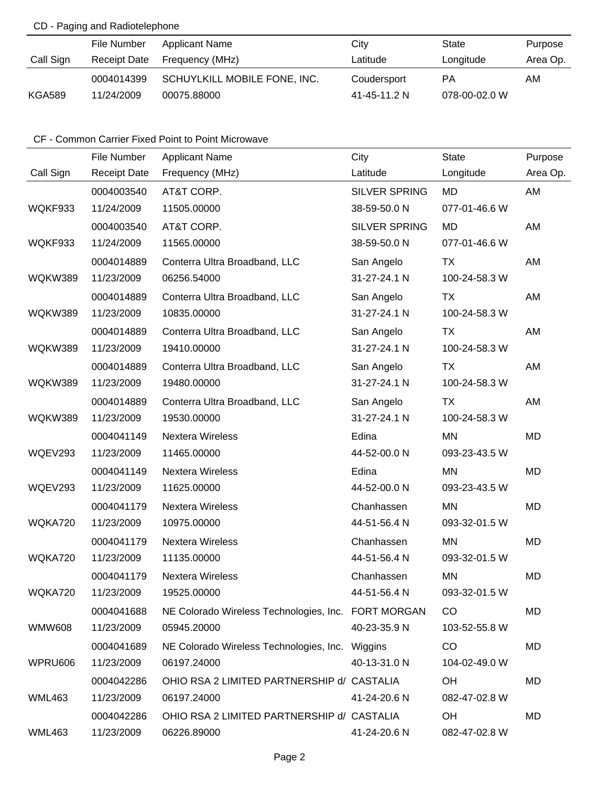# CD - Paging and Radiotelephone

|               | File Number  | Applicant Name               | Citv         | State         | Purpose  |
|---------------|--------------|------------------------------|--------------|---------------|----------|
| Call Sign     | Receipt Date | Frequency (MHz)              | Latitude     | Longitude     | Area Op. |
|               | 0004014399   | SCHUYLKILL MOBILE FONE, INC. | Coudersport  | PA            | AM.      |
| <b>KGA589</b> | 11/24/2009   | 00075.88000                  | 41-45-11.2 N | 078-00-02.0 W |          |

# CF - Common Carrier Fixed Point to Point Microwave

|               | File Number         | <b>Applicant Name</b>                               | City                 | <b>State</b>  | Purpose   |
|---------------|---------------------|-----------------------------------------------------|----------------------|---------------|-----------|
| Call Sign     | <b>Receipt Date</b> | Frequency (MHz)                                     | Latitude             | Longitude     | Area Op.  |
|               | 0004003540          | AT&T CORP.                                          | <b>SILVER SPRING</b> | <b>MD</b>     | AM        |
| WQKF933       | 11/24/2009          | 11505.00000                                         | 38-59-50.0 N         | 077-01-46.6 W |           |
|               | 0004003540          | AT&T CORP.                                          | <b>SILVER SPRING</b> | <b>MD</b>     | AM        |
| WQKF933       | 11/24/2009          | 11565.00000                                         | 38-59-50.0 N         | 077-01-46.6 W |           |
|               | 0004014889          | Conterra Ultra Broadband, LLC                       | San Angelo           | TX            | AM        |
| WQKW389       | 11/23/2009          | 06256.54000                                         | 31-27-24.1 N         | 100-24-58.3 W |           |
|               | 0004014889          | Conterra Ultra Broadband, LLC                       | San Angelo           | TX            | AM        |
| WQKW389       | 11/23/2009          | 10835.00000                                         | 31-27-24.1 N         | 100-24-58.3 W |           |
|               | 0004014889          | Conterra Ultra Broadband, LLC                       | San Angelo           | TX            | AM        |
| WQKW389       | 11/23/2009          | 19410.00000                                         | 31-27-24.1 N         | 100-24-58.3 W |           |
|               | 0004014889          | Conterra Ultra Broadband, LLC                       | San Angelo           | TX            | AM        |
| WQKW389       | 11/23/2009          | 19480.00000                                         | 31-27-24.1 N         | 100-24-58.3 W |           |
|               | 0004014889          | Conterra Ultra Broadband, LLC                       | San Angelo           | <b>TX</b>     | AM        |
| WQKW389       | 11/23/2009          | 19530.00000                                         | 31-27-24.1 N         | 100-24-58.3 W |           |
|               | 0004041149          | <b>Nextera Wireless</b>                             | Edina                | <b>MN</b>     | MD        |
| WQEV293       | 11/23/2009          | 11465.00000                                         | 44-52-00.0 N         | 093-23-43.5 W |           |
|               | 0004041149          | Nextera Wireless                                    | Edina                | ΜN            | MD        |
| WQEV293       | 11/23/2009          | 11625.00000                                         | 44-52-00.0 N         | 093-23-43.5 W |           |
|               | 0004041179          | <b>Nextera Wireless</b>                             | Chanhassen           | <b>MN</b>     | MD        |
| WQKA720       | 11/23/2009          | 10975.00000                                         | 44-51-56.4 N         | 093-32-01.5 W |           |
|               | 0004041179          | <b>Nextera Wireless</b>                             | Chanhassen           | <b>MN</b>     | <b>MD</b> |
| WQKA720       | 11/23/2009          | 11135.00000                                         | 44-51-56.4 N         | 093-32-01.5 W |           |
|               | 0004041179          | <b>Nextera Wireless</b>                             | Chanhassen           | <b>MN</b>     | <b>MD</b> |
| WQKA720       | 11/23/2009          | 19525.00000                                         | 44-51-56.4 N         | 093-32-01.5 W |           |
|               | 0004041688          | NE Colorado Wireless Technologies, Inc. FORT MORGAN |                      | CO            | MD        |
| <b>WMW608</b> | 11/23/2009          | 05945.20000                                         | 40-23-35.9 N         | 103-52-55.8 W |           |
|               | 0004041689          | NE Colorado Wireless Technologies, Inc.             | Wiggins              | CO            | MD        |
| WPRU606       | 11/23/2009          | 06197.24000                                         | 40-13-31.0 N         | 104-02-49.0 W |           |
|               | 0004042286          | OHIO RSA 2 LIMITED PARTNERSHIP d/ CASTALIA          |                      | OH            | MD        |
| <b>WML463</b> | 11/23/2009          | 06197.24000                                         | 41-24-20.6 N         | 082-47-02.8 W |           |
|               | 0004042286          | OHIO RSA 2 LIMITED PARTNERSHIP d/ CASTALIA          |                      | OH            | MD        |
| <b>WML463</b> | 11/23/2009          | 06226.89000                                         | 41-24-20.6 N         | 082-47-02.8 W |           |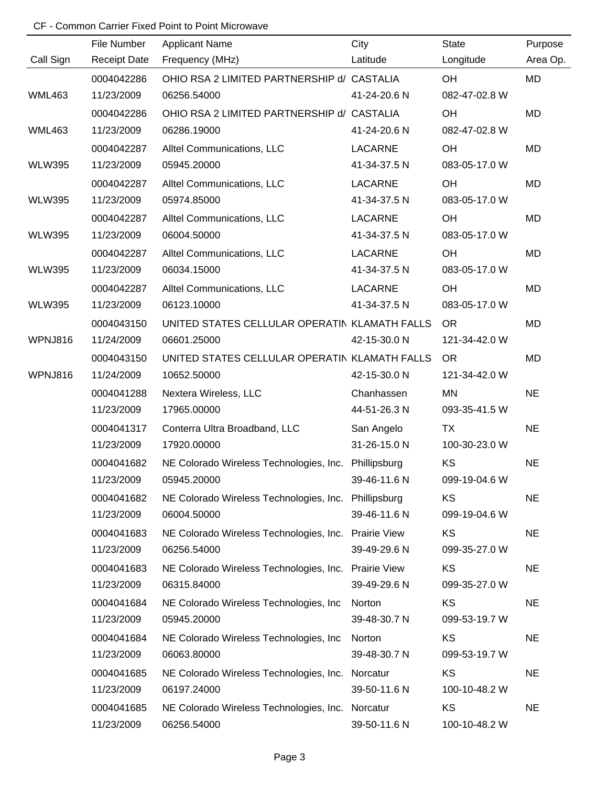# CF - Common Carrier Fixed Point to Point Microwave

|               | File Number         | <b>Applicant Name</b>                                | City                | <b>State</b>  | Purpose   |
|---------------|---------------------|------------------------------------------------------|---------------------|---------------|-----------|
| Call Sign     | <b>Receipt Date</b> | Frequency (MHz)                                      | Latitude            | Longitude     | Area Op.  |
|               | 0004042286          | OHIO RSA 2 LIMITED PARTNERSHIP d/ CASTALIA           |                     | OH            | MD        |
| <b>WML463</b> | 11/23/2009          | 06256.54000                                          | 41-24-20.6 N        | 082-47-02.8 W |           |
|               | 0004042286          | OHIO RSA 2 LIMITED PARTNERSHIP d/ CASTALIA           |                     | OH            | MD        |
| <b>WML463</b> | 11/23/2009          | 06286.19000                                          | 41-24-20.6 N        | 082-47-02.8 W |           |
|               | 0004042287          | Alltel Communications, LLC                           | <b>LACARNE</b>      | OH            | <b>MD</b> |
| <b>WLW395</b> | 11/23/2009          | 05945.20000                                          | 41-34-37.5 N        | 083-05-17.0 W |           |
|               | 0004042287          | Alltel Communications, LLC                           | <b>LACARNE</b>      | OH            | <b>MD</b> |
| <b>WLW395</b> | 11/23/2009          | 05974.85000                                          | 41-34-37.5 N        | 083-05-17.0 W |           |
|               | 0004042287          | Alltel Communications, LLC                           | <b>LACARNE</b>      | OH            | <b>MD</b> |
| <b>WLW395</b> | 11/23/2009          | 06004.50000                                          | 41-34-37.5 N        | 083-05-17.0 W |           |
|               | 0004042287          | Alltel Communications, LLC                           | <b>LACARNE</b>      | OH            | <b>MD</b> |
| <b>WLW395</b> | 11/23/2009          | 06034.15000                                          | 41-34-37.5 N        | 083-05-17.0 W |           |
|               | 0004042287          | Alltel Communications, LLC                           | <b>LACARNE</b>      | OH            | <b>MD</b> |
| <b>WLW395</b> | 11/23/2009          | 06123.10000                                          | 41-34-37.5 N        | 083-05-17.0 W |           |
|               | 0004043150          | UNITED STATES CELLULAR OPERATIN KLAMATH FALLS        |                     | <b>OR</b>     | <b>MD</b> |
| WPNJ816       | 11/24/2009          | 06601.25000                                          | 42-15-30.0 N        | 121-34-42.0 W |           |
|               | 0004043150          | UNITED STATES CELLULAR OPERATIN KLAMATH FALLS        |                     | <b>OR</b>     | <b>MD</b> |
| WPNJ816       | 11/24/2009          | 10652.50000                                          | 42-15-30.0 N        | 121-34-42.0 W |           |
|               | 0004041288          | Nextera Wireless, LLC                                | Chanhassen          | <b>MN</b>     | <b>NE</b> |
|               | 11/23/2009          | 17965.00000                                          | 44-51-26.3 N        | 093-35-41.5 W |           |
|               | 0004041317          | Conterra Ultra Broadband, LLC                        | San Angelo          | <b>TX</b>     | <b>NE</b> |
|               | 11/23/2009          | 17920.00000                                          | 31-26-15.0 N        | 100-30-23.0 W |           |
|               | 0004041682          | NE Colorado Wireless Technologies, Inc. Phillipsburg |                     | KS            | <b>NE</b> |
|               | 11/23/2009          | 05945.20000                                          | 39-46-11.6 N        | 099-19-04.6 W |           |
|               | 0004041682          | NE Colorado Wireless Technologies, Inc. Phillipsburg |                     | KS            | <b>NE</b> |
|               | 11/23/2009          | 06004.50000                                          | 39-46-11.6 N        | 099-19-04.6 W |           |
|               | 0004041683          | NE Colorado Wireless Technologies, Inc.              | <b>Prairie View</b> | KS            | <b>NE</b> |
|               | 11/23/2009          | 06256.54000                                          | 39-49-29.6 N        | 099-35-27.0 W |           |
|               | 0004041683          | NE Colorado Wireless Technologies, Inc.              | <b>Prairie View</b> | KS            | <b>NE</b> |
|               | 11/23/2009          | 06315.84000                                          | 39-49-29.6 N        | 099-35-27.0 W |           |
|               | 0004041684          | NE Colorado Wireless Technologies, Inc.              | Norton              | KS            | <b>NE</b> |
|               | 11/23/2009          | 05945.20000                                          | 39-48-30.7 N        | 099-53-19.7 W |           |
|               | 0004041684          | NE Colorado Wireless Technologies, Inc               | Norton              | KS            | <b>NE</b> |
|               | 11/23/2009          | 06063.80000                                          | 39-48-30.7 N        | 099-53-19.7 W |           |
|               | 0004041685          | NE Colorado Wireless Technologies, Inc.              | Norcatur            | KS            | <b>NE</b> |
|               | 11/23/2009          | 06197.24000                                          | 39-50-11.6 N        | 100-10-48.2 W |           |
|               | 0004041685          | NE Colorado Wireless Technologies, Inc. Norcatur     |                     | KS            | <b>NE</b> |
|               | 11/23/2009          | 06256.54000                                          | 39-50-11.6 N        | 100-10-48.2 W |           |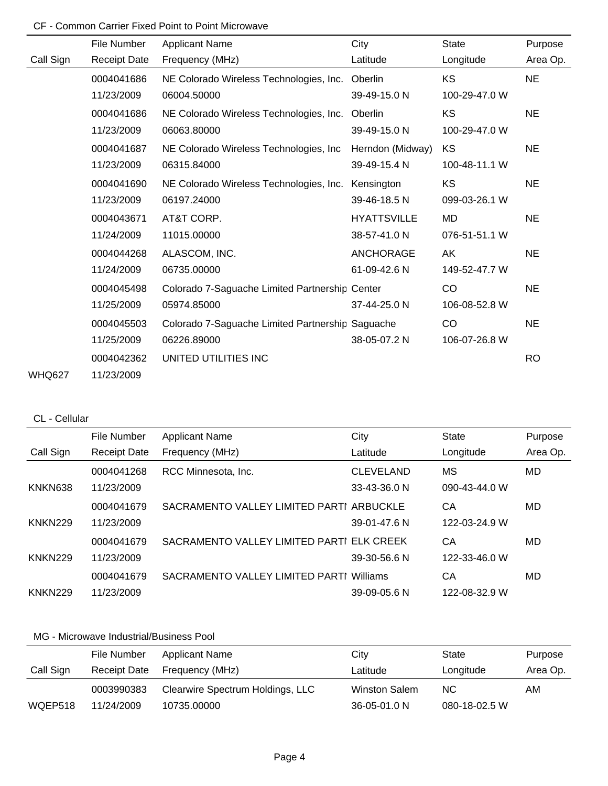# CF - Common Carrier Fixed Point to Point Microwave

|               | File Number         | <b>Applicant Name</b>                            | City               | <b>State</b>  | Purpose   |
|---------------|---------------------|--------------------------------------------------|--------------------|---------------|-----------|
| Call Sign     | <b>Receipt Date</b> | Frequency (MHz)                                  | Latitude           | Longitude     | Area Op.  |
|               | 0004041686          | NE Colorado Wireless Technologies, Inc.          | Oberlin            | KS            | <b>NE</b> |
|               | 11/23/2009          | 06004.50000                                      | 39-49-15.0 N       | 100-29-47.0 W |           |
|               | 0004041686          | NE Colorado Wireless Technologies, Inc.          | Oberlin            | <b>KS</b>     | <b>NE</b> |
|               | 11/23/2009          | 06063.80000                                      | 39-49-15.0 N       | 100-29-47.0 W |           |
|               | 0004041687          | NE Colorado Wireless Technologies, Inc.          | Herndon (Midway)   | KS            | <b>NE</b> |
|               | 11/23/2009          | 06315.84000                                      | 39-49-15.4 N       | 100-48-11.1 W |           |
|               | 0004041690          | NE Colorado Wireless Technologies, Inc.          | Kensington         | KS            | <b>NE</b> |
|               | 11/23/2009          | 06197.24000                                      | 39-46-18.5 N       | 099-03-26.1 W |           |
|               | 0004043671          | AT&T CORP.                                       | <b>HYATTSVILLE</b> | <b>MD</b>     | <b>NE</b> |
|               | 11/24/2009          | 11015.00000                                      | 38-57-41.0 N       | 076-51-51.1 W |           |
|               | 0004044268          | ALASCOM, INC.                                    | <b>ANCHORAGE</b>   | AK            | <b>NE</b> |
|               | 11/24/2009          | 06735.00000                                      | 61-09-42.6 N       | 149-52-47.7 W |           |
|               | 0004045498          | Colorado 7-Saguache Limited Partnership Center   |                    | CO            | <b>NE</b> |
|               | 11/25/2009          | 05974.85000                                      | 37-44-25.0 N       | 106-08-52.8 W |           |
|               | 0004045503          | Colorado 7-Saguache Limited Partnership Saguache |                    | CO            | <b>NE</b> |
|               | 11/25/2009          | 06226.89000                                      | 38-05-07.2 N       | 106-07-26.8 W |           |
|               | 0004042362          | UNITED UTILITIES INC                             |                    |               | <b>RO</b> |
| <b>WHQ627</b> | 11/23/2009          |                                                  |                    |               |           |

### CL - Cellular

|                | File Number         | <b>Applicant Name</b>                     | City             | <b>State</b>  | Purpose  |
|----------------|---------------------|-------------------------------------------|------------------|---------------|----------|
| Call Sign      | <b>Receipt Date</b> | Frequency (MHz)                           | Latitude         | Longitude     | Area Op. |
|                | 0004041268          | RCC Minnesota, Inc.                       | <b>CLEVELAND</b> | МS            | MD       |
| KNKN638        | 11/23/2009          |                                           | 33-43-36.0 N     | 090-43-44.0 W |          |
|                | 0004041679          | SACRAMENTO VALLEY LIMITED PARTI ARBUCKLE  |                  | CА            | MD       |
| <b>KNKN229</b> | 11/23/2009          |                                           | 39-01-47.6 N     | 122-03-24.9 W |          |
|                | 0004041679          | SACRAMENTO VALLEY LIMITED PARTI ELK CREEK |                  | СA            | MD       |
| <b>KNKN229</b> | 11/23/2009          |                                           | 39-30-56.6 N     | 122-33-46.0 W |          |
|                | 0004041679          | SACRAMENTO VALLEY LIMITED PARTI           | Williams         | CА            | MD       |
| <b>KNKN229</b> | 11/23/2009          |                                           | 39-09-05.6 N     | 122-08-32.9 W |          |

|           | File Number         | <b>Applicant Name</b>            | City                 | State         | Purpose  |
|-----------|---------------------|----------------------------------|----------------------|---------------|----------|
| Call Sign | <b>Receipt Date</b> | Frequency (MHz)                  | Latitude             | Longitude     | Area Op. |
|           | 0003990383          | Clearwire Spectrum Holdings, LLC | <b>Winston Salem</b> | NC.           | AM.      |
| WQEP518   | 11/24/2009          | 10735.00000                      | 36-05-01.0 N         | 080-18-02.5 W |          |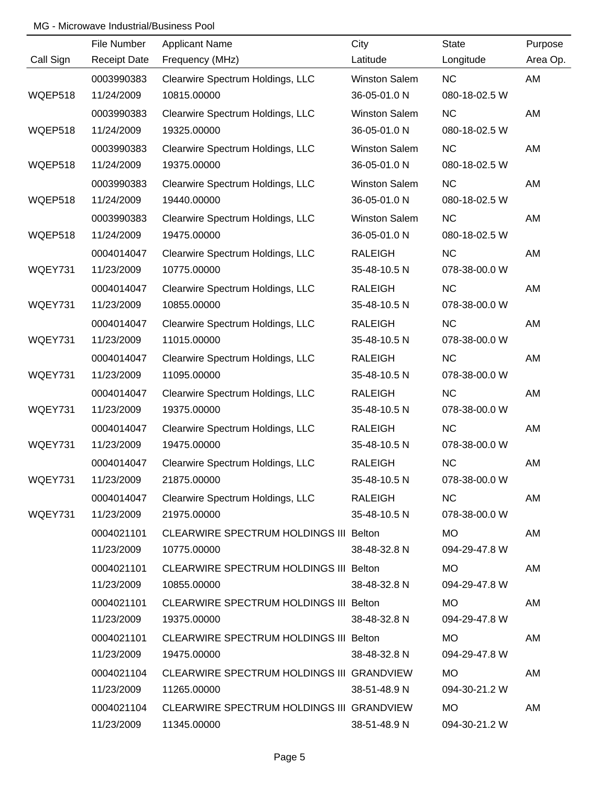|           | File Number         | <b>Applicant Name</b>                     | City                 | State         | Purpose  |
|-----------|---------------------|-------------------------------------------|----------------------|---------------|----------|
| Call Sign | <b>Receipt Date</b> | Frequency (MHz)                           | Latitude             | Longitude     | Area Op. |
|           | 0003990383          | Clearwire Spectrum Holdings, LLC          | <b>Winston Salem</b> | <b>NC</b>     | AM       |
| WQEP518   | 11/24/2009          | 10815.00000                               | 36-05-01.0 N         | 080-18-02.5 W |          |
|           | 0003990383          | Clearwire Spectrum Holdings, LLC          | <b>Winston Salem</b> | <b>NC</b>     | AM       |
| WQEP518   | 11/24/2009          | 19325.00000                               | 36-05-01.0 N         | 080-18-02.5 W |          |
|           | 0003990383          | Clearwire Spectrum Holdings, LLC          | <b>Winston Salem</b> | <b>NC</b>     | AM       |
| WQEP518   | 11/24/2009          | 19375.00000                               | 36-05-01.0 N         | 080-18-02.5 W |          |
|           | 0003990383          | Clearwire Spectrum Holdings, LLC          | <b>Winston Salem</b> | <b>NC</b>     | AM       |
| WQEP518   | 11/24/2009          | 19440.00000                               | 36-05-01.0 N         | 080-18-02.5 W |          |
|           | 0003990383          | Clearwire Spectrum Holdings, LLC          | <b>Winston Salem</b> | <b>NC</b>     | AM       |
| WQEP518   | 11/24/2009          | 19475.00000                               | 36-05-01.0 N         | 080-18-02.5 W |          |
|           | 0004014047          | Clearwire Spectrum Holdings, LLC          | <b>RALEIGH</b>       | <b>NC</b>     | AM       |
| WQEY731   | 11/23/2009          | 10775.00000                               | 35-48-10.5 N         | 078-38-00.0 W |          |
|           | 0004014047          | Clearwire Spectrum Holdings, LLC          | <b>RALEIGH</b>       | <b>NC</b>     | AM       |
| WQEY731   | 11/23/2009          | 10855.00000                               | 35-48-10.5 N         | 078-38-00.0 W |          |
|           | 0004014047          | Clearwire Spectrum Holdings, LLC          | <b>RALEIGH</b>       | <b>NC</b>     | AM       |
| WQEY731   | 11/23/2009          | 11015.00000                               | 35-48-10.5 N         | 078-38-00.0 W |          |
|           | 0004014047          | Clearwire Spectrum Holdings, LLC          | <b>RALEIGH</b>       | <b>NC</b>     | AM       |
| WQEY731   | 11/23/2009          | 11095.00000                               | 35-48-10.5 N         | 078-38-00.0 W |          |
|           | 0004014047          | Clearwire Spectrum Holdings, LLC          | <b>RALEIGH</b>       | <b>NC</b>     | AM       |
| WQEY731   | 11/23/2009          | 19375.00000                               | 35-48-10.5 N         | 078-38-00.0 W |          |
|           | 0004014047          | Clearwire Spectrum Holdings, LLC          | <b>RALEIGH</b>       | <b>NC</b>     | AM       |
| WQEY731   | 11/23/2009          | 19475.00000                               | 35-48-10.5 N         | 078-38-00.0 W |          |
|           | 0004014047          | Clearwire Spectrum Holdings, LLC          | <b>RALEIGH</b>       | <b>NC</b>     | AM       |
| WQEY731   | 11/23/2009          | 21875.00000                               | 35-48-10.5 N         | 078-38-00.0 W |          |
|           | 0004014047          | Clearwire Spectrum Holdings, LLC          | <b>RALEIGH</b>       | <b>NC</b>     | AM       |
| WQEY731   | 11/23/2009          | 21975.00000                               | 35-48-10.5 N         | 078-38-00.0 W |          |
|           | 0004021101          | CLEARWIRE SPECTRUM HOLDINGS III Belton    |                      | <b>MO</b>     | AM       |
|           | 11/23/2009          | 10775.00000                               | 38-48-32.8 N         | 094-29-47.8 W |          |
|           | 0004021101          | CLEARWIRE SPECTRUM HOLDINGS III Belton    |                      | MO.           | AM       |
|           | 11/23/2009          | 10855.00000                               | 38-48-32.8 N         | 094-29-47.8 W |          |
|           | 0004021101          | CLEARWIRE SPECTRUM HOLDINGS III Belton    |                      | MO.           | AM       |
|           | 11/23/2009          | 19375.00000                               | 38-48-32.8 N         | 094-29-47.8 W |          |
|           | 0004021101          | CLEARWIRE SPECTRUM HOLDINGS III Belton    |                      | MO            | AM       |
|           | 11/23/2009          | 19475.00000                               | 38-48-32.8 N         | 094-29-47.8 W |          |
|           | 0004021104          | CLEARWIRE SPECTRUM HOLDINGS III GRANDVIEW |                      | <b>MO</b>     | AM       |
|           | 11/23/2009          | 11265.00000                               | 38-51-48.9 N         | 094-30-21.2 W |          |
|           | 0004021104          | CLEARWIRE SPECTRUM HOLDINGS III GRANDVIEW |                      | <b>MO</b>     | AM       |
|           | 11/23/2009          | 11345.00000                               | 38-51-48.9 N         | 094-30-21.2 W |          |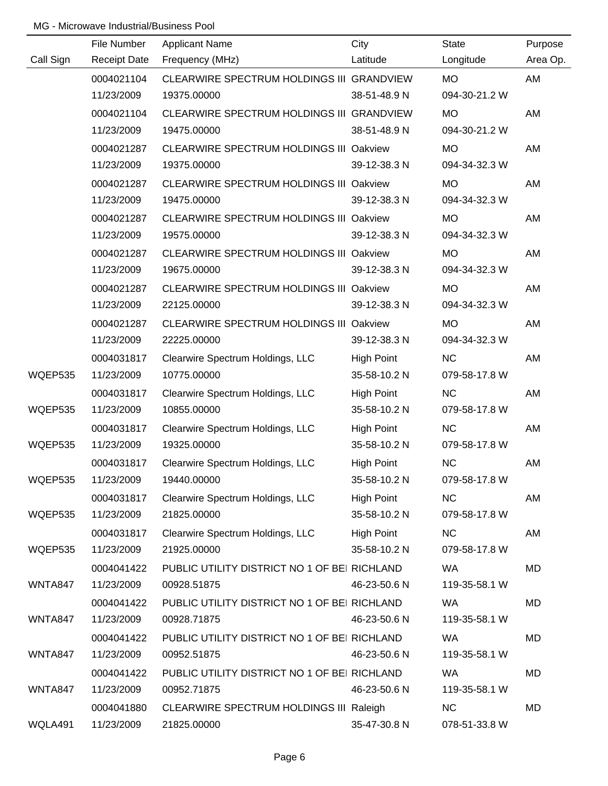|           | File Number         | <b>Applicant Name</b>                          | City              | <b>State</b>  | Purpose   |
|-----------|---------------------|------------------------------------------------|-------------------|---------------|-----------|
| Call Sign | <b>Receipt Date</b> | Frequency (MHz)                                | Latitude          | Longitude     | Area Op.  |
|           | 0004021104          | CLEARWIRE SPECTRUM HOLDINGS III GRANDVIEW      |                   | <b>MO</b>     | AM        |
|           | 11/23/2009          | 19375.00000                                    | 38-51-48.9 N      | 094-30-21.2 W |           |
|           | 0004021104          | CLEARWIRE SPECTRUM HOLDINGS III GRANDVIEW      |                   | <b>MO</b>     | AM        |
|           | 11/23/2009          | 19475.00000                                    | 38-51-48.9 N      | 094-30-21.2 W |           |
|           | 0004021287          | CLEARWIRE SPECTRUM HOLDINGS III Oakview        |                   | <b>MO</b>     | AM        |
|           | 11/23/2009          | 19375.00000                                    | 39-12-38.3 N      | 094-34-32.3 W |           |
|           | 0004021287          | CLEARWIRE SPECTRUM HOLDINGS III Oakview        |                   | <b>MO</b>     | AM        |
|           | 11/23/2009          | 19475.00000                                    | 39-12-38.3 N      | 094-34-32.3 W |           |
|           | 0004021287          | CLEARWIRE SPECTRUM HOLDINGS III Oakview        |                   | <b>MO</b>     | AM        |
|           | 11/23/2009          | 19575.00000                                    | 39-12-38.3 N      | 094-34-32.3 W |           |
|           | 0004021287          | CLEARWIRE SPECTRUM HOLDINGS III Oakview        |                   | <b>MO</b>     | AM        |
|           | 11/23/2009          | 19675.00000                                    | 39-12-38.3 N      | 094-34-32.3 W |           |
|           | 0004021287          | <b>CLEARWIRE SPECTRUM HOLDINGS III Oakview</b> |                   | <b>MO</b>     | AM        |
|           | 11/23/2009          | 22125.00000                                    | 39-12-38.3 N      | 094-34-32.3 W |           |
|           | 0004021287          | CLEARWIRE SPECTRUM HOLDINGS III Oakview        |                   | <b>MO</b>     | AM        |
|           | 11/23/2009          | 22225.00000                                    | 39-12-38.3 N      | 094-34-32.3 W |           |
|           | 0004031817          | Clearwire Spectrum Holdings, LLC               | <b>High Point</b> | <b>NC</b>     | AM        |
| WQEP535   | 11/23/2009          | 10775.00000                                    | 35-58-10.2 N      | 079-58-17.8 W |           |
|           | 0004031817          | Clearwire Spectrum Holdings, LLC               | High Point        | <b>NC</b>     | AM        |
| WQEP535   | 11/23/2009          | 10855.00000                                    | 35-58-10.2 N      | 079-58-17.8 W |           |
|           | 0004031817          | Clearwire Spectrum Holdings, LLC               | High Point        | NC            | AM        |
| WQEP535   | 11/23/2009          | 19325.00000                                    | 35-58-10.2 N      | 079-58-17.8 W |           |
|           | 0004031817          | Clearwire Spectrum Holdings, LLC               | <b>High Point</b> | <b>NC</b>     | AM        |
| WQEP535   | 11/23/2009          | 19440.00000                                    | 35-58-10.2 N      | 079-58-17.8 W |           |
|           | 0004031817          | Clearwire Spectrum Holdings, LLC               | <b>High Point</b> | <b>NC</b>     | AM        |
| WQEP535   | 11/23/2009          | 21825.00000                                    | 35-58-10.2 N      | 079-58-17.8 W |           |
|           | 0004031817          | Clearwire Spectrum Holdings, LLC               | <b>High Point</b> | <b>NC</b>     | AM        |
| WQEP535   | 11/23/2009          | 21925.00000                                    | 35-58-10.2 N      | 079-58-17.8 W |           |
|           | 0004041422          | PUBLIC UTILITY DISTRICT NO 1 OF BEI RICHLAND   |                   | <b>WA</b>     | MD        |
| WNTA847   | 11/23/2009          | 00928.51875                                    | 46-23-50.6 N      | 119-35-58.1 W |           |
|           | 0004041422          | PUBLIC UTILITY DISTRICT NO 1 OF BEI RICHLAND   |                   | WA.           | <b>MD</b> |
| WNTA847   | 11/23/2009          | 00928.71875                                    | 46-23-50.6 N      | 119-35-58.1 W |           |
|           | 0004041422          | PUBLIC UTILITY DISTRICT NO 1 OF BEI RICHLAND   |                   | <b>WA</b>     | MD        |
| WNTA847   | 11/23/2009          | 00952.51875                                    | 46-23-50.6 N      | 119-35-58.1 W |           |
|           | 0004041422          | PUBLIC UTILITY DISTRICT NO 1 OF BEI RICHLAND   |                   | <b>WA</b>     | MD        |
| WNTA847   | 11/23/2009          | 00952.71875                                    | 46-23-50.6 N      | 119-35-58.1 W |           |
|           | 0004041880          | CLEARWIRE SPECTRUM HOLDINGS III Raleigh        |                   | NC            | MD        |
| WQLA491   | 11/23/2009          | 21825.00000                                    | 35-47-30.8 N      | 078-51-33.8 W |           |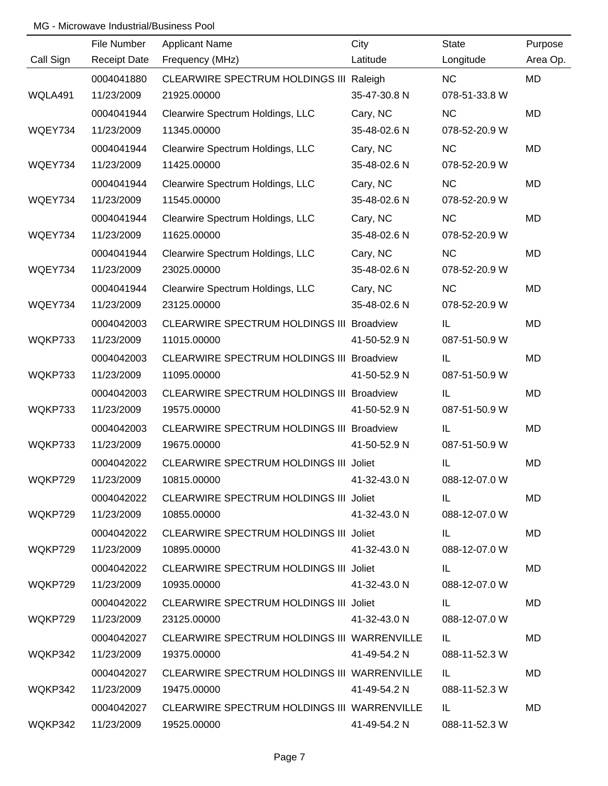|           | File Number         | <b>Applicant Name</b>                       | City         | <b>State</b>  | Purpose   |
|-----------|---------------------|---------------------------------------------|--------------|---------------|-----------|
| Call Sign | <b>Receipt Date</b> | Frequency (MHz)                             | Latitude     | Longitude     | Area Op.  |
|           | 0004041880          | CLEARWIRE SPECTRUM HOLDINGS III Raleigh     |              | <b>NC</b>     | <b>MD</b> |
| WQLA491   | 11/23/2009          | 21925.00000                                 | 35-47-30.8 N | 078-51-33.8 W |           |
|           | 0004041944          | Clearwire Spectrum Holdings, LLC            | Cary, NC     | <b>NC</b>     | <b>MD</b> |
| WQEY734   | 11/23/2009          | 11345.00000                                 | 35-48-02.6 N | 078-52-20.9 W |           |
|           | 0004041944          | Clearwire Spectrum Holdings, LLC            | Cary, NC     | <b>NC</b>     | <b>MD</b> |
| WQEY734   | 11/23/2009          | 11425.00000                                 | 35-48-02.6 N | 078-52-20.9 W |           |
|           | 0004041944          | Clearwire Spectrum Holdings, LLC            | Cary, NC     | <b>NC</b>     | <b>MD</b> |
| WQEY734   | 11/23/2009          | 11545.00000                                 | 35-48-02.6 N | 078-52-20.9 W |           |
|           | 0004041944          | Clearwire Spectrum Holdings, LLC            | Cary, NC     | <b>NC</b>     | MD        |
| WQEY734   | 11/23/2009          | 11625.00000                                 | 35-48-02.6 N | 078-52-20.9 W |           |
|           | 0004041944          | Clearwire Spectrum Holdings, LLC            | Cary, NC     | NC            | MD        |
| WQEY734   | 11/23/2009          | 23025.00000                                 | 35-48-02.6 N | 078-52-20.9 W |           |
|           | 0004041944          | Clearwire Spectrum Holdings, LLC            | Cary, NC     | <b>NC</b>     | MD        |
| WQEY734   | 11/23/2009          | 23125.00000                                 | 35-48-02.6 N | 078-52-20.9 W |           |
|           | 0004042003          | CLEARWIRE SPECTRUM HOLDINGS III Broadview   |              | IL            | MD        |
| WQKP733   | 11/23/2009          | 11015.00000                                 | 41-50-52.9 N | 087-51-50.9 W |           |
|           | 0004042003          | CLEARWIRE SPECTRUM HOLDINGS III Broadview   |              | IL            | MD        |
| WQKP733   | 11/23/2009          | 11095.00000                                 | 41-50-52.9 N | 087-51-50.9 W |           |
|           | 0004042003          | CLEARWIRE SPECTRUM HOLDINGS III Broadview   |              | IL            | MD        |
| WQKP733   | 11/23/2009          | 19575.00000                                 | 41-50-52.9 N | 087-51-50.9 W |           |
|           | 0004042003          | CLEARWIRE SPECTRUM HOLDINGS III Broadview   |              | IL            | MD        |
| WQKP733   | 11/23/2009          | 19675.00000                                 | 41-50-52.9 N | 087-51-50.9 W |           |
|           | 0004042022          | CLEARWIRE SPECTRUM HOLDINGS III Joliet      |              | IL            | <b>MD</b> |
| WQKP729   | 11/23/2009          | 10815.00000                                 | 41-32-43.0 N | 088-12-07.0 W |           |
|           | 0004042022          | CLEARWIRE SPECTRUM HOLDINGS III Joliet      |              | IL.           | MD        |
| WQKP729   | 11/23/2009          | 10855.00000                                 | 41-32-43.0 N | 088-12-07.0 W |           |
|           | 0004042022          | CLEARWIRE SPECTRUM HOLDINGS III Joliet      |              | IL            | MD.       |
| WQKP729   | 11/23/2009          | 10895.00000                                 | 41-32-43.0 N | 088-12-07.0 W |           |
|           | 0004042022          | CLEARWIRE SPECTRUM HOLDINGS III Joliet      |              | IL.           | <b>MD</b> |
| WQKP729   | 11/23/2009          | 10935.00000                                 | 41-32-43.0 N | 088-12-07.0 W |           |
|           | 0004042022          | CLEARWIRE SPECTRUM HOLDINGS III Joliet      |              | IL.           | <b>MD</b> |
| WQKP729   | 11/23/2009          | 23125.00000                                 | 41-32-43.0 N | 088-12-07.0 W |           |
|           | 0004042027          | CLEARWIRE SPECTRUM HOLDINGS III WARRENVILLE |              | IL.           | MD.       |
| WQKP342   | 11/23/2009          | 19375.00000                                 | 41-49-54.2 N | 088-11-52.3 W |           |
|           | 0004042027          | CLEARWIRE SPECTRUM HOLDINGS III WARRENVILLE |              | IL.           | MD        |
| WQKP342   | 11/23/2009          | 19475.00000                                 | 41-49-54.2 N | 088-11-52.3 W |           |
|           | 0004042027          | CLEARWIRE SPECTRUM HOLDINGS III WARRENVILLE |              | IL.           | MD.       |
|           | WQKP342 11/23/2009  | 19525.00000                                 | 41-49-54.2 N | 088-11-52.3 W |           |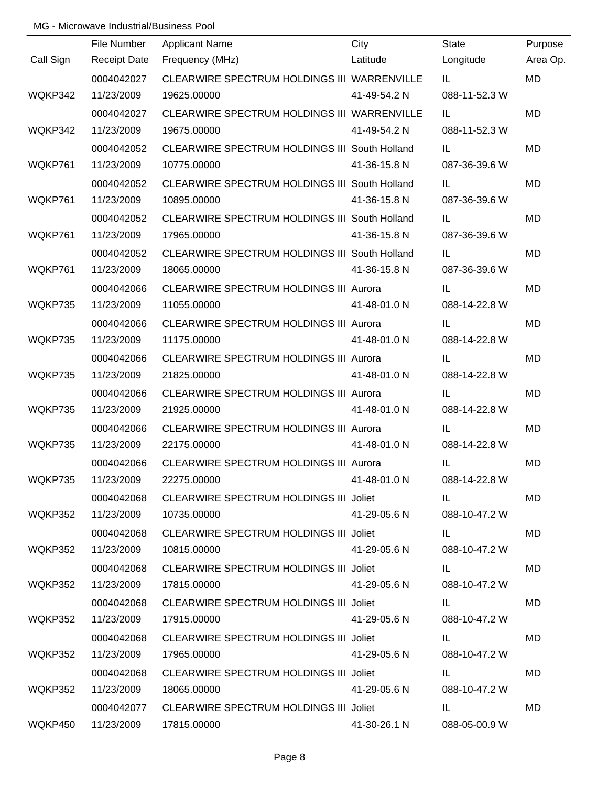|           | File Number         | <b>Applicant Name</b>                         | City         | State              | Purpose   |
|-----------|---------------------|-----------------------------------------------|--------------|--------------------|-----------|
| Call Sign | <b>Receipt Date</b> | Frequency (MHz)                               | Latitude     | Longitude          | Area Op.  |
|           | 0004042027          | CLEARWIRE SPECTRUM HOLDINGS III WARRENVILLE   |              | IL.                | <b>MD</b> |
| WQKP342   | 11/23/2009          | 19625.00000                                   | 41-49-54.2 N | 088-11-52.3 W      |           |
|           | 0004042027          | CLEARWIRE SPECTRUM HOLDINGS III WARRENVILLE   |              | IL                 | <b>MD</b> |
| WQKP342   | 11/23/2009          | 19675.00000                                   | 41-49-54.2 N | 088-11-52.3 W      |           |
|           | 0004042052          | CLEARWIRE SPECTRUM HOLDINGS III South Holland |              | IL                 | <b>MD</b> |
| WQKP761   | 11/23/2009          | 10775.00000                                   | 41-36-15.8 N | 087-36-39.6 W      |           |
|           | 0004042052          | CLEARWIRE SPECTRUM HOLDINGS III South Holland |              | IL                 | <b>MD</b> |
| WQKP761   | 11/23/2009          | 10895.00000                                   | 41-36-15.8 N | 087-36-39.6 W      |           |
|           | 0004042052          | CLEARWIRE SPECTRUM HOLDINGS III South Holland |              | IL                 | MD        |
| WQKP761   | 11/23/2009          | 17965.00000                                   | 41-36-15.8 N | 087-36-39.6 W      |           |
|           | 0004042052          | CLEARWIRE SPECTRUM HOLDINGS III South Holland |              | IL                 | MD        |
| WQKP761   | 11/23/2009          | 18065.00000                                   | 41-36-15.8 N | 087-36-39.6 W      |           |
|           | 0004042066          | CLEARWIRE SPECTRUM HOLDINGS III Aurora        |              | IL                 | MD        |
| WQKP735   | 11/23/2009          | 11055.00000                                   | 41-48-01.0 N | 088-14-22.8 W      |           |
|           | 0004042066          | CLEARWIRE SPECTRUM HOLDINGS III Aurora        |              | IL                 | MD        |
| WQKP735   | 11/23/2009          | 11175.00000                                   | 41-48-01.0 N | 088-14-22.8 W      |           |
|           | 0004042066          | CLEARWIRE SPECTRUM HOLDINGS III Aurora        |              | IL                 | MD        |
| WQKP735   | 11/23/2009          | 21825.00000                                   | 41-48-01.0 N | 088-14-22.8 W      |           |
|           | 0004042066          | CLEARWIRE SPECTRUM HOLDINGS III Aurora        |              | IL                 | MD        |
| WQKP735   | 11/23/2009          | 21925.00000                                   | 41-48-01.0 N | 088-14-22.8 W      |           |
|           | 0004042066          | CLEARWIRE SPECTRUM HOLDINGS III Aurora        |              | IL                 | MD        |
| WQKP735   | 11/23/2009          | 22175.00000                                   | 41-48-01.0 N | 088-14-22.8 W      |           |
|           | 0004042066          | <b>CLEARWIRE SPECTRUM HOLDINGS III Aurora</b> |              | IL                 | <b>MD</b> |
| WQKP735   | 11/23/2009          | 22275.00000                                   | 41-48-01.0 N | 088-14-22.8 W      |           |
|           | 0004042068          | CLEARWIRE SPECTRUM HOLDINGS III Joliet        |              | IL.                | MD        |
| WQKP352   | 11/23/2009          | 10735.00000                                   | 41-29-05.6 N | 088-10-47.2 W      |           |
|           | 0004042068          | CLEARWIRE SPECTRUM HOLDINGS III Joliet        |              | IL Service Service | MD        |
| WQKP352   | 11/23/2009          | 10815.00000                                   | 41-29-05.6 N | 088-10-47.2 W      |           |
|           | 0004042068          | CLEARWIRE SPECTRUM HOLDINGS III Joliet        |              | IL.                | MD        |
| WQKP352   | 11/23/2009          | 17815.00000                                   | 41-29-05.6 N | 088-10-47.2 W      |           |
|           | 0004042068          | CLEARWIRE SPECTRUM HOLDINGS III Joliet        |              | IL.                | <b>MD</b> |
| WQKP352   | 11/23/2009          | 17915.00000                                   | 41-29-05.6 N | 088-10-47.2 W      |           |
|           | 0004042068          | CLEARWIRE SPECTRUM HOLDINGS III Joliet        |              | IL.                | MD.       |
| WQKP352   | 11/23/2009          | 17965.00000                                   | 41-29-05.6 N | 088-10-47.2 W      |           |
|           | 0004042068          | CLEARWIRE SPECTRUM HOLDINGS III Joliet        |              | IL.                | MD        |
| WQKP352   | 11/23/2009          | 18065.00000                                   | 41-29-05.6 N | 088-10-47.2 W      |           |
|           | 0004042077          | CLEARWIRE SPECTRUM HOLDINGS III Joliet        |              | IL.                | MD        |
| WQKP450   | 11/23/2009          | 17815.00000                                   | 41-30-26.1 N | 088-05-00.9 W      |           |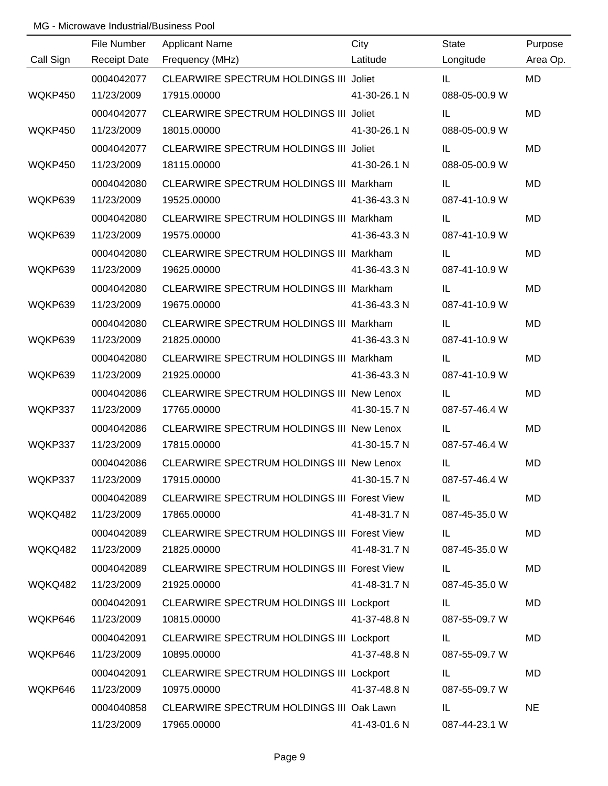|           | File Number         | <b>Applicant Name</b>                              | City         | <b>State</b>  | Purpose   |
|-----------|---------------------|----------------------------------------------------|--------------|---------------|-----------|
| Call Sign | <b>Receipt Date</b> | Frequency (MHz)                                    | Latitude     | Longitude     | Area Op.  |
|           | 0004042077          | CLEARWIRE SPECTRUM HOLDINGS III Joliet             |              | IL.           | <b>MD</b> |
| WQKP450   | 11/23/2009          | 17915.00000                                        | 41-30-26.1 N | 088-05-00.9 W |           |
|           | 0004042077          | CLEARWIRE SPECTRUM HOLDINGS III Joliet             |              | IL            | <b>MD</b> |
| WQKP450   | 11/23/2009          | 18015.00000                                        | 41-30-26.1 N | 088-05-00.9 W |           |
|           | 0004042077          | CLEARWIRE SPECTRUM HOLDINGS III Joliet             |              | IL            | <b>MD</b> |
| WQKP450   | 11/23/2009          | 18115.00000                                        | 41-30-26.1 N | 088-05-00.9 W |           |
|           | 0004042080          | CLEARWIRE SPECTRUM HOLDINGS III Markham            |              | IL            | MD        |
| WQKP639   | 11/23/2009          | 19525.00000                                        | 41-36-43.3 N | 087-41-10.9 W |           |
|           | 0004042080          | CLEARWIRE SPECTRUM HOLDINGS III Markham            |              | IL            | MD        |
| WQKP639   | 11/23/2009          | 19575.00000                                        | 41-36-43.3 N | 087-41-10.9 W |           |
|           | 0004042080          | CLEARWIRE SPECTRUM HOLDINGS III Markham            |              | IL            | MD        |
| WQKP639   | 11/23/2009          | 19625.00000                                        | 41-36-43.3 N | 087-41-10.9 W |           |
|           | 0004042080          | CLEARWIRE SPECTRUM HOLDINGS III Markham            |              | IL            | <b>MD</b> |
| WQKP639   | 11/23/2009          | 19675.00000                                        | 41-36-43.3 N | 087-41-10.9 W |           |
|           | 0004042080          | CLEARWIRE SPECTRUM HOLDINGS III Markham            |              | IL            | MD        |
| WQKP639   | 11/23/2009          | 21825.00000                                        | 41-36-43.3 N | 087-41-10.9 W |           |
|           | 0004042080          | CLEARWIRE SPECTRUM HOLDINGS III Markham            |              | IL            | MD        |
| WQKP639   | 11/23/2009          | 21925.00000                                        | 41-36-43.3 N | 087-41-10.9 W |           |
|           | 0004042086          | CLEARWIRE SPECTRUM HOLDINGS III New Lenox          |              | IL            | MD        |
| WQKP337   | 11/23/2009          | 17765.00000                                        | 41-30-15.7 N | 087-57-46.4 W |           |
|           | 0004042086          | CLEARWIRE SPECTRUM HOLDINGS III New Lenox          |              | IL            | <b>MD</b> |
| WQKP337   | 11/23/2009          | 17815.00000                                        | 41-30-15.7 N | 087-57-46.4 W |           |
|           | 0004042086          | CLEARWIRE SPECTRUM HOLDINGS III New Lenox          |              | IL            | MD        |
| WQKP337   | 11/23/2009          | 17915.00000                                        | 41-30-15.7 N | 087-57-46.4 W |           |
|           | 0004042089          | CLEARWIRE SPECTRUM HOLDINGS III Forest View        |              | IL.           | MD        |
| WQKQ482   | 11/23/2009          | 17865.00000                                        | 41-48-31.7 N | 087-45-35.0 W |           |
|           | 0004042089          | CLEARWIRE SPECTRUM HOLDINGS III Forest View        |              | IL            | MD        |
| WQKQ482   | 11/23/2009          | 21825.00000                                        | 41-48-31.7 N | 087-45-35.0 W |           |
|           | 0004042089          | <b>CLEARWIRE SPECTRUM HOLDINGS III Forest View</b> |              | IL            | <b>MD</b> |
| WQKQ482   | 11/23/2009          | 21925.00000                                        | 41-48-31.7 N | 087-45-35.0 W |           |
|           | 0004042091          | CLEARWIRE SPECTRUM HOLDINGS III Lockport           |              | IL.           | MD        |
| WQKP646   | 11/23/2009          | 10815.00000                                        | 41-37-48.8 N | 087-55-09.7 W |           |
|           | 0004042091          | CLEARWIRE SPECTRUM HOLDINGS III Lockport           |              | IL            | MD        |
| WQKP646   | 11/23/2009          | 10895.00000                                        | 41-37-48.8 N | 087-55-09.7 W |           |
|           | 0004042091          | CLEARWIRE SPECTRUM HOLDINGS III Lockport           |              | IL            | MD        |
| WQKP646   | 11/23/2009          | 10975.00000                                        | 41-37-48.8 N | 087-55-09.7 W |           |
|           | 0004040858          | CLEARWIRE SPECTRUM HOLDINGS III Oak Lawn           |              | IL            | <b>NE</b> |
|           | 11/23/2009          | 17965.00000                                        | 41-43-01.6 N | 087-44-23.1 W |           |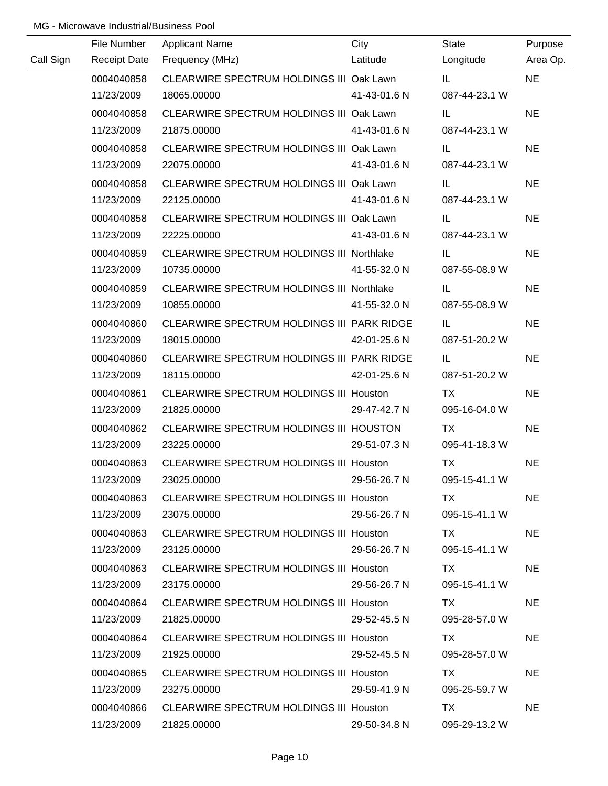|           | File Number         | <b>Applicant Name</b>                            | City         | <b>State</b>  | Purpose   |
|-----------|---------------------|--------------------------------------------------|--------------|---------------|-----------|
| Call Sign | <b>Receipt Date</b> | Frequency (MHz)                                  | Latitude     | Longitude     | Area Op.  |
|           | 0004040858          | CLEARWIRE SPECTRUM HOLDINGS III Oak Lawn         |              | IL.           | <b>NE</b> |
|           | 11/23/2009          | 18065.00000                                      | 41-43-01.6 N | 087-44-23.1 W |           |
|           | 0004040858          | CLEARWIRE SPECTRUM HOLDINGS III Oak Lawn         |              | IL            | <b>NE</b> |
|           | 11/23/2009          | 21875.00000                                      | 41-43-01.6 N | 087-44-23.1 W |           |
|           | 0004040858          | CLEARWIRE SPECTRUM HOLDINGS III Oak Lawn         |              | IL.           | <b>NE</b> |
|           | 11/23/2009          | 22075.00000                                      | 41-43-01.6 N | 087-44-23.1 W |           |
|           | 0004040858          | CLEARWIRE SPECTRUM HOLDINGS III Oak Lawn         |              | IL            | <b>NE</b> |
|           | 11/23/2009          | 22125.00000                                      | 41-43-01.6 N | 087-44-23.1 W |           |
|           | 0004040858          | CLEARWIRE SPECTRUM HOLDINGS III Oak Lawn         |              | IL.           | <b>NE</b> |
|           | 11/23/2009          | 22225.00000                                      | 41-43-01.6 N | 087-44-23.1 W |           |
|           | 0004040859          | <b>CLEARWIRE SPECTRUM HOLDINGS III Northlake</b> |              | IL.           | <b>NE</b> |
|           | 11/23/2009          | 10735.00000                                      | 41-55-32.0 N | 087-55-08.9 W |           |
|           | 0004040859          | CLEARWIRE SPECTRUM HOLDINGS III Northlake        |              | IL            | <b>NE</b> |
|           | 11/23/2009          | 10855.00000                                      | 41-55-32.0 N | 087-55-08.9 W |           |
|           | 0004040860          | CLEARWIRE SPECTRUM HOLDINGS III PARK RIDGE       |              | IL            | <b>NE</b> |
|           | 11/23/2009          | 18015.00000                                      | 42-01-25.6 N | 087-51-20.2 W |           |
|           | 0004040860          | CLEARWIRE SPECTRUM HOLDINGS III PARK RIDGE       |              | IL            | <b>NE</b> |
|           | 11/23/2009          | 18115.00000                                      | 42-01-25.6 N | 087-51-20.2 W |           |
|           | 0004040861          | <b>CLEARWIRE SPECTRUM HOLDINGS III Houston</b>   |              | TX            | <b>NE</b> |
|           | 11/23/2009          | 21825.00000                                      | 29-47-42.7 N | 095-16-04.0 W |           |
|           | 0004040862          | CLEARWIRE SPECTRUM HOLDINGS III HOUSTON          |              | <b>TX</b>     | <b>NE</b> |
|           | 11/23/2009          | 23225.00000                                      | 29-51-07.3 N | 095-41-18.3 W |           |
|           | 0004040863          | CLEARWIRE SPECTRUM HOLDINGS III Houston          |              | <b>TX</b>     | <b>NE</b> |
|           | 11/23/2009          | 23025.00000                                      | 29-56-26.7 N | 095-15-41.1 W |           |
|           | 0004040863          | <b>CLEARWIRE SPECTRUM HOLDINGS III Houston</b>   |              | TX.           | <b>NE</b> |
|           | 11/23/2009          | 23075.00000                                      | 29-56-26.7 N | 095-15-41.1 W |           |
|           | 0004040863          | CLEARWIRE SPECTRUM HOLDINGS III Houston          |              | TX.           | NE.       |
|           | 11/23/2009          | 23125.00000                                      | 29-56-26.7 N | 095-15-41.1 W |           |
|           | 0004040863          | <b>CLEARWIRE SPECTRUM HOLDINGS III Houston</b>   |              | TX            | <b>NE</b> |
|           | 11/23/2009          | 23175.00000                                      | 29-56-26.7 N | 095-15-41.1 W |           |
|           | 0004040864          | <b>CLEARWIRE SPECTRUM HOLDINGS III Houston</b>   |              | TX.           | <b>NE</b> |
|           | 11/23/2009          | 21825.00000                                      | 29-52-45.5 N | 095-28-57.0 W |           |
|           | 0004040864          | <b>CLEARWIRE SPECTRUM HOLDINGS III Houston</b>   |              | TX.           | <b>NE</b> |
|           | 11/23/2009          | 21925.00000                                      | 29-52-45.5 N | 095-28-57.0 W |           |
|           | 0004040865          | <b>CLEARWIRE SPECTRUM HOLDINGS III Houston</b>   |              | TX.           | <b>NE</b> |
|           | 11/23/2009          | 23275.00000                                      | 29-59-41.9 N | 095-25-59.7 W |           |
|           | 0004040866          | <b>CLEARWIRE SPECTRUM HOLDINGS III Houston</b>   |              | TX            | <b>NE</b> |
|           | 11/23/2009          | 21825.00000                                      | 29-50-34.8 N | 095-29-13.2 W |           |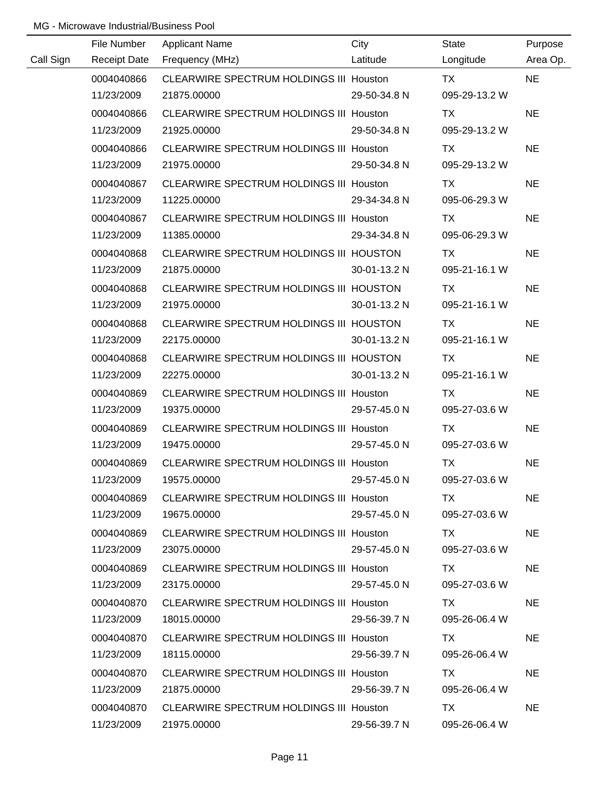|           | File Number         | <b>Applicant Name</b>                          | City         | State         | Purpose   |
|-----------|---------------------|------------------------------------------------|--------------|---------------|-----------|
| Call Sign | <b>Receipt Date</b> | Frequency (MHz)                                | Latitude     | Longitude     | Area Op.  |
|           | 0004040866          | CLEARWIRE SPECTRUM HOLDINGS III Houston        |              | <b>TX</b>     | <b>NE</b> |
|           | 11/23/2009          | 21875.00000                                    | 29-50-34.8 N | 095-29-13.2 W |           |
|           | 0004040866          | CLEARWIRE SPECTRUM HOLDINGS III Houston        |              | <b>TX</b>     | <b>NE</b> |
|           | 11/23/2009          | 21925.00000                                    | 29-50-34.8 N | 095-29-13.2 W |           |
|           | 0004040866          | CLEARWIRE SPECTRUM HOLDINGS III Houston        |              | TX            | <b>NE</b> |
|           | 11/23/2009          | 21975.00000                                    | 29-50-34.8 N | 095-29-13.2 W |           |
|           | 0004040867          | <b>CLEARWIRE SPECTRUM HOLDINGS III Houston</b> |              | TX            | <b>NE</b> |
|           | 11/23/2009          | 11225.00000                                    | 29-34-34.8 N | 095-06-29.3 W |           |
|           | 0004040867          | <b>CLEARWIRE SPECTRUM HOLDINGS III Houston</b> |              | TX            | <b>NE</b> |
|           | 11/23/2009          | 11385.00000                                    | 29-34-34.8 N | 095-06-29.3 W |           |
|           | 0004040868          | CLEARWIRE SPECTRUM HOLDINGS III HOUSTON        |              | TX            | <b>NE</b> |
|           | 11/23/2009          | 21875.00000                                    | 30-01-13.2 N | 095-21-16.1 W |           |
|           | 0004040868          | CLEARWIRE SPECTRUM HOLDINGS III HOUSTON        |              | TX            | <b>NE</b> |
|           | 11/23/2009          | 21975.00000                                    | 30-01-13.2 N | 095-21-16.1 W |           |
|           | 0004040868          | CLEARWIRE SPECTRUM HOLDINGS III HOUSTON        |              | TX            | <b>NE</b> |
|           | 11/23/2009          | 22175.00000                                    | 30-01-13.2 N | 095-21-16.1 W |           |
|           | 0004040868          | CLEARWIRE SPECTRUM HOLDINGS III HOUSTON        |              | TX            | <b>NE</b> |
|           | 11/23/2009          | 22275.00000                                    | 30-01-13.2 N | 095-21-16.1 W |           |
|           | 0004040869          | <b>CLEARWIRE SPECTRUM HOLDINGS III Houston</b> |              | <b>TX</b>     | <b>NE</b> |
|           | 11/23/2009          | 19375.00000                                    | 29-57-45.0 N | 095-27-03.6 W |           |
|           | 0004040869          | CLEARWIRE SPECTRUM HOLDINGS III Houston        |              | <b>TX</b>     | <b>NE</b> |
|           | 11/23/2009          | 19475.00000                                    | 29-57-45.0 N | 095-27-03.6 W |           |
|           | 0004040869          | CLEARWIRE SPECTRUM HOLDINGS III Houston        |              | <b>TX</b>     | <b>NE</b> |
|           | 11/23/2009          | 19575.00000                                    | 29-57-45.0 N | 095-27-03.6 W |           |
|           | 0004040869          | CLEARWIRE SPECTRUM HOLDINGS III Houston        |              | TX.           | <b>NE</b> |
|           | 11/23/2009          | 19675.00000                                    | 29-57-45.0 N | 095-27-03.6 W |           |
|           | 0004040869          | CLEARWIRE SPECTRUM HOLDINGS III Houston        |              | TX.           | <b>NE</b> |
|           | 11/23/2009          | 23075.00000                                    | 29-57-45.0 N | 095-27-03.6 W |           |
|           | 0004040869          | CLEARWIRE SPECTRUM HOLDINGS III Houston        |              | TX.           | <b>NE</b> |
|           | 11/23/2009          | 23175.00000                                    | 29-57-45.0 N | 095-27-03.6 W |           |
|           | 0004040870          | <b>CLEARWIRE SPECTRUM HOLDINGS III Houston</b> |              | TX.           | <b>NE</b> |
|           | 11/23/2009          | 18015.00000                                    | 29-56-39.7 N | 095-26-06.4 W |           |
|           | 0004040870          | CLEARWIRE SPECTRUM HOLDINGS III Houston        |              | TX.           | <b>NE</b> |
|           | 11/23/2009          | 18115.00000                                    | 29-56-39.7 N | 095-26-06.4 W |           |
|           | 0004040870          | <b>CLEARWIRE SPECTRUM HOLDINGS III Houston</b> |              | TX            | <b>NE</b> |
|           | 11/23/2009          | 21875.00000                                    | 29-56-39.7 N | 095-26-06.4 W |           |
|           | 0004040870          | CLEARWIRE SPECTRUM HOLDINGS III Houston        |              | TX            | <b>NE</b> |
|           | 11/23/2009          | 21975.00000                                    | 29-56-39.7 N | 095-26-06.4 W |           |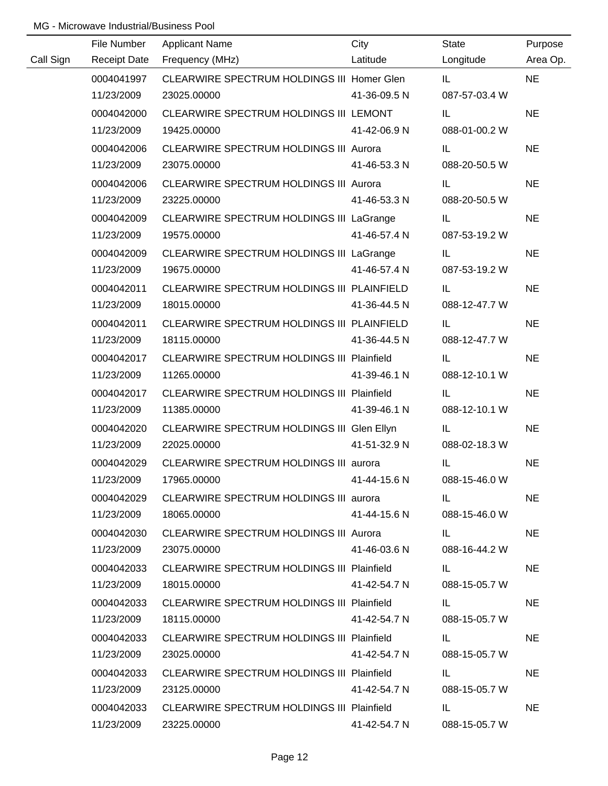|           | File Number         | <b>Applicant Name</b>                             | City         | State                                                                                                                                                                                                                               | Purpose   |
|-----------|---------------------|---------------------------------------------------|--------------|-------------------------------------------------------------------------------------------------------------------------------------------------------------------------------------------------------------------------------------|-----------|
| Call Sign | <b>Receipt Date</b> | Frequency (MHz)                                   | Latitude     | Longitude                                                                                                                                                                                                                           | Area Op.  |
|           | 0004041997          | CLEARWIRE SPECTRUM HOLDINGS III Homer Glen        |              | IL.                                                                                                                                                                                                                                 | <b>NE</b> |
|           | 11/23/2009          | 23025.00000                                       | 41-36-09.5 N | 087-57-03.4 W                                                                                                                                                                                                                       |           |
|           | 0004042000          | CLEARWIRE SPECTRUM HOLDINGS III LEMONT            |              | IL                                                                                                                                                                                                                                  | <b>NE</b> |
|           | 11/23/2009          | 19425.00000                                       | 41-42-06.9 N | 088-01-00.2 W                                                                                                                                                                                                                       |           |
|           | 0004042006          | CLEARWIRE SPECTRUM HOLDINGS III Aurora            |              | IL.                                                                                                                                                                                                                                 | <b>NE</b> |
|           | 11/23/2009          | 23075.00000                                       | 41-46-53.3 N | 088-20-50.5 W                                                                                                                                                                                                                       |           |
|           | 0004042006          | CLEARWIRE SPECTRUM HOLDINGS III Aurora            |              | IL.                                                                                                                                                                                                                                 | <b>NE</b> |
|           | 11/23/2009          | 23225.00000                                       | 41-46-53.3 N | 088-20-50.5 W                                                                                                                                                                                                                       |           |
|           | 0004042009          | CLEARWIRE SPECTRUM HOLDINGS III LaGrange          |              | IL.                                                                                                                                                                                                                                 | <b>NE</b> |
|           | 11/23/2009          | 19575.00000                                       | 41-46-57.4 N | 087-53-19.2 W                                                                                                                                                                                                                       |           |
|           | 0004042009          | CLEARWIRE SPECTRUM HOLDINGS III LaGrange          |              | IL.                                                                                                                                                                                                                                 | <b>NE</b> |
|           | 11/23/2009          | 19675.00000                                       | 41-46-57.4 N | 087-53-19.2 W                                                                                                                                                                                                                       |           |
|           | 0004042011          | CLEARWIRE SPECTRUM HOLDINGS III PLAINFIELD        |              | IL.                                                                                                                                                                                                                                 | <b>NE</b> |
|           | 11/23/2009          | 18015.00000                                       | 41-36-44.5 N | 088-12-47.7 W                                                                                                                                                                                                                       |           |
|           | 0004042011          | CLEARWIRE SPECTRUM HOLDINGS III PLAINFIELD        |              | IL.                                                                                                                                                                                                                                 | <b>NE</b> |
|           | 11/23/2009          | 18115.00000                                       | 41-36-44.5 N | 088-12-47.7 W                                                                                                                                                                                                                       |           |
|           | 0004042017          | CLEARWIRE SPECTRUM HOLDINGS III Plainfield        |              | IL.                                                                                                                                                                                                                                 | <b>NE</b> |
|           | 11/23/2009          | 11265.00000                                       | 41-39-46.1 N | 088-12-10.1 W                                                                                                                                                                                                                       |           |
|           | 0004042017          | CLEARWIRE SPECTRUM HOLDINGS III Plainfield        |              | IL.                                                                                                                                                                                                                                 | <b>NE</b> |
|           | 11/23/2009          | 11385.00000                                       | 41-39-46.1 N | 088-12-10.1 W                                                                                                                                                                                                                       |           |
|           | 0004042020          | CLEARWIRE SPECTRUM HOLDINGS III Glen Ellyn        |              | IL.                                                                                                                                                                                                                                 | <b>NE</b> |
|           | 11/23/2009          | 22025.00000                                       | 41-51-32.9 N | 088-02-18.3 W                                                                                                                                                                                                                       |           |
|           | 0004042029          | CLEARWIRE SPECTRUM HOLDINGS III aurora            |              | IL                                                                                                                                                                                                                                  | <b>NE</b> |
|           | 11/23/2009          | 17965.00000                                       | 41-44-15.6 N | 088-15-46.0 W                                                                                                                                                                                                                       |           |
|           | 0004042029          | CLEARWIRE SPECTRUM HOLDINGS III aurora            |              | IL.                                                                                                                                                                                                                                 | <b>NE</b> |
|           | 11/23/2009          | 18065.00000                                       | 41-44-15.6 N | 088-15-46.0 W                                                                                                                                                                                                                       |           |
|           | 0004042030          | CLEARWIRE SPECTRUM HOLDINGS III Aurora            |              | <b>IL Experimental</b>                                                                                                                                                                                                              | <b>NE</b> |
|           | 11/23/2009          | 23075.00000                                       | 41-46-03.6 N | 088-16-44.2 W                                                                                                                                                                                                                       |           |
|           | 0004042033          | CLEARWIRE SPECTRUM HOLDINGS III Plainfield        |              | <b>IL</b> and the same of the same of                                                                                                                                                                                               | <b>NE</b> |
|           | 11/23/2009          | 18015.00000                                       | 41-42-54.7 N | 088-15-05.7 W                                                                                                                                                                                                                       |           |
|           | 0004042033          | CLEARWIRE SPECTRUM HOLDINGS III Plainfield        |              | <b>IL</b> and the same                                                                                                                                                                                                              | <b>NE</b> |
|           | 11/23/2009          | 18115.00000                                       | 41-42-54.7 N | 088-15-05.7 W                                                                                                                                                                                                                       |           |
|           | 0004042033          | CLEARWIRE SPECTRUM HOLDINGS III Plainfield        |              | <b>IL</b> the contract of the contract of the contract of the contract of the contract of the contract of the contract of the contract of the contract of the contract of the contract of the contract of the contract of the contr | <b>NE</b> |
|           | 11/23/2009          | 23025.00000                                       | 41-42-54.7 N | 088-15-05.7 W                                                                                                                                                                                                                       |           |
|           | 0004042033          | CLEARWIRE SPECTRUM HOLDINGS III Plainfield        |              | IL.                                                                                                                                                                                                                                 | <b>NE</b> |
|           | 11/23/2009          | 23125.00000                                       | 41-42-54.7 N | 088-15-05.7 W                                                                                                                                                                                                                       |           |
|           | 0004042033          | <b>CLEARWIRE SPECTRUM HOLDINGS III Plainfield</b> |              | IL.                                                                                                                                                                                                                                 | <b>NE</b> |
|           | 11/23/2009          | 23225.00000                                       | 41-42-54.7 N | 088-15-05.7 W                                                                                                                                                                                                                       |           |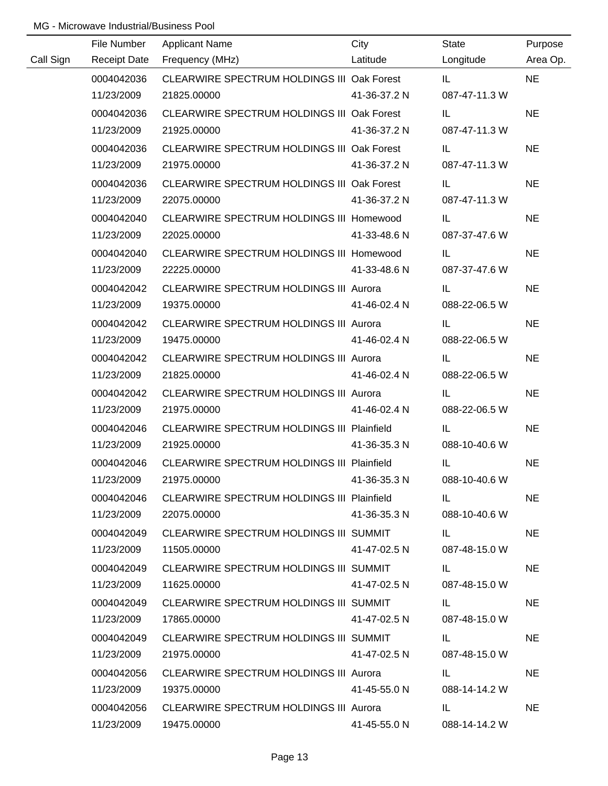|           | File Number         | <b>Applicant Name</b>                         | City         | State                                                                                                                                                                                                                               | Purpose   |
|-----------|---------------------|-----------------------------------------------|--------------|-------------------------------------------------------------------------------------------------------------------------------------------------------------------------------------------------------------------------------------|-----------|
| Call Sign | <b>Receipt Date</b> | Frequency (MHz)                               | Latitude     | Longitude                                                                                                                                                                                                                           | Area Op.  |
|           | 0004042036          | CLEARWIRE SPECTRUM HOLDINGS III Oak Forest    |              | IL.                                                                                                                                                                                                                                 | <b>NE</b> |
|           | 11/23/2009          | 21825.00000                                   | 41-36-37.2 N | 087-47-11.3 W                                                                                                                                                                                                                       |           |
|           | 0004042036          | CLEARWIRE SPECTRUM HOLDINGS III Oak Forest    |              | IL.                                                                                                                                                                                                                                 | <b>NE</b> |
|           | 11/23/2009          | 21925.00000                                   | 41-36-37.2 N | 087-47-11.3 W                                                                                                                                                                                                                       |           |
|           | 0004042036          | CLEARWIRE SPECTRUM HOLDINGS III Oak Forest    |              | IL.                                                                                                                                                                                                                                 | <b>NE</b> |
|           | 11/23/2009          | 21975.00000                                   | 41-36-37.2 N | 087-47-11.3 W                                                                                                                                                                                                                       |           |
|           | 0004042036          | CLEARWIRE SPECTRUM HOLDINGS III Oak Forest    |              | IL.                                                                                                                                                                                                                                 | <b>NE</b> |
|           | 11/23/2009          | 22075.00000                                   | 41-36-37.2 N | 087-47-11.3 W                                                                                                                                                                                                                       |           |
|           | 0004042040          | CLEARWIRE SPECTRUM HOLDINGS III Homewood      |              | IL.                                                                                                                                                                                                                                 | <b>NE</b> |
|           | 11/23/2009          | 22025.00000                                   | 41-33-48.6 N | 087-37-47.6 W                                                                                                                                                                                                                       |           |
|           | 0004042040          | CLEARWIRE SPECTRUM HOLDINGS III Homewood      |              | IL.                                                                                                                                                                                                                                 | <b>NE</b> |
|           | 11/23/2009          | 22225.00000                                   | 41-33-48.6 N | 087-37-47.6 W                                                                                                                                                                                                                       |           |
|           | 0004042042          | CLEARWIRE SPECTRUM HOLDINGS III Aurora        |              | IL.                                                                                                                                                                                                                                 | <b>NE</b> |
|           | 11/23/2009          | 19375.00000                                   | 41-46-02.4 N | 088-22-06.5 W                                                                                                                                                                                                                       |           |
|           | 0004042042          | CLEARWIRE SPECTRUM HOLDINGS III Aurora        |              | IL.                                                                                                                                                                                                                                 | <b>NE</b> |
|           | 11/23/2009          | 19475.00000                                   | 41-46-02.4 N | 088-22-06.5 W                                                                                                                                                                                                                       |           |
|           | 0004042042          | <b>CLEARWIRE SPECTRUM HOLDINGS III Aurora</b> |              | IL.                                                                                                                                                                                                                                 | <b>NE</b> |
|           | 11/23/2009          | 21825.00000                                   | 41-46-02.4 N | 088-22-06.5 W                                                                                                                                                                                                                       |           |
|           | 0004042042          | <b>CLEARWIRE SPECTRUM HOLDINGS III Aurora</b> |              | IL.                                                                                                                                                                                                                                 | <b>NE</b> |
|           | 11/23/2009          | 21975.00000                                   | 41-46-02.4 N | 088-22-06.5 W                                                                                                                                                                                                                       |           |
|           | 0004042046          | CLEARWIRE SPECTRUM HOLDINGS III Plainfield    |              | IL.                                                                                                                                                                                                                                 | <b>NE</b> |
|           | 11/23/2009          | 21925.00000                                   | 41-36-35.3 N | 088-10-40.6 W                                                                                                                                                                                                                       |           |
|           | 0004042046          | CLEARWIRE SPECTRUM HOLDINGS III Plainfield    |              | IL                                                                                                                                                                                                                                  | <b>NE</b> |
|           | 11/23/2009          | 21975.00000                                   | 41-36-35.3 N | 088-10-40.6 W                                                                                                                                                                                                                       |           |
|           | 0004042046          | CLEARWIRE SPECTRUM HOLDINGS III Plainfield    |              | IL.                                                                                                                                                                                                                                 | <b>NE</b> |
|           | 11/23/2009          | 22075.00000                                   | 41-36-35.3 N | 088-10-40.6 W                                                                                                                                                                                                                       |           |
|           | 0004042049          | CLEARWIRE SPECTRUM HOLDINGS III SUMMIT        |              | <b>IL Experimental</b>                                                                                                                                                                                                              | <b>NE</b> |
|           | 11/23/2009          | 11505.00000                                   | 41-47-02.5 N | 087-48-15.0 W                                                                                                                                                                                                                       |           |
|           | 0004042049          | CLEARWIRE SPECTRUM HOLDINGS III SUMMIT        |              | <b>IL</b> and the same of the same of                                                                                                                                                                                               | <b>NE</b> |
|           | 11/23/2009          | 11625.00000                                   | 41-47-02.5 N | 087-48-15.0 W                                                                                                                                                                                                                       |           |
|           | 0004042049          | CLEARWIRE SPECTRUM HOLDINGS III SUMMIT        |              | IL.                                                                                                                                                                                                                                 | <b>NE</b> |
|           | 11/23/2009          | 17865.00000                                   | 41-47-02.5 N | 087-48-15.0 W                                                                                                                                                                                                                       |           |
|           | 0004042049          | CLEARWIRE SPECTRUM HOLDINGS III SUMMIT        |              | <b>IL</b> the state of the state of the state of the state of the state of the state of the state of the state of the state of the state of the state of the state of the state of the state of the state of the state of the state | <b>NE</b> |
|           | 11/23/2009          | 21975.00000                                   | 41-47-02.5 N | 087-48-15.0 W                                                                                                                                                                                                                       |           |
|           | 0004042056          | CLEARWIRE SPECTRUM HOLDINGS III Aurora        |              | IL.                                                                                                                                                                                                                                 | <b>NE</b> |
|           | 11/23/2009          | 19375.00000                                   | 41-45-55.0 N | 088-14-14.2 W                                                                                                                                                                                                                       |           |
|           | 0004042056          | CLEARWIRE SPECTRUM HOLDINGS III Aurora        |              | IL.                                                                                                                                                                                                                                 | <b>NE</b> |
|           | 11/23/2009          | 19475.00000                                   | 41-45-55.0 N | 088-14-14.2 W                                                                                                                                                                                                                       |           |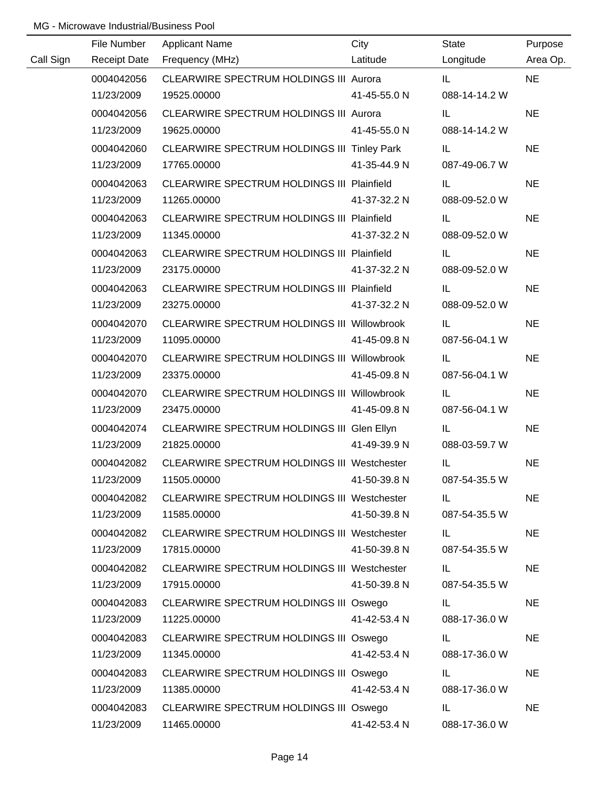|           | File Number         | <b>Applicant Name</b>                              | City         | <b>State</b>  | Purpose   |
|-----------|---------------------|----------------------------------------------------|--------------|---------------|-----------|
| Call Sign | <b>Receipt Date</b> | Frequency (MHz)                                    | Latitude     | Longitude     | Area Op.  |
|           | 0004042056          | CLEARWIRE SPECTRUM HOLDINGS III Aurora             |              | IL.           | <b>NE</b> |
|           | 11/23/2009          | 19525.00000                                        | 41-45-55.0 N | 088-14-14.2 W |           |
|           | 0004042056          | CLEARWIRE SPECTRUM HOLDINGS III Aurora             |              | IL.           | <b>NE</b> |
|           | 11/23/2009          | 19625.00000                                        | 41-45-55.0 N | 088-14-14.2 W |           |
|           | 0004042060          | CLEARWIRE SPECTRUM HOLDINGS III Tinley Park        |              | IL.           | <b>NE</b> |
|           | 11/23/2009          | 17765.00000                                        | 41-35-44.9 N | 087-49-06.7 W |           |
|           | 0004042063          | CLEARWIRE SPECTRUM HOLDINGS III Plainfield         |              | IL.           | <b>NE</b> |
|           | 11/23/2009          | 11265.00000                                        | 41-37-32.2 N | 088-09-52.0 W |           |
|           | 0004042063          | CLEARWIRE SPECTRUM HOLDINGS III Plainfield         |              | IL.           | <b>NE</b> |
|           | 11/23/2009          | 11345.00000                                        | 41-37-32.2 N | 088-09-52.0 W |           |
|           | 0004042063          | CLEARWIRE SPECTRUM HOLDINGS III Plainfield         |              | IL.           | <b>NE</b> |
|           | 11/23/2009          | 23175.00000                                        | 41-37-32.2 N | 088-09-52.0 W |           |
|           | 0004042063          | <b>CLEARWIRE SPECTRUM HOLDINGS III Plainfield</b>  |              | IL.           | <b>NE</b> |
|           | 11/23/2009          | 23275.00000                                        | 41-37-32.2 N | 088-09-52.0 W |           |
|           | 0004042070          | CLEARWIRE SPECTRUM HOLDINGS III Willowbrook        |              | IL.           | <b>NE</b> |
|           | 11/23/2009          | 11095.00000                                        | 41-45-09.8 N | 087-56-04.1 W |           |
|           | 0004042070          | CLEARWIRE SPECTRUM HOLDINGS III Willowbrook        |              | IL.           | <b>NE</b> |
|           | 11/23/2009          | 23375.00000                                        | 41-45-09.8 N | 087-56-04.1 W |           |
|           | 0004042070          | CLEARWIRE SPECTRUM HOLDINGS III Willowbrook        |              | IL            | <b>NE</b> |
|           | 11/23/2009          | 23475.00000                                        | 41-45-09.8 N | 087-56-04.1 W |           |
|           | 0004042074          | CLEARWIRE SPECTRUM HOLDINGS III Glen Ellyn         |              | IL.           | <b>NE</b> |
|           | 11/23/2009          | 21825.00000                                        | 41-49-39.9 N | 088-03-59.7 W |           |
|           | 0004042082          | CLEARWIRE SPECTRUM HOLDINGS III Westchester        |              | IL            | <b>NE</b> |
|           | 11/23/2009          | 11505.00000                                        | 41-50-39.8 N | 087-54-35.5 W |           |
|           | 0004042082          | CLEARWIRE SPECTRUM HOLDINGS III Westchester        |              | IL.           | <b>NE</b> |
|           | 11/23/2009          | 11585.00000                                        | 41-50-39.8 N | 087-54-35.5 W |           |
|           | 0004042082          | <b>CLEARWIRE SPECTRUM HOLDINGS III Westchester</b> |              | IL.           | <b>NE</b> |
|           | 11/23/2009          | 17815.00000                                        | 41-50-39.8 N | 087-54-35.5 W |           |
|           | 0004042082          | <b>CLEARWIRE SPECTRUM HOLDINGS III Westchester</b> |              | IL.           | <b>NE</b> |
|           | 11/23/2009          | 17915.00000                                        | 41-50-39.8 N | 087-54-35.5 W |           |
|           | 0004042083          | CLEARWIRE SPECTRUM HOLDINGS III Oswego             |              | IL.           | <b>NE</b> |
|           | 11/23/2009          | 11225.00000                                        | 41-42-53.4 N | 088-17-36.0 W |           |
|           | 0004042083          | CLEARWIRE SPECTRUM HOLDINGS III Oswego             |              | IL.           | <b>NE</b> |
|           | 11/23/2009          | 11345.00000                                        | 41-42-53.4 N | 088-17-36.0 W |           |
|           | 0004042083          | CLEARWIRE SPECTRUM HOLDINGS III Oswego             |              | IL.           | <b>NE</b> |
|           | 11/23/2009          | 11385.00000                                        | 41-42-53.4 N | 088-17-36.0 W |           |
|           | 0004042083          | CLEARWIRE SPECTRUM HOLDINGS III Oswego             |              | IL.           | <b>NE</b> |
|           | 11/23/2009          | 11465.00000                                        | 41-42-53.4 N | 088-17-36.0 W |           |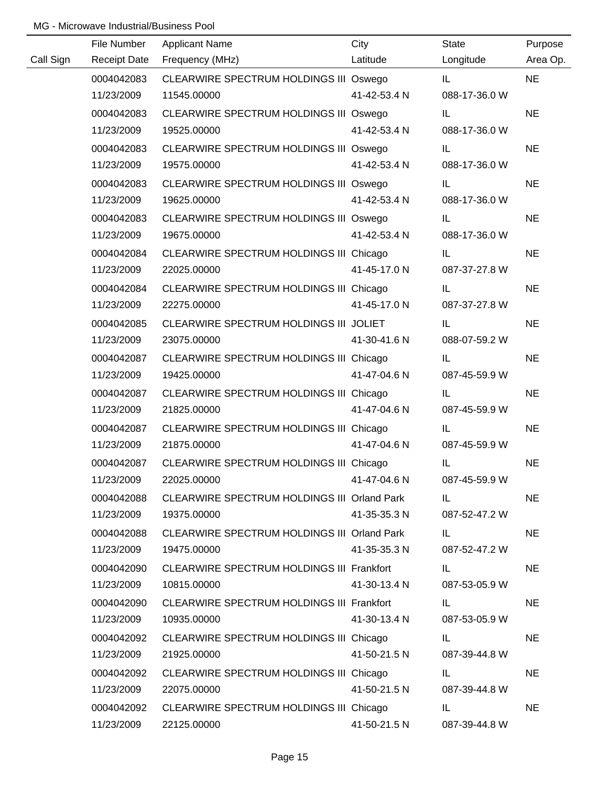|           | File Number         | <b>Applicant Name</b>                       | City         | <b>State</b>  | Purpose   |
|-----------|---------------------|---------------------------------------------|--------------|---------------|-----------|
| Call Sign | <b>Receipt Date</b> | Frequency (MHz)                             | Latitude     | Longitude     | Area Op.  |
|           | 0004042083          | CLEARWIRE SPECTRUM HOLDINGS III Oswego      |              | IL.           | <b>NE</b> |
|           | 11/23/2009          | 11545.00000                                 | 41-42-53.4 N | 088-17-36.0 W |           |
|           | 0004042083          | CLEARWIRE SPECTRUM HOLDINGS III Oswego      |              | IL.           | <b>NE</b> |
|           | 11/23/2009          | 19525.00000                                 | 41-42-53.4 N | 088-17-36.0 W |           |
|           | 0004042083          | CLEARWIRE SPECTRUM HOLDINGS III Oswego      |              | IL.           | <b>NE</b> |
|           | 11/23/2009          | 19575.00000                                 | 41-42-53.4 N | 088-17-36.0 W |           |
|           | 0004042083          | CLEARWIRE SPECTRUM HOLDINGS III Oswego      |              | IL.           | <b>NE</b> |
|           | 11/23/2009          | 19625.00000                                 | 41-42-53.4 N | 088-17-36.0 W |           |
|           | 0004042083          | CLEARWIRE SPECTRUM HOLDINGS III Oswego      |              | IL.           | <b>NE</b> |
|           | 11/23/2009          | 19675.00000                                 | 41-42-53.4 N | 088-17-36.0 W |           |
|           | 0004042084          | CLEARWIRE SPECTRUM HOLDINGS III Chicago     |              | IL.           | <b>NE</b> |
|           | 11/23/2009          | 22025.00000                                 | 41-45-17.0 N | 087-37-27.8 W |           |
|           | 0004042084          | CLEARWIRE SPECTRUM HOLDINGS III Chicago     |              | IL.           | <b>NE</b> |
|           | 11/23/2009          | 22275.00000                                 | 41-45-17.0 N | 087-37-27.8 W |           |
|           | 0004042085          | CLEARWIRE SPECTRUM HOLDINGS III JOLIET      |              | IL.           | <b>NE</b> |
|           | 11/23/2009          | 23075.00000                                 | 41-30-41.6 N | 088-07-59.2 W |           |
|           | 0004042087          | CLEARWIRE SPECTRUM HOLDINGS III Chicago     |              | IL.           | <b>NE</b> |
|           | 11/23/2009          | 19425.00000                                 | 41-47-04.6 N | 087-45-59.9 W |           |
|           | 0004042087          | CLEARWIRE SPECTRUM HOLDINGS III Chicago     |              | IL            | <b>NE</b> |
|           | 11/23/2009          | 21825.00000                                 | 41-47-04.6 N | 087-45-59.9 W |           |
|           | 0004042087          | CLEARWIRE SPECTRUM HOLDINGS III Chicago     |              | IL            | <b>NE</b> |
|           | 11/23/2009          | 21875.00000                                 | 41-47-04.6 N | 087-45-59.9 W |           |
|           | 0004042087          | CLEARWIRE SPECTRUM HOLDINGS III Chicago     |              | IL            | <b>NE</b> |
|           | 11/23/2009          | 22025.00000                                 | 41-47-04.6 N | 087-45-59.9 W |           |
|           | 0004042088          | CLEARWIRE SPECTRUM HOLDINGS III Orland Park |              | IL.           | <b>NE</b> |
|           | 11/23/2009          | 19375.00000                                 | 41-35-35.3 N | 087-52-47.2 W |           |
|           | 0004042088          | CLEARWIRE SPECTRUM HOLDINGS III Orland Park |              | IL.           | <b>NE</b> |
|           | 11/23/2009          | 19475.00000                                 | 41-35-35.3 N | 087-52-47.2 W |           |
|           | 0004042090          | CLEARWIRE SPECTRUM HOLDINGS III Frankfort   |              | IL.           | <b>NE</b> |
|           | 11/23/2009          | 10815.00000                                 | 41-30-13.4 N | 087-53-05.9 W |           |
|           | 0004042090          | CLEARWIRE SPECTRUM HOLDINGS III Frankfort   |              | IL.           | <b>NE</b> |
|           | 11/23/2009          | 10935.00000                                 | 41-30-13.4 N | 087-53-05.9 W |           |
|           | 0004042092          | CLEARWIRE SPECTRUM HOLDINGS III Chicago     |              | IL.           | <b>NE</b> |
|           | 11/23/2009          | 21925.00000                                 | 41-50-21.5 N | 087-39-44.8 W |           |
|           | 0004042092          | CLEARWIRE SPECTRUM HOLDINGS III Chicago     |              | IL.           | <b>NE</b> |
|           | 11/23/2009          | 22075.00000                                 | 41-50-21.5 N | 087-39-44.8 W |           |
|           | 0004042092          | CLEARWIRE SPECTRUM HOLDINGS III Chicago     |              | IL            | <b>NE</b> |
|           | 11/23/2009          | 22125.00000                                 | 41-50-21.5 N | 087-39-44.8 W |           |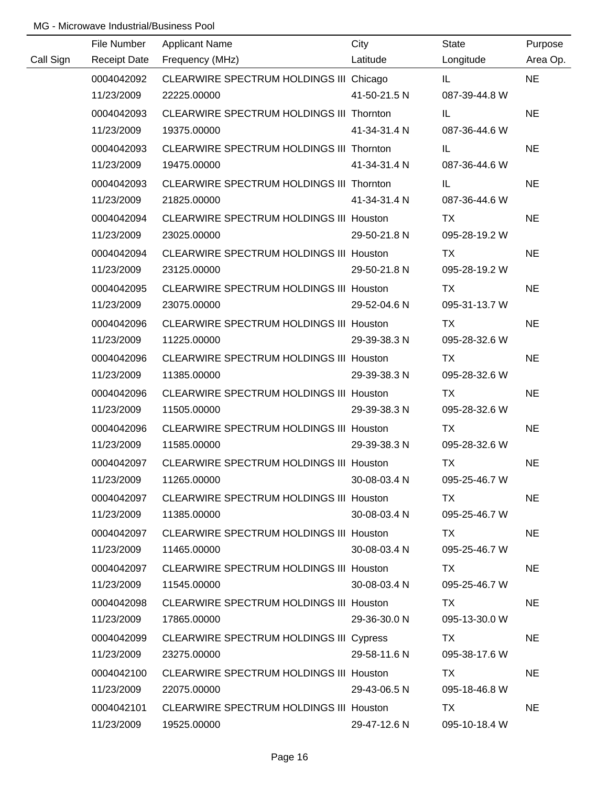|           | File Number         | <b>Applicant Name</b>                          | City         | State         | Purpose   |
|-----------|---------------------|------------------------------------------------|--------------|---------------|-----------|
| Call Sign | <b>Receipt Date</b> | Frequency (MHz)                                | Latitude     | Longitude     | Area Op.  |
|           | 0004042092          | CLEARWIRE SPECTRUM HOLDINGS III Chicago        |              | IL.           | <b>NE</b> |
|           | 11/23/2009          | 22225.00000                                    | 41-50-21.5 N | 087-39-44.8 W |           |
|           | 0004042093          | CLEARWIRE SPECTRUM HOLDINGS III Thornton       |              | IL.           | <b>NE</b> |
|           | 11/23/2009          | 19375.00000                                    | 41-34-31.4 N | 087-36-44.6 W |           |
|           | 0004042093          | CLEARWIRE SPECTRUM HOLDINGS III Thornton       |              | IL.           | <b>NE</b> |
|           | 11/23/2009          | 19475.00000                                    | 41-34-31.4 N | 087-36-44.6 W |           |
|           | 0004042093          | CLEARWIRE SPECTRUM HOLDINGS III Thornton       |              | IL.           | <b>NE</b> |
|           | 11/23/2009          | 21825.00000                                    | 41-34-31.4 N | 087-36-44.6 W |           |
|           | 0004042094          | CLEARWIRE SPECTRUM HOLDINGS III Houston        |              | TX            | <b>NE</b> |
|           | 11/23/2009          | 23025.00000                                    | 29-50-21.8 N | 095-28-19.2 W |           |
|           | 0004042094          | CLEARWIRE SPECTRUM HOLDINGS III Houston        |              | TX            | <b>NE</b> |
|           | 11/23/2009          | 23125.00000                                    | 29-50-21.8 N | 095-28-19.2 W |           |
|           | 0004042095          | CLEARWIRE SPECTRUM HOLDINGS III Houston        |              | TX            | <b>NE</b> |
|           | 11/23/2009          | 23075.00000                                    | 29-52-04.6 N | 095-31-13.7 W |           |
|           | 0004042096          | CLEARWIRE SPECTRUM HOLDINGS III Houston        |              | TX            | <b>NE</b> |
|           | 11/23/2009          | 11225.00000                                    | 29-39-38.3 N | 095-28-32.6 W |           |
|           | 0004042096          | <b>CLEARWIRE SPECTRUM HOLDINGS III Houston</b> |              | TX            | <b>NE</b> |
|           | 11/23/2009          | 11385.00000                                    | 29-39-38.3 N | 095-28-32.6 W |           |
|           | 0004042096          | CLEARWIRE SPECTRUM HOLDINGS III Houston        |              | <b>TX</b>     | <b>NE</b> |
|           | 11/23/2009          | 11505.00000                                    | 29-39-38.3 N | 095-28-32.6 W |           |
|           | 0004042096          | CLEARWIRE SPECTRUM HOLDINGS III Houston        |              | <b>TX</b>     | <b>NE</b> |
|           | 11/23/2009          | 11585.00000                                    | 29-39-38.3 N | 095-28-32.6 W |           |
|           | 0004042097          | CLEARWIRE SPECTRUM HOLDINGS III Houston        |              | <b>TX</b>     | <b>NE</b> |
|           | 11/23/2009          | 11265.00000                                    | 30-08-03.4 N | 095-25-46.7 W |           |
|           | 0004042097          | CLEARWIRE SPECTRUM HOLDINGS III Houston        |              | TX.           | <b>NE</b> |
|           | 11/23/2009          | 11385.00000                                    | 30-08-03.4 N | 095-25-46.7 W |           |
|           | 0004042097          | <b>CLEARWIRE SPECTRUM HOLDINGS III Houston</b> |              | TX.           | <b>NE</b> |
|           | 11/23/2009          | 11465.00000                                    | 30-08-03.4 N | 095-25-46.7 W |           |
|           | 0004042097          | <b>CLEARWIRE SPECTRUM HOLDINGS III Houston</b> |              | TX            | <b>NE</b> |
|           | 11/23/2009          | 11545.00000                                    | 30-08-03.4 N | 095-25-46.7 W |           |
|           | 0004042098          | <b>CLEARWIRE SPECTRUM HOLDINGS III Houston</b> |              | <b>TX</b>     | <b>NE</b> |
|           | 11/23/2009          | 17865.00000                                    | 29-36-30.0 N | 095-13-30.0 W |           |
|           | 0004042099          | CLEARWIRE SPECTRUM HOLDINGS III Cypress        |              | TX            | <b>NE</b> |
|           | 11/23/2009          | 23275.00000                                    | 29-58-11.6 N | 095-38-17.6 W |           |
|           | 0004042100          | <b>CLEARWIRE SPECTRUM HOLDINGS III Houston</b> |              | TX            | <b>NE</b> |
|           | 11/23/2009          | 22075.00000                                    | 29-43-06.5 N | 095-18-46.8 W |           |
|           | 0004042101          | <b>CLEARWIRE SPECTRUM HOLDINGS III Houston</b> |              | TX            | <b>NE</b> |
|           | 11/23/2009          | 19525.00000                                    | 29-47-12.6 N | 095-10-18.4 W |           |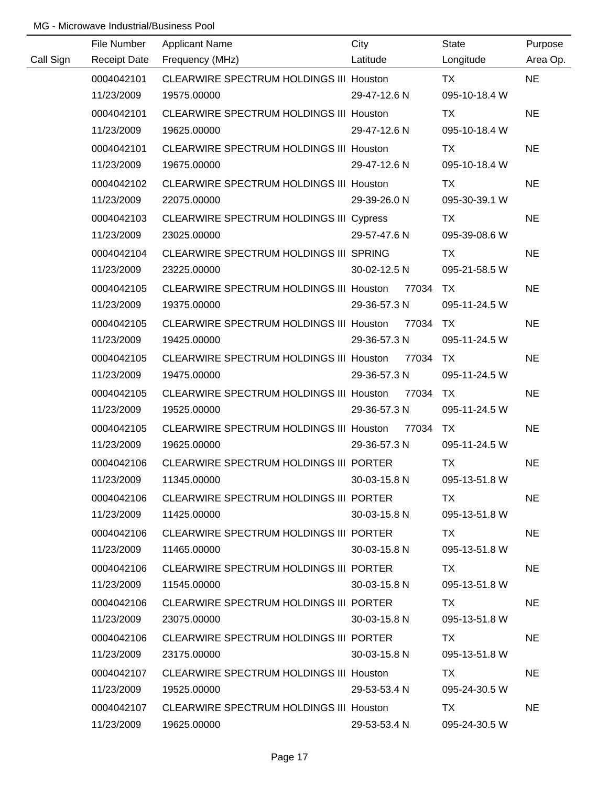|           | File Number         | <b>Applicant Name</b>                          | City         | <b>State</b>  | Purpose   |
|-----------|---------------------|------------------------------------------------|--------------|---------------|-----------|
| Call Sign | <b>Receipt Date</b> | Frequency (MHz)                                | Latitude     | Longitude     | Area Op.  |
|           | 0004042101          | CLEARWIRE SPECTRUM HOLDINGS III Houston        |              | <b>TX</b>     | <b>NE</b> |
|           | 11/23/2009          | 19575.00000                                    | 29-47-12.6 N | 095-10-18.4 W |           |
|           | 0004042101          | CLEARWIRE SPECTRUM HOLDINGS III Houston        |              | <b>TX</b>     | <b>NE</b> |
|           | 11/23/2009          | 19625.00000                                    | 29-47-12.6 N | 095-10-18.4 W |           |
|           | 0004042101          | <b>CLEARWIRE SPECTRUM HOLDINGS III Houston</b> |              | TX            | <b>NE</b> |
|           | 11/23/2009          | 19675.00000                                    | 29-47-12.6 N | 095-10-18.4 W |           |
|           | 0004042102          | <b>CLEARWIRE SPECTRUM HOLDINGS III Houston</b> |              | TX            | <b>NE</b> |
|           | 11/23/2009          | 22075.00000                                    | 29-39-26.0 N | 095-30-39.1 W |           |
|           | 0004042103          | CLEARWIRE SPECTRUM HOLDINGS III Cypress        |              | TX            | <b>NE</b> |
|           | 11/23/2009          | 23025.00000                                    | 29-57-47.6 N | 095-39-08.6 W |           |
|           | 0004042104          | CLEARWIRE SPECTRUM HOLDINGS III SPRING         |              | TX            | <b>NE</b> |
|           | 11/23/2009          | 23225.00000                                    | 30-02-12.5 N | 095-21-58.5 W |           |
|           | 0004042105          | CLEARWIRE SPECTRUM HOLDINGS III Houston        | 77034        | TX.           | <b>NE</b> |
|           | 11/23/2009          | 19375.00000                                    | 29-36-57.3 N | 095-11-24.5 W |           |
|           | 0004042105          | CLEARWIRE SPECTRUM HOLDINGS III Houston        | 77034        | <b>TX</b>     | <b>NE</b> |
|           | 11/23/2009          | 19425.00000                                    | 29-36-57.3 N | 095-11-24.5 W |           |
|           | 0004042105          | CLEARWIRE SPECTRUM HOLDINGS III Houston        | 77034        | TX            | <b>NE</b> |
|           | 11/23/2009          | 19475.00000                                    | 29-36-57.3 N | 095-11-24.5 W |           |
|           | 0004042105          | CLEARWIRE SPECTRUM HOLDINGS III Houston 77034  |              | <b>TX</b>     | <b>NE</b> |
|           | 11/23/2009          | 19525.00000                                    | 29-36-57.3 N | 095-11-24.5 W |           |
|           | 0004042105          | CLEARWIRE SPECTRUM HOLDINGS III Houston        | 77034        | TX.           | <b>NE</b> |
|           | 11/23/2009          | 19625.00000                                    | 29-36-57.3 N | 095-11-24.5 W |           |
|           | 0004042106          | CLEARWIRE SPECTRUM HOLDINGS III PORTER         |              | <b>TX</b>     | <b>NE</b> |
|           | 11/23/2009          | 11345.00000                                    | 30-03-15.8 N | 095-13-51.8 W |           |
|           | 0004042106          | CLEARWIRE SPECTRUM HOLDINGS III PORTER         |              | TX.           | <b>NE</b> |
|           | 11/23/2009          | 11425.00000                                    | 30-03-15.8 N | 095-13-51.8 W |           |
|           | 0004042106          | CLEARWIRE SPECTRUM HOLDINGS III PORTER         |              | TX TX         | <b>NE</b> |
|           | 11/23/2009          | 11465.00000                                    | 30-03-15.8 N | 095-13-51.8 W |           |
|           | 0004042106          | CLEARWIRE SPECTRUM HOLDINGS III PORTER         |              | TX.           | <b>NE</b> |
|           | 11/23/2009          | 11545.00000                                    | 30-03-15.8 N | 095-13-51.8 W |           |
|           | 0004042106          | CLEARWIRE SPECTRUM HOLDINGS III PORTER         |              | TX.           | <b>NE</b> |
|           | 11/23/2009          | 23075.00000                                    | 30-03-15.8 N | 095-13-51.8 W |           |
|           | 0004042106          | CLEARWIRE SPECTRUM HOLDINGS III PORTER         |              | TX.           | <b>NE</b> |
|           | 11/23/2009          | 23175.00000                                    | 30-03-15.8 N | 095-13-51.8 W |           |
|           | 0004042107          | CLEARWIRE SPECTRUM HOLDINGS III Houston        |              | TX.           | <b>NE</b> |
|           | 11/23/2009          | 19525.00000                                    | 29-53-53.4 N | 095-24-30.5 W |           |
|           | 0004042107          | CLEARWIRE SPECTRUM HOLDINGS III Houston        |              | TX.           | <b>NE</b> |
|           | 11/23/2009          | 19625.00000                                    | 29-53-53.4 N | 095-24-30.5 W |           |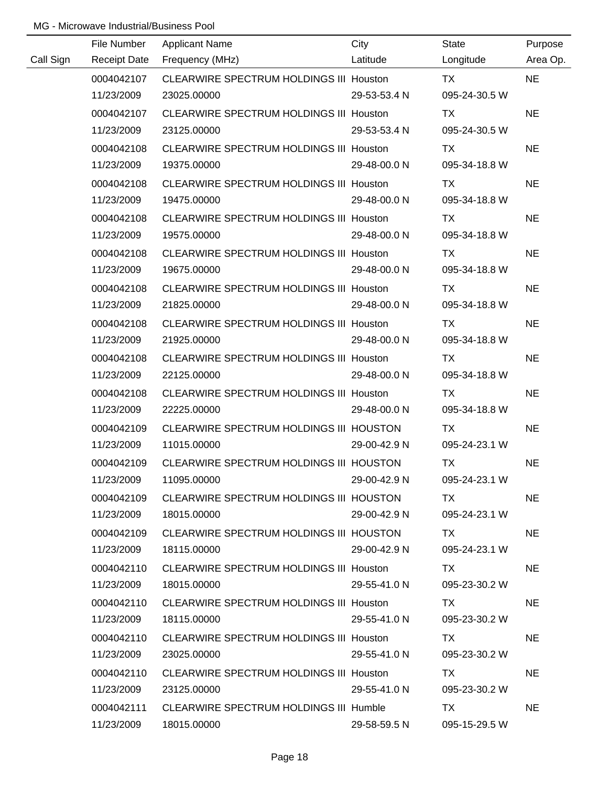|           | File Number         | <b>Applicant Name</b>                          | City         | State         | Purpose   |
|-----------|---------------------|------------------------------------------------|--------------|---------------|-----------|
| Call Sign | <b>Receipt Date</b> | Frequency (MHz)                                | Latitude     | Longitude     | Area Op.  |
|           | 0004042107          | CLEARWIRE SPECTRUM HOLDINGS III Houston        |              | <b>TX</b>     | <b>NE</b> |
|           | 11/23/2009          | 23025.00000                                    | 29-53-53.4 N | 095-24-30.5 W |           |
|           | 0004042107          | CLEARWIRE SPECTRUM HOLDINGS III Houston        |              | TX            | <b>NE</b> |
|           | 11/23/2009          | 23125.00000                                    | 29-53-53.4 N | 095-24-30.5 W |           |
|           | 0004042108          | <b>CLEARWIRE SPECTRUM HOLDINGS III Houston</b> |              | TX            | <b>NE</b> |
|           | 11/23/2009          | 19375.00000                                    | 29-48-00.0 N | 095-34-18.8 W |           |
|           | 0004042108          | CLEARWIRE SPECTRUM HOLDINGS III Houston        |              | TX            | <b>NE</b> |
|           | 11/23/2009          | 19475.00000                                    | 29-48-00.0 N | 095-34-18.8 W |           |
|           | 0004042108          | CLEARWIRE SPECTRUM HOLDINGS III Houston        |              | TX            | <b>NE</b> |
|           | 11/23/2009          | 19575.00000                                    | 29-48-00.0 N | 095-34-18.8 W |           |
|           | 0004042108          | CLEARWIRE SPECTRUM HOLDINGS III Houston        |              | TX            | <b>NE</b> |
|           | 11/23/2009          | 19675.00000                                    | 29-48-00.0 N | 095-34-18.8 W |           |
|           | 0004042108          | <b>CLEARWIRE SPECTRUM HOLDINGS III Houston</b> |              | TX            | <b>NE</b> |
|           | 11/23/2009          | 21825.00000                                    | 29-48-00.0 N | 095-34-18.8 W |           |
|           | 0004042108          | <b>CLEARWIRE SPECTRUM HOLDINGS III Houston</b> |              | TX            | <b>NE</b> |
|           | 11/23/2009          | 21925.00000                                    | 29-48-00.0 N | 095-34-18.8 W |           |
|           | 0004042108          | <b>CLEARWIRE SPECTRUM HOLDINGS III Houston</b> |              | TX            | <b>NE</b> |
|           | 11/23/2009          | 22125.00000                                    | 29-48-00.0 N | 095-34-18.8 W |           |
|           | 0004042108          | <b>CLEARWIRE SPECTRUM HOLDINGS III Houston</b> |              | <b>TX</b>     | <b>NE</b> |
|           | 11/23/2009          | 22225.00000                                    | 29-48-00.0 N | 095-34-18.8 W |           |
|           | 0004042109          | CLEARWIRE SPECTRUM HOLDINGS III HOUSTON        |              | <b>TX</b>     | <b>NE</b> |
|           | 11/23/2009          | 11015.00000                                    | 29-00-42.9 N | 095-24-23.1 W |           |
|           | 0004042109          | CLEARWIRE SPECTRUM HOLDINGS III HOUSTON        |              | <b>TX</b>     | <b>NE</b> |
|           | 11/23/2009          | 11095.00000                                    | 29-00-42.9 N | 095-24-23.1 W |           |
|           | 0004042109          | CLEARWIRE SPECTRUM HOLDINGS III HOUSTON        |              | TX.           | <b>NE</b> |
|           | 11/23/2009          | 18015.00000                                    | 29-00-42.9 N | 095-24-23.1 W |           |
|           | 0004042109          | CLEARWIRE SPECTRUM HOLDINGS III HOUSTON        |              | TX.           | <b>NE</b> |
|           | 11/23/2009          | 18115.00000                                    | 29-00-42.9 N | 095-24-23.1 W |           |
|           | 0004042110          | CLEARWIRE SPECTRUM HOLDINGS III Houston        |              | TX.           | <b>NE</b> |
|           | 11/23/2009          | 18015.00000                                    | 29-55-41.0 N | 095-23-30.2 W |           |
|           | 0004042110          | CLEARWIRE SPECTRUM HOLDINGS III Houston        |              | TX.           | <b>NE</b> |
|           | 11/23/2009          | 18115.00000                                    | 29-55-41.0 N | 095-23-30.2 W |           |
|           | 0004042110          | CLEARWIRE SPECTRUM HOLDINGS III Houston        |              | TX.           | <b>NE</b> |
|           | 11/23/2009          | 23025.00000                                    | 29-55-41.0 N | 095-23-30.2 W |           |
|           | 0004042110          | CLEARWIRE SPECTRUM HOLDINGS III Houston        |              | TX            | <b>NE</b> |
|           | 11/23/2009          | 23125.00000                                    | 29-55-41.0 N | 095-23-30.2 W |           |
|           | 0004042111          | CLEARWIRE SPECTRUM HOLDINGS III Humble         |              | <b>TX</b>     | <b>NE</b> |
|           | 11/23/2009          | 18015.00000                                    | 29-58-59.5 N | 095-15-29.5 W |           |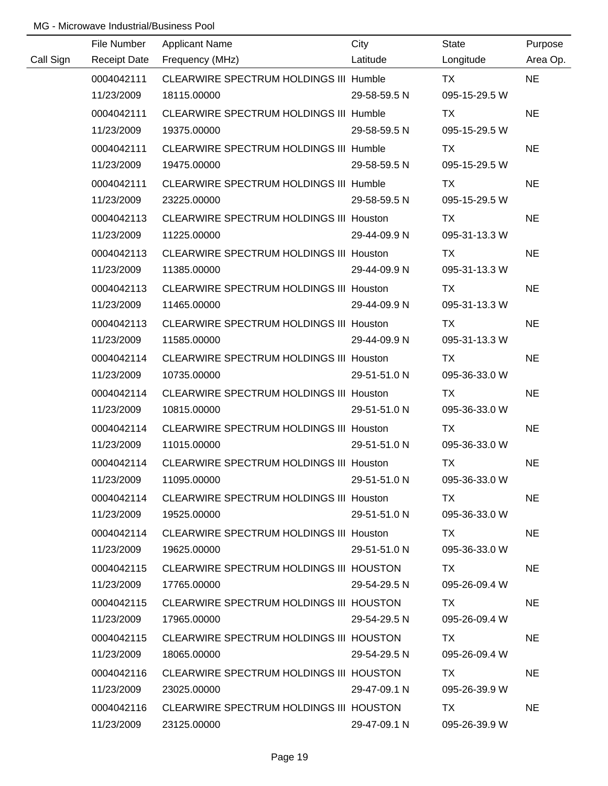|           | File Number         | <b>Applicant Name</b>                          | City         | <b>State</b>  | Purpose   |
|-----------|---------------------|------------------------------------------------|--------------|---------------|-----------|
| Call Sign | <b>Receipt Date</b> | Frequency (MHz)                                | Latitude     | Longitude     | Area Op.  |
|           | 0004042111          | CLEARWIRE SPECTRUM HOLDINGS III Humble         |              | <b>TX</b>     | <b>NE</b> |
|           | 11/23/2009          | 18115.00000                                    | 29-58-59.5 N | 095-15-29.5 W |           |
|           | 0004042111          | CLEARWIRE SPECTRUM HOLDINGS III Humble         |              | TX            | <b>NE</b> |
|           | 11/23/2009          | 19375.00000                                    | 29-58-59.5 N | 095-15-29.5 W |           |
|           | 0004042111          | <b>CLEARWIRE SPECTRUM HOLDINGS III Humble</b>  |              | TX            | <b>NE</b> |
|           | 11/23/2009          | 19475.00000                                    | 29-58-59.5 N | 095-15-29.5 W |           |
|           | 0004042111          | <b>CLEARWIRE SPECTRUM HOLDINGS III Humble</b>  |              | TX            | <b>NE</b> |
|           | 11/23/2009          | 23225.00000                                    | 29-58-59.5 N | 095-15-29.5 W |           |
|           | 0004042113          | CLEARWIRE SPECTRUM HOLDINGS III Houston        |              | TX            | <b>NE</b> |
|           | 11/23/2009          | 11225.00000                                    | 29-44-09.9 N | 095-31-13.3 W |           |
|           | 0004042113          | CLEARWIRE SPECTRUM HOLDINGS III Houston        |              | TX            | <b>NE</b> |
|           | 11/23/2009          | 11385.00000                                    | 29-44-09.9 N | 095-31-13.3 W |           |
|           | 0004042113          | CLEARWIRE SPECTRUM HOLDINGS III Houston        |              | TX            | <b>NE</b> |
|           | 11/23/2009          | 11465.00000                                    | 29-44-09.9 N | 095-31-13.3 W |           |
|           | 0004042113          | <b>CLEARWIRE SPECTRUM HOLDINGS III Houston</b> |              | TX            | <b>NE</b> |
|           | 11/23/2009          | 11585.00000                                    | 29-44-09.9 N | 095-31-13.3 W |           |
|           | 0004042114          | CLEARWIRE SPECTRUM HOLDINGS III Houston        |              | TX            | <b>NE</b> |
|           | 11/23/2009          | 10735.00000                                    | 29-51-51.0 N | 095-36-33.0 W |           |
|           | 0004042114          | CLEARWIRE SPECTRUM HOLDINGS III Houston        |              | TX            | <b>NE</b> |
|           | 11/23/2009          | 10815.00000                                    | 29-51-51.0 N | 095-36-33.0 W |           |
|           | 0004042114          | <b>CLEARWIRE SPECTRUM HOLDINGS III Houston</b> |              | <b>TX</b>     | <b>NE</b> |
|           | 11/23/2009          | 11015.00000                                    | 29-51-51.0 N | 095-36-33.0 W |           |
|           | 0004042114          | CLEARWIRE SPECTRUM HOLDINGS III Houston        |              | <b>TX</b>     | <b>NE</b> |
|           | 11/23/2009          | 11095.00000                                    | 29-51-51.0 N | 095-36-33.0 W |           |
|           | 0004042114          | CLEARWIRE SPECTRUM HOLDINGS III Houston        |              | TX.           | <b>NE</b> |
|           | 11/23/2009          | 19525.00000                                    | 29-51-51.0 N | 095-36-33.0 W |           |
|           | 0004042114          | CLEARWIRE SPECTRUM HOLDINGS III Houston        |              | TX.           | <b>NE</b> |
|           | 11/23/2009          | 19625.00000                                    | 29-51-51.0 N | 095-36-33.0 W |           |
|           | 0004042115          | CLEARWIRE SPECTRUM HOLDINGS III HOUSTON        |              | TX.           | <b>NE</b> |
|           | 11/23/2009          | 17765.00000                                    | 29-54-29.5 N | 095-26-09.4 W |           |
|           | 0004042115          | CLEARWIRE SPECTRUM HOLDINGS III HOUSTON        |              | TX.           | <b>NE</b> |
|           | 11/23/2009          | 17965.00000                                    | 29-54-29.5 N | 095-26-09.4 W |           |
|           | 0004042115          | CLEARWIRE SPECTRUM HOLDINGS III HOUSTON        |              | TX            | <b>NE</b> |
|           | 11/23/2009          | 18065.00000                                    | 29-54-29.5 N | 095-26-09.4 W |           |
|           | 0004042116          | CLEARWIRE SPECTRUM HOLDINGS III HOUSTON        |              | TX.           | <b>NE</b> |
|           | 11/23/2009          | 23025.00000                                    | 29-47-09.1 N | 095-26-39.9 W |           |
|           | 0004042116          | CLEARWIRE SPECTRUM HOLDINGS III HOUSTON        |              | TX            | <b>NE</b> |
|           | 11/23/2009          | 23125.00000                                    | 29-47-09.1 N | 095-26-39.9 W |           |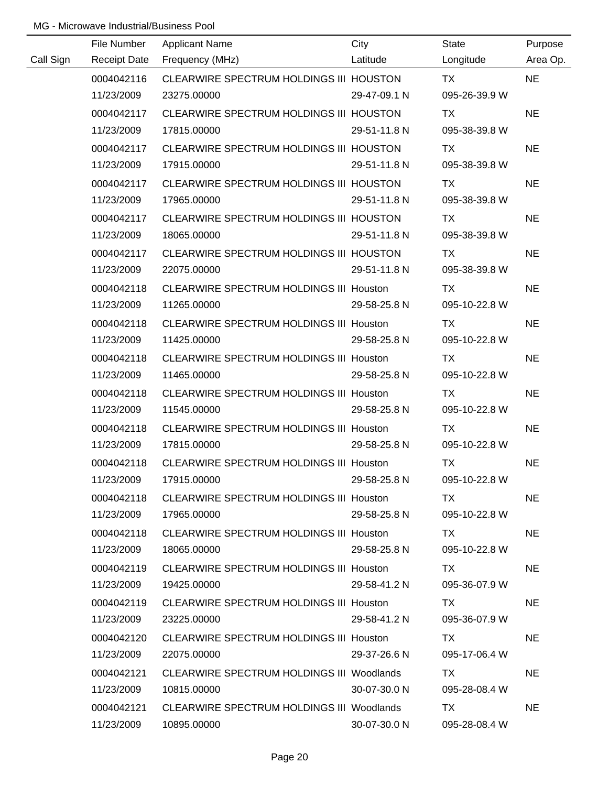|           | File Number         | <b>Applicant Name</b>                          | City         | State         | Purpose   |
|-----------|---------------------|------------------------------------------------|--------------|---------------|-----------|
| Call Sign | <b>Receipt Date</b> | Frequency (MHz)                                | Latitude     | Longitude     | Area Op.  |
|           | 0004042116          | CLEARWIRE SPECTRUM HOLDINGS III HOUSTON        |              | <b>TX</b>     | <b>NE</b> |
|           | 11/23/2009          | 23275.00000                                    | 29-47-09.1 N | 095-26-39.9 W |           |
|           | 0004042117          | CLEARWIRE SPECTRUM HOLDINGS III HOUSTON        |              | TX            | <b>NE</b> |
|           | 11/23/2009          | 17815.00000                                    | 29-51-11.8 N | 095-38-39.8 W |           |
|           | 0004042117          | CLEARWIRE SPECTRUM HOLDINGS III HOUSTON        |              | TX            | <b>NE</b> |
|           | 11/23/2009          | 17915.00000                                    | 29-51-11.8 N | 095-38-39.8 W |           |
|           | 0004042117          | CLEARWIRE SPECTRUM HOLDINGS III HOUSTON        |              | TX            | <b>NE</b> |
|           | 11/23/2009          | 17965.00000                                    | 29-51-11.8 N | 095-38-39.8 W |           |
|           | 0004042117          | CLEARWIRE SPECTRUM HOLDINGS III HOUSTON        |              | TX            | <b>NE</b> |
|           | 11/23/2009          | 18065.00000                                    | 29-51-11.8 N | 095-38-39.8 W |           |
|           | 0004042117          | CLEARWIRE SPECTRUM HOLDINGS III HOUSTON        |              | TX            | <b>NE</b> |
|           | 11/23/2009          | 22075.00000                                    | 29-51-11.8 N | 095-38-39.8 W |           |
|           | 0004042118          | CLEARWIRE SPECTRUM HOLDINGS III Houston        |              | TX            | <b>NE</b> |
|           | 11/23/2009          | 11265.00000                                    | 29-58-25.8 N | 095-10-22.8 W |           |
|           | 0004042118          | CLEARWIRE SPECTRUM HOLDINGS III Houston        |              | TX            | <b>NE</b> |
|           | 11/23/2009          | 11425.00000                                    | 29-58-25.8 N | 095-10-22.8 W |           |
|           | 0004042118          | <b>CLEARWIRE SPECTRUM HOLDINGS III Houston</b> |              | TX            | <b>NE</b> |
|           | 11/23/2009          | 11465.00000                                    | 29-58-25.8 N | 095-10-22.8 W |           |
|           | 0004042118          | CLEARWIRE SPECTRUM HOLDINGS III Houston        |              | <b>TX</b>     | <b>NE</b> |
|           | 11/23/2009          | 11545.00000                                    | 29-58-25.8 N | 095-10-22.8 W |           |
|           | 0004042118          | <b>CLEARWIRE SPECTRUM HOLDINGS III Houston</b> |              | <b>TX</b>     | <b>NE</b> |
|           | 11/23/2009          | 17815.00000                                    | 29-58-25.8 N | 095-10-22.8 W |           |
|           | 0004042118          | CLEARWIRE SPECTRUM HOLDINGS III Houston        |              | <b>TX</b>     | <b>NE</b> |
|           | 11/23/2009          | 17915.00000                                    | 29-58-25.8 N | 095-10-22.8 W |           |
|           | 0004042118          | CLEARWIRE SPECTRUM HOLDINGS III Houston        |              | TX.           | <b>NE</b> |
|           | 11/23/2009          | 17965.00000                                    | 29-58-25.8 N | 095-10-22.8 W |           |
|           | 0004042118          | CLEARWIRE SPECTRUM HOLDINGS III Houston        |              | TX.           | <b>NE</b> |
|           | 11/23/2009          | 18065.00000                                    | 29-58-25.8 N | 095-10-22.8 W |           |
|           | 0004042119          | CLEARWIRE SPECTRUM HOLDINGS III Houston        |              | TX            | <b>NE</b> |
|           | 11/23/2009          | 19425.00000                                    | 29-58-41.2 N | 095-36-07.9 W |           |
|           | 0004042119          | <b>CLEARWIRE SPECTRUM HOLDINGS III Houston</b> |              | TX.           | <b>NE</b> |
|           | 11/23/2009          | 23225.00000                                    | 29-58-41.2 N | 095-36-07.9 W |           |
|           | 0004042120          | CLEARWIRE SPECTRUM HOLDINGS III Houston        |              | TX.           | <b>NE</b> |
|           | 11/23/2009          | 22075.00000                                    | 29-37-26.6 N | 095-17-06.4 W |           |
|           | 0004042121          | CLEARWIRE SPECTRUM HOLDINGS III Woodlands      |              | TX            | <b>NE</b> |
|           | 11/23/2009          | 10815.00000                                    | 30-07-30.0 N | 095-28-08.4 W |           |
|           | 0004042121          | CLEARWIRE SPECTRUM HOLDINGS III Woodlands      |              | <b>TX</b>     | <b>NE</b> |
|           | 11/23/2009          | 10895.00000                                    | 30-07-30.0 N | 095-28-08.4 W |           |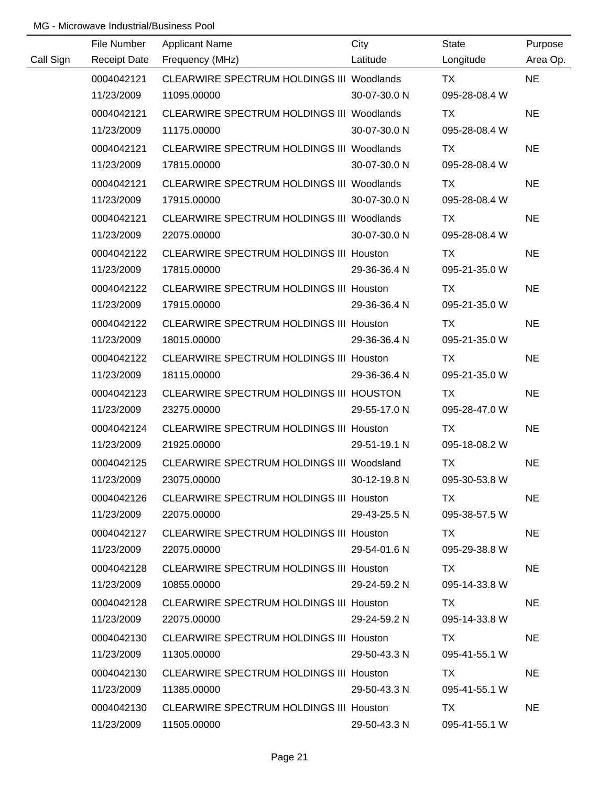|           | File Number         | <b>Applicant Name</b>                            | City         | <b>State</b>  | Purpose   |
|-----------|---------------------|--------------------------------------------------|--------------|---------------|-----------|
| Call Sign | <b>Receipt Date</b> | Frequency (MHz)                                  | Latitude     | Longitude     | Area Op.  |
|           | 0004042121          | CLEARWIRE SPECTRUM HOLDINGS III Woodlands        |              | <b>TX</b>     | <b>NE</b> |
|           | 11/23/2009          | 11095.00000                                      | 30-07-30.0 N | 095-28-08.4 W |           |
|           | 0004042121          | CLEARWIRE SPECTRUM HOLDINGS III Woodlands        |              | TX            | <b>NE</b> |
|           | 11/23/2009          | 11175.00000                                      | 30-07-30.0 N | 095-28-08.4 W |           |
|           | 0004042121          | <b>CLEARWIRE SPECTRUM HOLDINGS III Woodlands</b> |              | TX            | <b>NE</b> |
|           | 11/23/2009          | 17815.00000                                      | 30-07-30.0 N | 095-28-08.4 W |           |
|           | 0004042121          | CLEARWIRE SPECTRUM HOLDINGS III Woodlands        |              | TX            | <b>NE</b> |
|           | 11/23/2009          | 17915.00000                                      | 30-07-30.0 N | 095-28-08.4 W |           |
|           | 0004042121          | CLEARWIRE SPECTRUM HOLDINGS III Woodlands        |              | TX            | <b>NE</b> |
|           | 11/23/2009          | 22075.00000                                      | 30-07-30.0 N | 095-28-08.4 W |           |
|           | 0004042122          | CLEARWIRE SPECTRUM HOLDINGS III Houston          |              | TX            | <b>NE</b> |
|           | 11/23/2009          | 17815.00000                                      | 29-36-36.4 N | 095-21-35.0 W |           |
|           | 0004042122          | CLEARWIRE SPECTRUM HOLDINGS III Houston          |              | TX            | <b>NE</b> |
|           | 11/23/2009          | 17915.00000                                      | 29-36-36.4 N | 095-21-35.0 W |           |
|           | 0004042122          | <b>CLEARWIRE SPECTRUM HOLDINGS III Houston</b>   |              | TX            | <b>NE</b> |
|           | 11/23/2009          | 18015.00000                                      | 29-36-36.4 N | 095-21-35.0 W |           |
|           | 0004042122          | CLEARWIRE SPECTRUM HOLDINGS III Houston          |              | TX            | <b>NE</b> |
|           | 11/23/2009          | 18115.00000                                      | 29-36-36.4 N | 095-21-35.0 W |           |
|           | 0004042123          | CLEARWIRE SPECTRUM HOLDINGS III HOUSTON          |              | <b>TX</b>     | <b>NE</b> |
|           | 11/23/2009          | 23275.00000                                      | 29-55-17.0 N | 095-28-47.0 W |           |
|           | 0004042124          | <b>CLEARWIRE SPECTRUM HOLDINGS III Houston</b>   |              | <b>TX</b>     | <b>NE</b> |
|           | 11/23/2009          | 21925.00000                                      | 29-51-19.1 N | 095-18-08.2 W |           |
|           | 0004042125          | CLEARWIRE SPECTRUM HOLDINGS III Woodsland        |              | <b>TX</b>     | <b>NE</b> |
|           | 11/23/2009          | 23075.00000                                      | 30-12-19.8 N | 095-30-53.8 W |           |
|           | 0004042126          | CLEARWIRE SPECTRUM HOLDINGS III Houston          |              | TX.           | <b>NE</b> |
|           | 11/23/2009          | 22075.00000                                      | 29-43-25.5 N | 095-38-57.5 W |           |
|           | 0004042127          | CLEARWIRE SPECTRUM HOLDINGS III Houston          |              | TX .          | <b>NE</b> |
|           | 11/23/2009          | 22075.00000                                      | 29-54-01.6 N | 095-29-38.8 W |           |
|           | 0004042128          | CLEARWIRE SPECTRUM HOLDINGS III Houston          |              | TX.           | <b>NE</b> |
|           | 11/23/2009          | 10855.00000                                      | 29-24-59.2 N | 095-14-33.8 W |           |
|           | 0004042128          | CLEARWIRE SPECTRUM HOLDINGS III Houston          |              | TX.           | <b>NE</b> |
|           | 11/23/2009          | 22075.00000                                      | 29-24-59.2 N | 095-14-33.8 W |           |
|           | 0004042130          | CLEARWIRE SPECTRUM HOLDINGS III Houston          |              | TX            | <b>NE</b> |
|           | 11/23/2009          | 11305.00000                                      | 29-50-43.3 N | 095-41-55.1 W |           |
|           | 0004042130          | <b>CLEARWIRE SPECTRUM HOLDINGS III Houston</b>   |              | TX.           | <b>NE</b> |
|           | 11/23/2009          | 11385.00000                                      | 29-50-43.3 N | 095-41-55.1 W |           |
|           | 0004042130          | <b>CLEARWIRE SPECTRUM HOLDINGS III Houston</b>   |              | TX            | <b>NE</b> |
|           | 11/23/2009          | 11505.00000                                      | 29-50-43.3 N | 095-41-55.1 W |           |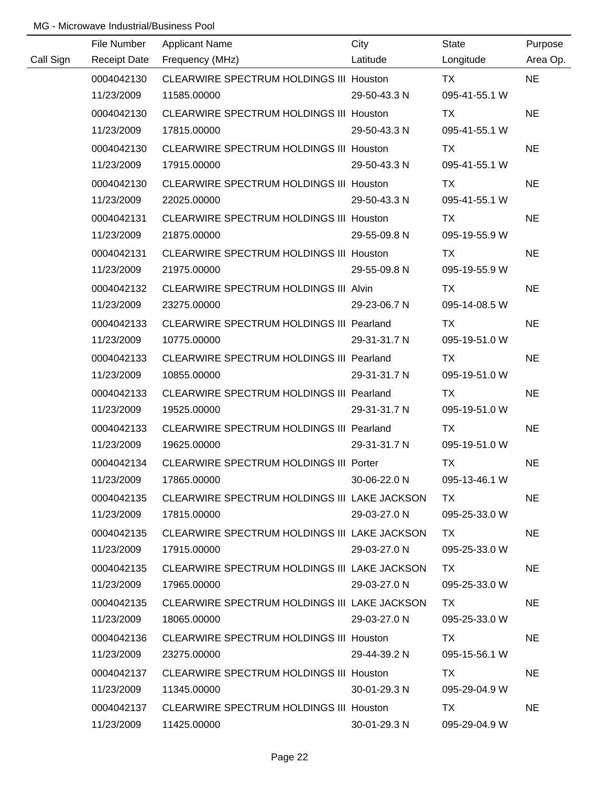|           | File Number         | <b>Applicant Name</b>                           | City         | <b>State</b>  | Purpose   |
|-----------|---------------------|-------------------------------------------------|--------------|---------------|-----------|
| Call Sign | <b>Receipt Date</b> | Frequency (MHz)                                 | Latitude     | Longitude     | Area Op.  |
|           | 0004042130          | CLEARWIRE SPECTRUM HOLDINGS III Houston         |              | <b>TX</b>     | <b>NE</b> |
|           | 11/23/2009          | 11585.00000                                     | 29-50-43.3 N | 095-41-55.1 W |           |
|           | 0004042130          | CLEARWIRE SPECTRUM HOLDINGS III Houston         |              | TX            | <b>NE</b> |
|           | 11/23/2009          | 17815.00000                                     | 29-50-43.3 N | 095-41-55.1 W |           |
|           | 0004042130          | CLEARWIRE SPECTRUM HOLDINGS III Houston         |              | TX            | <b>NE</b> |
|           | 11/23/2009          | 17915.00000                                     | 29-50-43.3 N | 095-41-55.1 W |           |
|           | 0004042130          | <b>CLEARWIRE SPECTRUM HOLDINGS III Houston</b>  |              | <b>TX</b>     | <b>NE</b> |
|           | 11/23/2009          | 22025.00000                                     | 29-50-43.3 N | 095-41-55.1 W |           |
|           | 0004042131          | CLEARWIRE SPECTRUM HOLDINGS III Houston         |              | TX            | <b>NE</b> |
|           | 11/23/2009          | 21875.00000                                     | 29-55-09.8 N | 095-19-55.9 W |           |
|           | 0004042131          | CLEARWIRE SPECTRUM HOLDINGS III Houston         |              | <b>TX</b>     | <b>NE</b> |
|           | 11/23/2009          | 21975.00000                                     | 29-55-09.8 N | 095-19-55.9 W |           |
|           | 0004042132          | CLEARWIRE SPECTRUM HOLDINGS III Alvin           |              | TX            | <b>NE</b> |
|           | 11/23/2009          | 23275.00000                                     | 29-23-06.7 N | 095-14-08.5 W |           |
|           | 0004042133          | <b>CLEARWIRE SPECTRUM HOLDINGS III Pearland</b> |              | TX            | <b>NE</b> |
|           | 11/23/2009          | 10775.00000                                     | 29-31-31.7 N | 095-19-51.0 W |           |
|           | 0004042133          | CLEARWIRE SPECTRUM HOLDINGS III Pearland        |              | TX            | <b>NE</b> |
|           | 11/23/2009          | 10855.00000                                     | 29-31-31.7 N | 095-19-51.0 W |           |
|           | 0004042133          | <b>CLEARWIRE SPECTRUM HOLDINGS III Pearland</b> |              | TX            | <b>NE</b> |
|           | 11/23/2009          | 19525.00000                                     | 29-31-31.7 N | 095-19-51.0 W |           |
|           | 0004042133          | CLEARWIRE SPECTRUM HOLDINGS III Pearland        |              | <b>TX</b>     | <b>NE</b> |
|           | 11/23/2009          | 19625.00000                                     | 29-31-31.7 N | 095-19-51.0 W |           |
|           | 0004042134          | CLEARWIRE SPECTRUM HOLDINGS III Porter          |              | <b>TX</b>     | <b>NE</b> |
|           | 11/23/2009          | 17865.00000                                     | 30-06-22.0 N | 095-13-46.1 W |           |
|           | 0004042135          | CLEARWIRE SPECTRUM HOLDINGS III LAKE JACKSON    |              | TX.           | <b>NE</b> |
|           | 11/23/2009          | 17815.00000                                     | 29-03-27.0 N | 095-25-33.0 W |           |
|           | 0004042135          | CLEARWIRE SPECTRUM HOLDINGS III LAKE JACKSON    |              | TX.           | <b>NE</b> |
|           | 11/23/2009          | 17915.00000                                     | 29-03-27.0 N | 095-25-33.0 W |           |
|           | 0004042135          | CLEARWIRE SPECTRUM HOLDINGS III LAKE JACKSON    |              | TX.           | <b>NE</b> |
|           | 11/23/2009          | 17965.00000                                     | 29-03-27.0 N | 095-25-33.0 W |           |
|           | 0004042135          | CLEARWIRE SPECTRUM HOLDINGS III LAKE JACKSON    |              | TX.           | <b>NE</b> |
|           | 11/23/2009          | 18065.00000                                     | 29-03-27.0 N | 095-25-33.0 W |           |
|           | 0004042136          | <b>CLEARWIRE SPECTRUM HOLDINGS III Houston</b>  |              | TX.           | <b>NE</b> |
|           | 11/23/2009          | 23275.00000                                     | 29-44-39.2 N | 095-15-56.1 W |           |
|           | 0004042137          | CLEARWIRE SPECTRUM HOLDINGS III Houston         |              | TX.           | <b>NE</b> |
|           | 11/23/2009          | 11345.00000                                     | 30-01-29.3 N | 095-29-04.9 W |           |
|           | 0004042137          | CLEARWIRE SPECTRUM HOLDINGS III Houston         |              | TX            | <b>NE</b> |
|           | 11/23/2009          | 11425.00000                                     | 30-01-29.3 N | 095-29-04.9 W |           |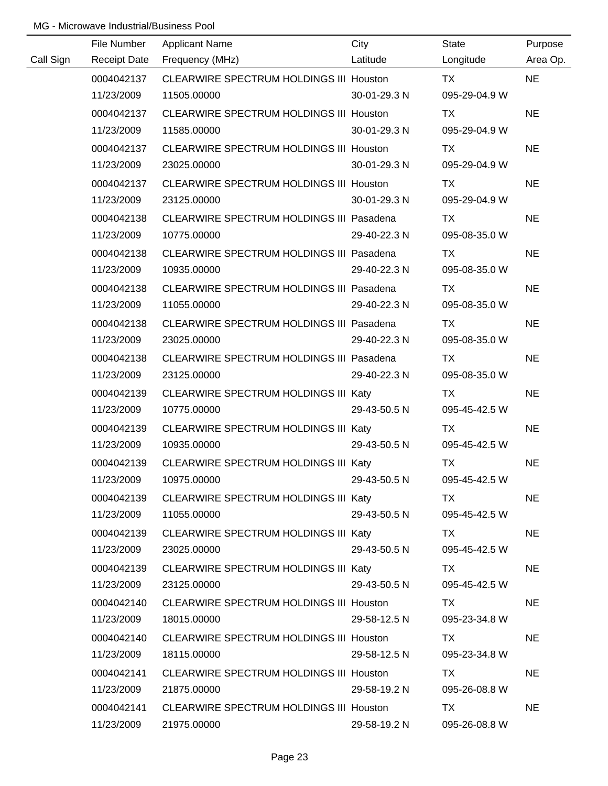|           | File Number         | <b>Applicant Name</b>                          | City         | <b>State</b>  | Purpose   |
|-----------|---------------------|------------------------------------------------|--------------|---------------|-----------|
| Call Sign | <b>Receipt Date</b> | Frequency (MHz)                                | Latitude     | Longitude     | Area Op.  |
|           | 0004042137          | CLEARWIRE SPECTRUM HOLDINGS III Houston        |              | TX            | <b>NE</b> |
|           | 11/23/2009          | 11505.00000                                    | 30-01-29.3 N | 095-29-04.9 W |           |
|           | 0004042137          | CLEARWIRE SPECTRUM HOLDINGS III Houston        |              | TX            | <b>NE</b> |
|           | 11/23/2009          | 11585.00000                                    | 30-01-29.3 N | 095-29-04.9 W |           |
|           | 0004042137          | CLEARWIRE SPECTRUM HOLDINGS III Houston        |              | TX            | <b>NE</b> |
|           | 11/23/2009          | 23025.00000                                    | 30-01-29.3 N | 095-29-04.9 W |           |
|           | 0004042137          | CLEARWIRE SPECTRUM HOLDINGS III Houston        |              | TX            | <b>NE</b> |
|           | 11/23/2009          | 23125.00000                                    | 30-01-29.3 N | 095-29-04.9 W |           |
|           | 0004042138          | CLEARWIRE SPECTRUM HOLDINGS III Pasadena       |              | TX            | <b>NE</b> |
|           | 11/23/2009          | 10775.00000                                    | 29-40-22.3 N | 095-08-35.0 W |           |
|           | 0004042138          | CLEARWIRE SPECTRUM HOLDINGS III Pasadena       |              | <b>TX</b>     | <b>NE</b> |
|           | 11/23/2009          | 10935.00000                                    | 29-40-22.3 N | 095-08-35.0 W |           |
|           | 0004042138          | CLEARWIRE SPECTRUM HOLDINGS III Pasadena       |              | TX            | <b>NE</b> |
|           | 11/23/2009          | 11055.00000                                    | 29-40-22.3 N | 095-08-35.0 W |           |
|           | 0004042138          | CLEARWIRE SPECTRUM HOLDINGS III Pasadena       |              | TX            | <b>NE</b> |
|           | 11/23/2009          | 23025.00000                                    | 29-40-22.3 N | 095-08-35.0 W |           |
|           | 0004042138          | CLEARWIRE SPECTRUM HOLDINGS III Pasadena       |              | TX            | <b>NE</b> |
|           | 11/23/2009          | 23125.00000                                    | 29-40-22.3 N | 095-08-35.0 W |           |
|           | 0004042139          | CLEARWIRE SPECTRUM HOLDINGS III Katy           |              | TX            | <b>NE</b> |
|           | 11/23/2009          | 10775.00000                                    | 29-43-50.5 N | 095-45-42.5 W |           |
|           | 0004042139          | CLEARWIRE SPECTRUM HOLDINGS III Katy           |              | <b>TX</b>     | <b>NE</b> |
|           | 11/23/2009          | 10935.00000                                    | 29-43-50.5 N | 095-45-42.5 W |           |
|           | 0004042139          | CLEARWIRE SPECTRUM HOLDINGS III Katy           |              | <b>TX</b>     | <b>NE</b> |
|           | 11/23/2009          | 10975.00000                                    | 29-43-50.5 N | 095-45-42.5 W |           |
|           | 0004042139          | CLEARWIRE SPECTRUM HOLDINGS III Katy           |              | TX.           | <b>NE</b> |
|           | 11/23/2009          | 11055.00000                                    | 29-43-50.5 N | 095-45-42.5 W |           |
|           | 0004042139          | CLEARWIRE SPECTRUM HOLDINGS III Katy           |              | TX TX         | <b>NE</b> |
|           | 11/23/2009          | 23025.00000                                    | 29-43-50.5 N | 095-45-42.5 W |           |
|           | 0004042139          | CLEARWIRE SPECTRUM HOLDINGS III Katy           |              | TX TX         | <b>NE</b> |
|           | 11/23/2009          | 23125.00000                                    | 29-43-50.5 N | 095-45-42.5 W |           |
|           | 0004042140          | CLEARWIRE SPECTRUM HOLDINGS III Houston        |              | TX.           | <b>NE</b> |
|           | 11/23/2009          | 18015.00000                                    | 29-58-12.5 N | 095-23-34.8 W |           |
|           | 0004042140          | <b>CLEARWIRE SPECTRUM HOLDINGS III Houston</b> |              | TX.           | <b>NE</b> |
|           | 11/23/2009          | 18115.00000                                    | 29-58-12.5 N | 095-23-34.8 W |           |
|           | 0004042141          | <b>CLEARWIRE SPECTRUM HOLDINGS III Houston</b> |              | TX.           | <b>NE</b> |
|           | 11/23/2009          | 21875.00000                                    | 29-58-19.2 N | 095-26-08.8 W |           |
|           | 0004042141          | CLEARWIRE SPECTRUM HOLDINGS III Houston        |              | TX            | <b>NE</b> |
|           | 11/23/2009          | 21975.00000                                    | 29-58-19.2 N | 095-26-08.8 W |           |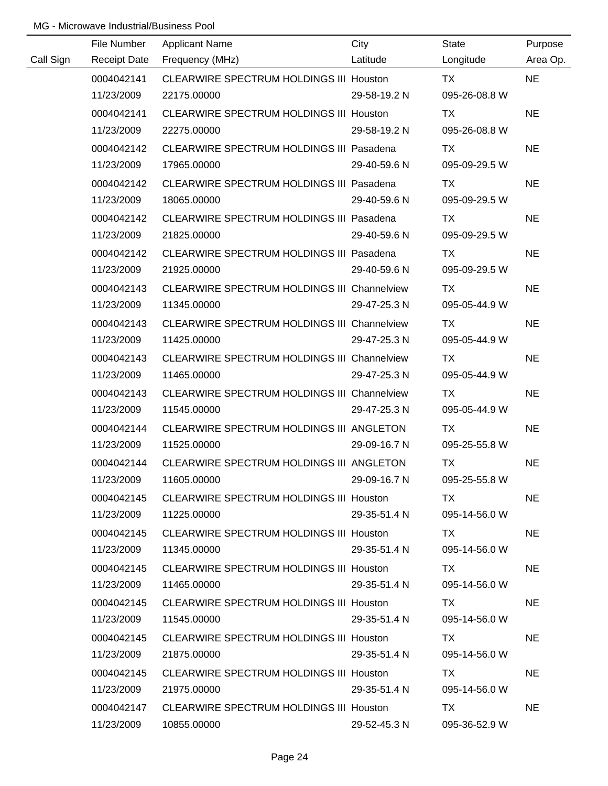|           | File Number         | <b>Applicant Name</b>                              | City         | State         | Purpose   |
|-----------|---------------------|----------------------------------------------------|--------------|---------------|-----------|
| Call Sign | <b>Receipt Date</b> | Frequency (MHz)                                    | Latitude     | Longitude     | Area Op.  |
|           | 0004042141          | CLEARWIRE SPECTRUM HOLDINGS III Houston            |              | <b>TX</b>     | <b>NE</b> |
|           | 11/23/2009          | 22175.00000                                        | 29-58-19.2 N | 095-26-08.8 W |           |
|           | 0004042141          | CLEARWIRE SPECTRUM HOLDINGS III Houston            |              | TX            | <b>NE</b> |
|           | 11/23/2009          | 22275.00000                                        | 29-58-19.2 N | 095-26-08.8 W |           |
|           | 0004042142          | CLEARWIRE SPECTRUM HOLDINGS III Pasadena           |              | TX            | <b>NE</b> |
|           | 11/23/2009          | 17965.00000                                        | 29-40-59.6 N | 095-09-29.5 W |           |
|           | 0004042142          | CLEARWIRE SPECTRUM HOLDINGS III Pasadena           |              | TX            | <b>NE</b> |
|           | 11/23/2009          | 18065.00000                                        | 29-40-59.6 N | 095-09-29.5 W |           |
|           | 0004042142          | CLEARWIRE SPECTRUM HOLDINGS III Pasadena           |              | <b>TX</b>     | <b>NE</b> |
|           | 11/23/2009          | 21825.00000                                        | 29-40-59.6 N | 095-09-29.5 W |           |
|           | 0004042142          | CLEARWIRE SPECTRUM HOLDINGS III Pasadena           |              | TX            | <b>NE</b> |
|           | 11/23/2009          | 21925.00000                                        | 29-40-59.6 N | 095-09-29.5 W |           |
|           | 0004042143          | CLEARWIRE SPECTRUM HOLDINGS III Channelview        |              | TX            | <b>NE</b> |
|           | 11/23/2009          | 11345.00000                                        | 29-47-25.3 N | 095-05-44.9 W |           |
|           | 0004042143          | <b>CLEARWIRE SPECTRUM HOLDINGS III Channelview</b> |              | TX            | <b>NE</b> |
|           | 11/23/2009          | 11425.00000                                        | 29-47-25.3 N | 095-05-44.9 W |           |
|           | 0004042143          | CLEARWIRE SPECTRUM HOLDINGS III Channelview        |              | <b>TX</b>     | <b>NE</b> |
|           | 11/23/2009          | 11465.00000                                        | 29-47-25.3 N | 095-05-44.9 W |           |
|           | 0004042143          | CLEARWIRE SPECTRUM HOLDINGS III Channelview        |              | <b>TX</b>     | <b>NE</b> |
|           | 11/23/2009          | 11545.00000                                        | 29-47-25.3 N | 095-05-44.9 W |           |
|           | 0004042144          | CLEARWIRE SPECTRUM HOLDINGS III ANGLETON           |              | <b>TX</b>     | <b>NE</b> |
|           | 11/23/2009          | 11525.00000                                        | 29-09-16.7 N | 095-25-55.8 W |           |
|           | 0004042144          | CLEARWIRE SPECTRUM HOLDINGS III ANGLETON           |              | <b>TX</b>     | <b>NE</b> |
|           | 11/23/2009          | 11605.00000                                        | 29-09-16.7 N | 095-25-55.8 W |           |
|           | 0004042145          | CLEARWIRE SPECTRUM HOLDINGS III Houston            |              | TX.           | <b>NE</b> |
|           | 11/23/2009          | 11225.00000                                        | 29-35-51.4 N | 095-14-56.0 W |           |
|           | 0004042145          | CLEARWIRE SPECTRUM HOLDINGS III Houston            |              | TX.           | <b>NE</b> |
|           | 11/23/2009          | 11345.00000                                        | 29-35-51.4 N | 095-14-56.0 W |           |
|           | 0004042145          | CLEARWIRE SPECTRUM HOLDINGS III Houston            |              | TX.           | <b>NE</b> |
|           | 11/23/2009          | 11465.00000                                        | 29-35-51.4 N | 095-14-56.0 W |           |
|           | 0004042145          | CLEARWIRE SPECTRUM HOLDINGS III Houston            |              | TX.           | <b>NE</b> |
|           | 11/23/2009          | 11545.00000                                        | 29-35-51.4 N | 095-14-56.0 W |           |
|           | 0004042145          | CLEARWIRE SPECTRUM HOLDINGS III Houston            |              | TX.           | <b>NE</b> |
|           | 11/23/2009          | 21875.00000                                        | 29-35-51.4 N | 095-14-56.0 W |           |
|           | 0004042145          | CLEARWIRE SPECTRUM HOLDINGS III Houston            |              | TX            | <b>NE</b> |
|           | 11/23/2009          | 21975.00000                                        | 29-35-51.4 N | 095-14-56.0 W |           |
|           | 0004042147          | CLEARWIRE SPECTRUM HOLDINGS III Houston            |              | TX.           | <b>NE</b> |
|           | 11/23/2009          | 10855.00000                                        | 29-52-45.3 N | 095-36-52.9 W |           |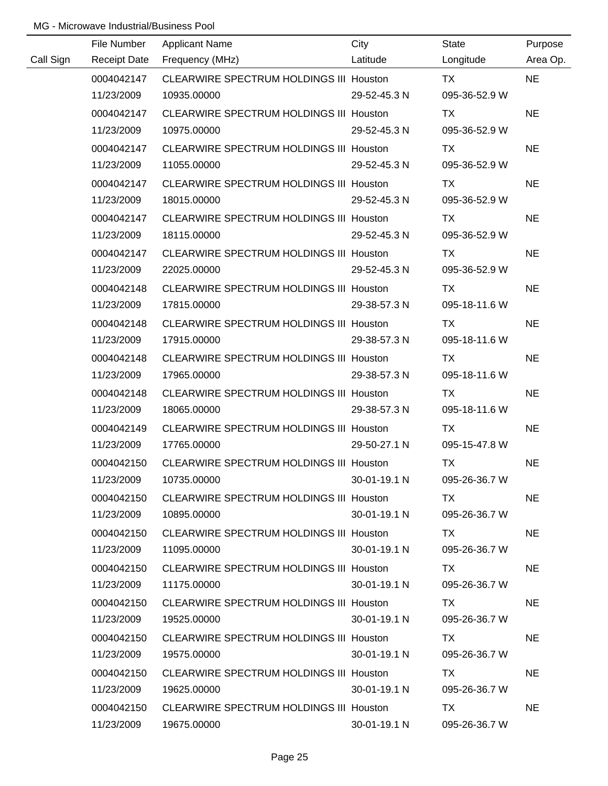|           | File Number         | <b>Applicant Name</b>                          | City         | <b>State</b>  | Purpose   |
|-----------|---------------------|------------------------------------------------|--------------|---------------|-----------|
| Call Sign | <b>Receipt Date</b> | Frequency (MHz)                                | Latitude     | Longitude     | Area Op.  |
|           | 0004042147          | CLEARWIRE SPECTRUM HOLDINGS III Houston        |              | <b>TX</b>     | <b>NE</b> |
|           | 11/23/2009          | 10935.00000                                    | 29-52-45.3 N | 095-36-52.9 W |           |
|           | 0004042147          | CLEARWIRE SPECTRUM HOLDINGS III Houston        |              | TX            | <b>NE</b> |
|           | 11/23/2009          | 10975.00000                                    | 29-52-45.3 N | 095-36-52.9 W |           |
|           | 0004042147          | CLEARWIRE SPECTRUM HOLDINGS III Houston        |              | TX            | <b>NE</b> |
|           | 11/23/2009          | 11055.00000                                    | 29-52-45.3 N | 095-36-52.9 W |           |
|           | 0004042147          | <b>CLEARWIRE SPECTRUM HOLDINGS III Houston</b> |              | TX            | <b>NE</b> |
|           | 11/23/2009          | 18015.00000                                    | 29-52-45.3 N | 095-36-52.9 W |           |
|           | 0004042147          | CLEARWIRE SPECTRUM HOLDINGS III Houston        |              | TX            | <b>NE</b> |
|           | 11/23/2009          | 18115.00000                                    | 29-52-45.3 N | 095-36-52.9 W |           |
|           | 0004042147          | CLEARWIRE SPECTRUM HOLDINGS III Houston        |              | TX            | <b>NE</b> |
|           | 11/23/2009          | 22025.00000                                    | 29-52-45.3 N | 095-36-52.9 W |           |
|           | 0004042148          | CLEARWIRE SPECTRUM HOLDINGS III Houston        |              | TX            | <b>NE</b> |
|           | 11/23/2009          | 17815.00000                                    | 29-38-57.3 N | 095-18-11.6 W |           |
|           | 0004042148          | <b>CLEARWIRE SPECTRUM HOLDINGS III Houston</b> |              | TX            | <b>NE</b> |
|           | 11/23/2009          | 17915.00000                                    | 29-38-57.3 N | 095-18-11.6 W |           |
|           | 0004042148          | CLEARWIRE SPECTRUM HOLDINGS III Houston        |              | TX            | <b>NE</b> |
|           | 11/23/2009          | 17965.00000                                    | 29-38-57.3 N | 095-18-11.6 W |           |
|           | 0004042148          | <b>CLEARWIRE SPECTRUM HOLDINGS III Houston</b> |              | <b>TX</b>     | <b>NE</b> |
|           | 11/23/2009          | 18065.00000                                    | 29-38-57.3 N | 095-18-11.6 W |           |
|           | 0004042149          | <b>CLEARWIRE SPECTRUM HOLDINGS III Houston</b> |              | <b>TX</b>     | <b>NE</b> |
|           | 11/23/2009          | 17765.00000                                    | 29-50-27.1 N | 095-15-47.8 W |           |
|           | 0004042150          | CLEARWIRE SPECTRUM HOLDINGS III Houston        |              | <b>TX</b>     | <b>NE</b> |
|           | 11/23/2009          | 10735.00000                                    | 30-01-19.1 N | 095-26-36.7 W |           |
|           | 0004042150          | CLEARWIRE SPECTRUM HOLDINGS III Houston        |              | TX.           | <b>NE</b> |
|           | 11/23/2009          | 10895.00000                                    | 30-01-19.1 N | 095-26-36.7 W |           |
|           | 0004042150          | CLEARWIRE SPECTRUM HOLDINGS III Houston        |              | TX.           | <b>NE</b> |
|           | 11/23/2009          | 11095.00000                                    | 30-01-19.1 N | 095-26-36.7 W |           |
|           | 0004042150          | CLEARWIRE SPECTRUM HOLDINGS III Houston        |              | TX.           | <b>NE</b> |
|           | 11/23/2009          | 11175.00000                                    | 30-01-19.1 N | 095-26-36.7 W |           |
|           | 0004042150          | CLEARWIRE SPECTRUM HOLDINGS III Houston        |              | TX.           | <b>NE</b> |
|           | 11/23/2009          | 19525.00000                                    | 30-01-19.1 N | 095-26-36.7 W |           |
|           | 0004042150          | <b>CLEARWIRE SPECTRUM HOLDINGS III Houston</b> |              | TX            | <b>NE</b> |
|           | 11/23/2009          | 19575.00000                                    | 30-01-19.1 N | 095-26-36.7 W |           |
|           | 0004042150          | <b>CLEARWIRE SPECTRUM HOLDINGS III Houston</b> |              | TX.           | <b>NE</b> |
|           | 11/23/2009          | 19625.00000                                    | 30-01-19.1 N | 095-26-36.7 W |           |
|           | 0004042150          | <b>CLEARWIRE SPECTRUM HOLDINGS III Houston</b> |              | TX            | <b>NE</b> |
|           | 11/23/2009          | 19675.00000                                    | 30-01-19.1 N | 095-26-36.7 W |           |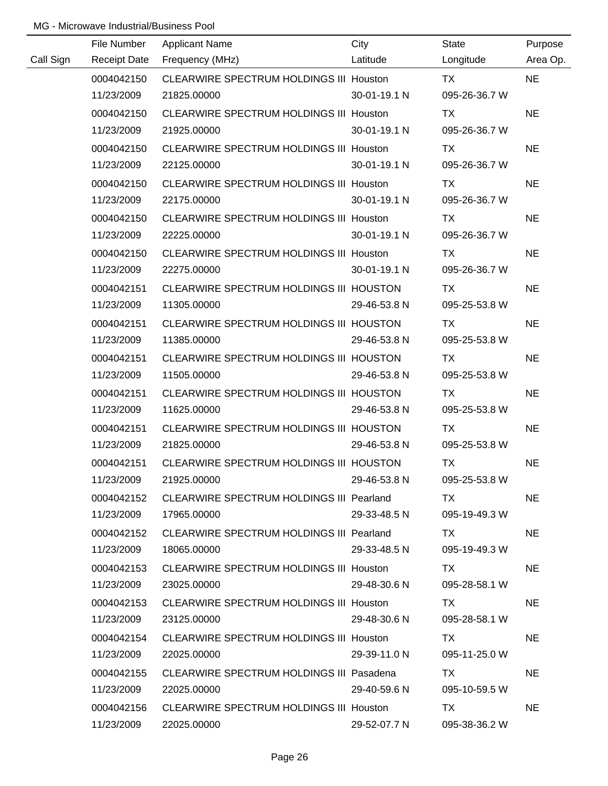|           | File Number         | <b>Applicant Name</b>                          | City         | <b>State</b>  | Purpose   |
|-----------|---------------------|------------------------------------------------|--------------|---------------|-----------|
| Call Sign | <b>Receipt Date</b> | Frequency (MHz)                                | Latitude     | Longitude     | Area Op.  |
|           | 0004042150          | CLEARWIRE SPECTRUM HOLDINGS III Houston        |              | <b>TX</b>     | <b>NE</b> |
|           | 11/23/2009          | 21825.00000                                    | 30-01-19.1 N | 095-26-36.7 W |           |
|           | 0004042150          | CLEARWIRE SPECTRUM HOLDINGS III Houston        |              | <b>TX</b>     | <b>NE</b> |
|           | 11/23/2009          | 21925.00000                                    | 30-01-19.1 N | 095-26-36.7 W |           |
|           | 0004042150          | <b>CLEARWIRE SPECTRUM HOLDINGS III Houston</b> |              | TX            | <b>NE</b> |
|           | 11/23/2009          | 22125.00000                                    | 30-01-19.1 N | 095-26-36.7 W |           |
|           | 0004042150          | CLEARWIRE SPECTRUM HOLDINGS III Houston        |              | TX            | <b>NE</b> |
|           | 11/23/2009          | 22175.00000                                    | 30-01-19.1 N | 095-26-36.7 W |           |
|           | 0004042150          | <b>CLEARWIRE SPECTRUM HOLDINGS III Houston</b> |              | TX            | <b>NE</b> |
|           | 11/23/2009          | 22225.00000                                    | 30-01-19.1 N | 095-26-36.7 W |           |
|           | 0004042150          | CLEARWIRE SPECTRUM HOLDINGS III Houston        |              | TX            | <b>NE</b> |
|           | 11/23/2009          | 22275.00000                                    | 30-01-19.1 N | 095-26-36.7 W |           |
|           | 0004042151          | CLEARWIRE SPECTRUM HOLDINGS III HOUSTON        |              | TX            | <b>NE</b> |
|           | 11/23/2009          | 11305.00000                                    | 29-46-53.8 N | 095-25-53.8 W |           |
|           | 0004042151          | CLEARWIRE SPECTRUM HOLDINGS III HOUSTON        |              | TX            | <b>NE</b> |
|           | 11/23/2009          | 11385.00000                                    | 29-46-53.8 N | 095-25-53.8 W |           |
|           | 0004042151          | CLEARWIRE SPECTRUM HOLDINGS III HOUSTON        |              | TX            | <b>NE</b> |
|           | 11/23/2009          | 11505.00000                                    | 29-46-53.8 N | 095-25-53.8 W |           |
|           | 0004042151          | CLEARWIRE SPECTRUM HOLDINGS III HOUSTON        |              | <b>TX</b>     | <b>NE</b> |
|           | 11/23/2009          | 11625.00000                                    | 29-46-53.8 N | 095-25-53.8 W |           |
|           | 0004042151          | CLEARWIRE SPECTRUM HOLDINGS III HOUSTON        |              | <b>TX</b>     | <b>NE</b> |
|           | 11/23/2009          | 21825.00000                                    | 29-46-53.8 N | 095-25-53.8 W |           |
|           | 0004042151          | CLEARWIRE SPECTRUM HOLDINGS III HOUSTON        |              | <b>TX</b>     | <b>NE</b> |
|           | 11/23/2009          | 21925.00000                                    | 29-46-53.8 N | 095-25-53.8 W |           |
|           | 0004042152          | CLEARWIRE SPECTRUM HOLDINGS III Pearland       |              | TX.           | <b>NE</b> |
|           | 11/23/2009          | 17965.00000                                    | 29-33-48.5 N | 095-19-49.3 W |           |
|           | 0004042152          | CLEARWIRE SPECTRUM HOLDINGS III Pearland       |              | TX TX         | <b>NE</b> |
|           | 11/23/2009          | 18065.00000                                    | 29-33-48.5 N | 095-19-49.3 W |           |
|           | 0004042153          | CLEARWIRE SPECTRUM HOLDINGS III Houston        |              | TX.           | <b>NE</b> |
|           | 11/23/2009          | 23025.00000                                    | 29-48-30.6 N | 095-28-58.1 W |           |
|           | 0004042153          | <b>CLEARWIRE SPECTRUM HOLDINGS III Houston</b> |              | TX.           | <b>NE</b> |
|           | 11/23/2009          | 23125.00000                                    | 29-48-30.6 N | 095-28-58.1 W |           |
|           | 0004042154          | CLEARWIRE SPECTRUM HOLDINGS III Houston        |              | TX.           | <b>NE</b> |
|           | 11/23/2009          | 22025.00000                                    | 29-39-11.0 N | 095-11-25.0 W |           |
|           | 0004042155          | CLEARWIRE SPECTRUM HOLDINGS III Pasadena       |              | TX.           | <b>NE</b> |
|           | 11/23/2009          | 22025.00000                                    | 29-40-59.6 N | 095-10-59.5 W |           |
|           | 0004042156          | <b>CLEARWIRE SPECTRUM HOLDINGS III Houston</b> |              | TX            | <b>NE</b> |
|           | 11/23/2009          | 22025.00000                                    | 29-52-07.7 N | 095-38-36.2 W |           |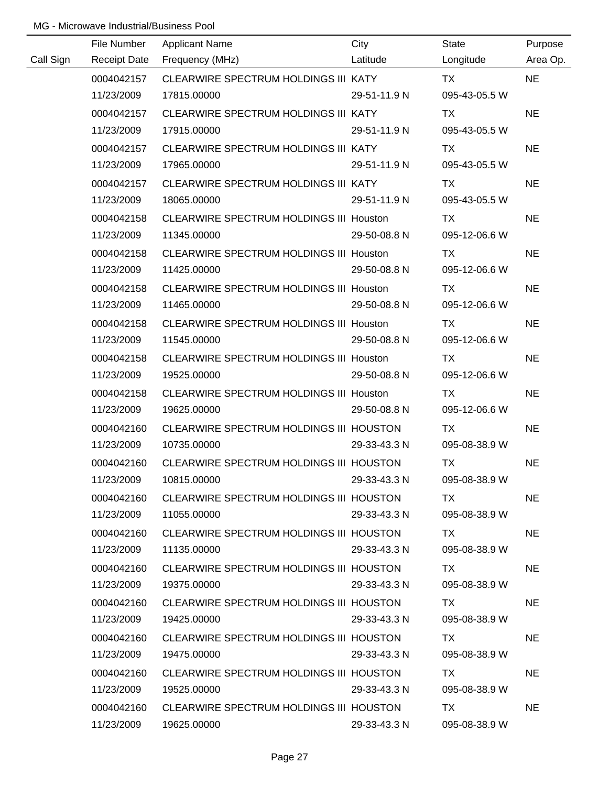|           | File Number | <b>Applicant Name</b>                    | City         | State                      | Purpose   |
|-----------|-------------|------------------------------------------|--------------|----------------------------|-----------|
| Call Sign |             | Latitude<br>Receipt Date Frequency (MHz) |              | Longitude                  | Area Op.  |
|           | 0004042157  | CLEARWIRE SPECTRUM HOLDINGS III KATY     |              | TX Particular Section 1987 | <b>NE</b> |
|           | 11/23/2009  | 17815.00000                              | 29-51-11.9 N | 095-43-05.5 W              |           |
|           | 0004042157  | CLEARWIRE SPECTRUM HOLDINGS III KATY     |              | <b>TX</b>                  | <b>NE</b> |
|           | 11/23/2009  | 17915.00000                              | 29-51-11.9 N | 095-43-05.5 W              |           |
|           | 0004042157  | CLEARWIRE SPECTRUM HOLDINGS III KATY     |              | TX                         | <b>NE</b> |
|           | 11/23/2009  | 17965.00000                              | 29-51-11.9 N | 095-43-05.5 W              |           |
|           | 0004042157  | CLEARWIRE SPECTRUM HOLDINGS III KATY     |              | TX                         | <b>NE</b> |
|           | 11/23/2009  | 18065.00000                              | 29-51-11.9 N | 095-43-05.5 W              |           |
|           | 0004042158  | CLEARWIRE SPECTRUM HOLDINGS III Houston  |              | <b>TX</b>                  | <b>NE</b> |
|           | 11/23/2009  | 11345.00000                              | 29-50-08.8 N | 095-12-06.6 W              |           |
|           | 0004042158  | CLEARWIRE SPECTRUM HOLDINGS III Houston  |              | TX.                        | <b>NE</b> |
|           | 11/23/2009  | 11425.00000                              | 29-50-08.8 N | 095-12-06.6 W              |           |
|           | 0004042158  | CLEARWIRE SPECTRUM HOLDINGS III Houston  |              | TX.                        | <b>NE</b> |
|           | 11/23/2009  | 11465.00000                              | 29-50-08.8 N | 095-12-06.6 W              |           |
|           | 0004042158  | CLEARWIRE SPECTRUM HOLDINGS III Houston  |              | <b>TX</b>                  | <b>NE</b> |
|           | 11/23/2009  | 11545.00000                              | 29-50-08.8 N | 095-12-06.6 W              |           |
|           | 0004042158  | CLEARWIRE SPECTRUM HOLDINGS III Houston  |              | TX                         | <b>NE</b> |
|           | 11/23/2009  | 19525.00000                              | 29-50-08.8 N | 095-12-06.6 W              |           |
|           | 0004042158  | CLEARWIRE SPECTRUM HOLDINGS III Houston  |              | <b>TX</b>                  | <b>NE</b> |
|           | 11/23/2009  | 19625.00000                              | 29-50-08.8 N | 095-12-06.6 W              |           |
|           | 0004042160  | CLEARWIRE SPECTRUM HOLDINGS III HOUSTON  |              | <b>TX</b>                  | <b>NE</b> |
|           | 11/23/2009  | 10735.00000                              | 29-33-43.3 N | 095-08-38.9 W              |           |
|           | 0004042160  | CLEARWIRE SPECTRUM HOLDINGS III HOUSTON  |              | <b>TX</b>                  | <b>NE</b> |
|           | 11/23/2009  | 10815.00000                              | 29-33-43.3 N | 095-08-38.9 W              |           |
|           | 0004042160  | CLEARWIRE SPECTRUM HOLDINGS III HOUSTON  |              | TX.                        | <b>NE</b> |
|           | 11/23/2009  | 11055.00000                              | 29-33-43.3 N | 095-08-38.9 W              |           |
|           | 0004042160  | CLEARWIRE SPECTRUM HOLDINGS III HOUSTON  |              | TX.                        | <b>NE</b> |
|           | 11/23/2009  | 11135.00000                              | 29-33-43.3 N | 095-08-38.9 W              |           |
|           | 0004042160  | CLEARWIRE SPECTRUM HOLDINGS III HOUSTON  |              | TX.                        | <b>NE</b> |
|           | 11/23/2009  | 19375.00000                              | 29-33-43.3 N | 095-08-38.9 W              |           |
|           | 0004042160  | CLEARWIRE SPECTRUM HOLDINGS III HOUSTON  |              | TX.                        | <b>NE</b> |
|           | 11/23/2009  | 19425.00000                              | 29-33-43.3 N | 095-08-38.9 W              |           |
|           | 0004042160  | CLEARWIRE SPECTRUM HOLDINGS III HOUSTON  |              | TX                         | <b>NE</b> |
|           | 11/23/2009  | 19475.00000                              | 29-33-43.3 N | 095-08-38.9 W              |           |
|           | 0004042160  | CLEARWIRE SPECTRUM HOLDINGS III HOUSTON  |              | TX.                        | <b>NE</b> |
|           | 11/23/2009  | 19525.00000                              | 29-33-43.3 N | 095-08-38.9 W              |           |
|           | 0004042160  | CLEARWIRE SPECTRUM HOLDINGS III HOUSTON  |              | TX                         | <b>NE</b> |
|           | 11/23/2009  | 19625.00000                              | 29-33-43.3 N | 095-08-38.9 W              |           |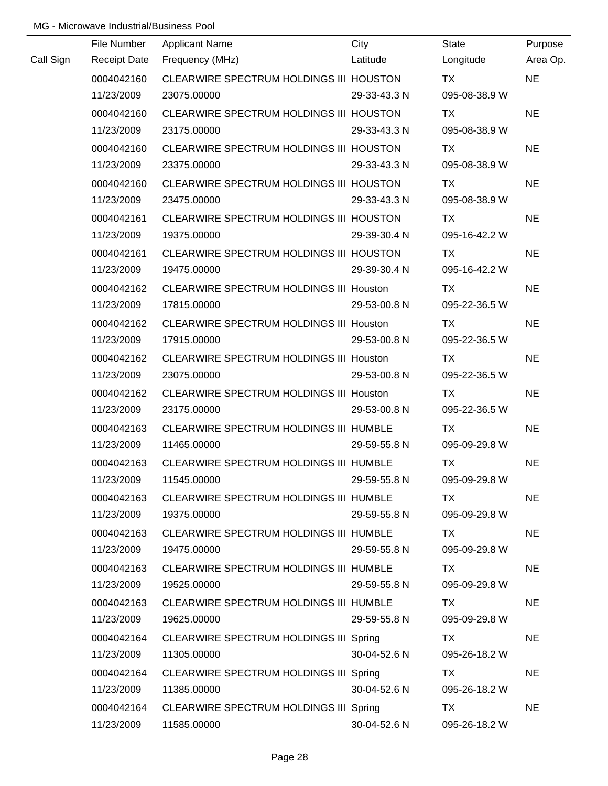|           | File Number         | <b>Applicant Name</b>                          | City         | State         | Purpose   |
|-----------|---------------------|------------------------------------------------|--------------|---------------|-----------|
| Call Sign | <b>Receipt Date</b> | Frequency (MHz)                                | Latitude     | Longitude     | Area Op.  |
|           | 0004042160          | CLEARWIRE SPECTRUM HOLDINGS III HOUSTON        |              | <b>TX</b>     | <b>NE</b> |
|           | 11/23/2009          | 23075.00000                                    | 29-33-43.3 N | 095-08-38.9 W |           |
|           | 0004042160          | CLEARWIRE SPECTRUM HOLDINGS III HOUSTON        |              | TX            | <b>NE</b> |
|           | 11/23/2009          | 23175.00000                                    | 29-33-43.3 N | 095-08-38.9 W |           |
|           | 0004042160          | CLEARWIRE SPECTRUM HOLDINGS III HOUSTON        |              | TX            | <b>NE</b> |
|           | 11/23/2009          | 23375.00000                                    | 29-33-43.3 N | 095-08-38.9 W |           |
|           | 0004042160          | CLEARWIRE SPECTRUM HOLDINGS III HOUSTON        |              | TX            | <b>NE</b> |
|           | 11/23/2009          | 23475.00000                                    | 29-33-43.3 N | 095-08-38.9 W |           |
|           | 0004042161          | CLEARWIRE SPECTRUM HOLDINGS III HOUSTON        |              | TX            | <b>NE</b> |
|           | 11/23/2009          | 19375.00000                                    | 29-39-30.4 N | 095-16-42.2 W |           |
|           | 0004042161          | CLEARWIRE SPECTRUM HOLDINGS III HOUSTON        |              | TX            | <b>NE</b> |
|           | 11/23/2009          | 19475.00000                                    | 29-39-30.4 N | 095-16-42.2 W |           |
|           | 0004042162          | CLEARWIRE SPECTRUM HOLDINGS III Houston        |              | TX            | <b>NE</b> |
|           | 11/23/2009          | 17815.00000                                    | 29-53-00.8 N | 095-22-36.5 W |           |
|           | 0004042162          | CLEARWIRE SPECTRUM HOLDINGS III Houston        |              | TX            | <b>NE</b> |
|           | 11/23/2009          | 17915.00000                                    | 29-53-00.8 N | 095-22-36.5 W |           |
|           | 0004042162          | <b>CLEARWIRE SPECTRUM HOLDINGS III Houston</b> |              | TX            | <b>NE</b> |
|           | 11/23/2009          | 23075.00000                                    | 29-53-00.8 N | 095-22-36.5 W |           |
|           | 0004042162          | CLEARWIRE SPECTRUM HOLDINGS III Houston        |              | <b>TX</b>     | <b>NE</b> |
|           | 11/23/2009          | 23175.00000                                    | 29-53-00.8 N | 095-22-36.5 W |           |
|           | 0004042163          | CLEARWIRE SPECTRUM HOLDINGS III HUMBLE         |              | <b>TX</b>     | <b>NE</b> |
|           | 11/23/2009          | 11465.00000                                    | 29-59-55.8 N | 095-09-29.8 W |           |
|           | 0004042163          | CLEARWIRE SPECTRUM HOLDINGS III HUMBLE         |              | <b>TX</b>     | <b>NE</b> |
|           | 11/23/2009          | 11545.00000                                    | 29-59-55.8 N | 095-09-29.8 W |           |
|           | 0004042163          | CLEARWIRE SPECTRUM HOLDINGS III HUMBLE         |              | TX            | <b>NE</b> |
|           | 11/23/2009          | 19375.00000                                    | 29-59-55.8 N | 095-09-29.8 W |           |
|           | 0004042163          | CLEARWIRE SPECTRUM HOLDINGS III HUMBLE         |              | TX            | <b>NE</b> |
|           | 11/23/2009          | 19475.00000                                    | 29-59-55.8 N | 095-09-29.8 W |           |
|           | 0004042163          | CLEARWIRE SPECTRUM HOLDINGS III HUMBLE         |              | TX            | <b>NE</b> |
|           | 11/23/2009          | 19525.00000                                    | 29-59-55.8 N | 095-09-29.8 W |           |
|           | 0004042163          | CLEARWIRE SPECTRUM HOLDINGS III HUMBLE         |              | TX            | <b>NE</b> |
|           | 11/23/2009          | 19625.00000                                    | 29-59-55.8 N | 095-09-29.8 W |           |
|           | 0004042164          | CLEARWIRE SPECTRUM HOLDINGS III Spring         |              | TX            | <b>NE</b> |
|           | 11/23/2009          | 11305.00000                                    | 30-04-52.6 N | 095-26-18.2 W |           |
|           | 0004042164          | CLEARWIRE SPECTRUM HOLDINGS III Spring         |              | TX            | <b>NE</b> |
|           | 11/23/2009          | 11385.00000                                    | 30-04-52.6 N | 095-26-18.2 W |           |
|           | 0004042164          | CLEARWIRE SPECTRUM HOLDINGS III Spring         |              | TX            | <b>NE</b> |
|           | 11/23/2009          | 11585.00000                                    | 30-04-52.6 N | 095-26-18.2 W |           |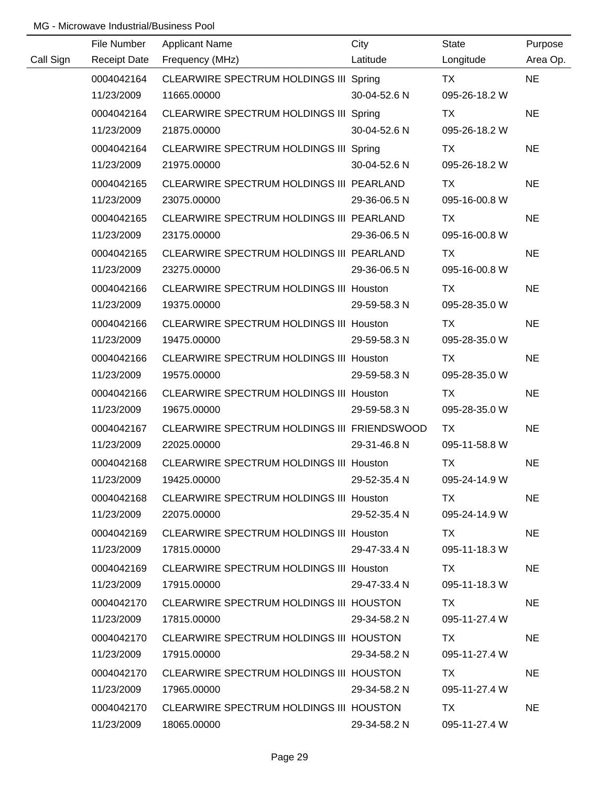|           | File Number         | <b>Applicant Name</b>                          | City         | <b>State</b>  | Purpose   |
|-----------|---------------------|------------------------------------------------|--------------|---------------|-----------|
| Call Sign | <b>Receipt Date</b> | Frequency (MHz)                                | Latitude     | Longitude     | Area Op.  |
|           | 0004042164          | CLEARWIRE SPECTRUM HOLDINGS III Spring         |              | <b>TX</b>     | <b>NE</b> |
|           | 11/23/2009          | 11665.00000                                    | 30-04-52.6 N | 095-26-18.2 W |           |
|           | 0004042164          | CLEARWIRE SPECTRUM HOLDINGS III Spring         |              | TX            | <b>NE</b> |
|           | 11/23/2009          | 21875.00000                                    | 30-04-52.6 N | 095-26-18.2 W |           |
|           | 0004042164          | CLEARWIRE SPECTRUM HOLDINGS III Spring         |              | TX            | <b>NE</b> |
|           | 11/23/2009          | 21975.00000                                    | 30-04-52.6 N | 095-26-18.2 W |           |
|           | 0004042165          | CLEARWIRE SPECTRUM HOLDINGS III PEARLAND       |              | <b>TX</b>     | <b>NE</b> |
|           | 11/23/2009          | 23075.00000                                    | 29-36-06.5 N | 095-16-00.8 W |           |
|           | 0004042165          | CLEARWIRE SPECTRUM HOLDINGS III PEARLAND       |              | <b>TX</b>     | <b>NE</b> |
|           | 11/23/2009          | 23175.00000                                    | 29-36-06.5 N | 095-16-00.8 W |           |
|           | 0004042165          | CLEARWIRE SPECTRUM HOLDINGS III PEARLAND       |              | TX            | <b>NE</b> |
|           | 11/23/2009          | 23275.00000                                    | 29-36-06.5 N | 095-16-00.8 W |           |
|           | 0004042166          | <b>CLEARWIRE SPECTRUM HOLDINGS III Houston</b> |              | <b>TX</b>     | <b>NE</b> |
|           | 11/23/2009          | 19375.00000                                    | 29-59-58.3 N | 095-28-35.0 W |           |
|           | 0004042166          | CLEARWIRE SPECTRUM HOLDINGS III Houston        |              | TX            | <b>NE</b> |
|           | 11/23/2009          | 19475.00000                                    | 29-59-58.3 N | 095-28-35.0 W |           |
|           | 0004042166          | <b>CLEARWIRE SPECTRUM HOLDINGS III Houston</b> |              | TX            | <b>NE</b> |
|           | 11/23/2009          | 19575.00000                                    | 29-59-58.3 N | 095-28-35.0 W |           |
|           | 0004042166          | CLEARWIRE SPECTRUM HOLDINGS III Houston        |              | <b>TX</b>     | <b>NE</b> |
|           | 11/23/2009          | 19675.00000                                    | 29-59-58.3 N | 095-28-35.0 W |           |
|           | 0004042167          | CLEARWIRE SPECTRUM HOLDINGS III FRIENDSWOOD    |              | TX            | <b>NE</b> |
|           | 11/23/2009          | 22025.00000                                    | 29-31-46.8 N | 095-11-58.8 W |           |
|           | 0004042168          | CLEARWIRE SPECTRUM HOLDINGS III Houston        |              | <b>TX</b>     | <b>NE</b> |
|           | 11/23/2009          | 19425.00000                                    | 29-52-35.4 N | 095-24-14.9 W |           |
|           | 0004042168          | CLEARWIRE SPECTRUM HOLDINGS III Houston        |              | TX.           | <b>NE</b> |
|           | 11/23/2009          | 22075.00000                                    | 29-52-35.4 N | 095-24-14.9 W |           |
|           | 0004042169          | CLEARWIRE SPECTRUM HOLDINGS III Houston        |              | TX.           | <b>NE</b> |
|           | 11/23/2009          | 17815.00000                                    | 29-47-33.4 N | 095-11-18.3 W |           |
|           | 0004042169          | CLEARWIRE SPECTRUM HOLDINGS III Houston        |              | TX.           | <b>NE</b> |
|           | 11/23/2009          | 17915.00000                                    | 29-47-33.4 N | 095-11-18.3 W |           |
|           | 0004042170          | CLEARWIRE SPECTRUM HOLDINGS III HOUSTON        |              | TX.           | <b>NE</b> |
|           | 11/23/2009          | 17815.00000                                    | 29-34-58.2 N | 095-11-27.4 W |           |
|           | 0004042170          | CLEARWIRE SPECTRUM HOLDINGS III HOUSTON        |              | TX.           | <b>NE</b> |
|           | 11/23/2009          | 17915.00000                                    | 29-34-58.2 N | 095-11-27.4 W |           |
|           | 0004042170          | CLEARWIRE SPECTRUM HOLDINGS III HOUSTON        |              | TX            | <b>NE</b> |
|           | 11/23/2009          | 17965.00000                                    | 29-34-58.2 N | 095-11-27.4 W |           |
|           | 0004042170          | CLEARWIRE SPECTRUM HOLDINGS III HOUSTON        |              | <b>TX</b>     | <b>NE</b> |
|           | 11/23/2009          | 18065.00000                                    | 29-34-58.2 N | 095-11-27.4 W |           |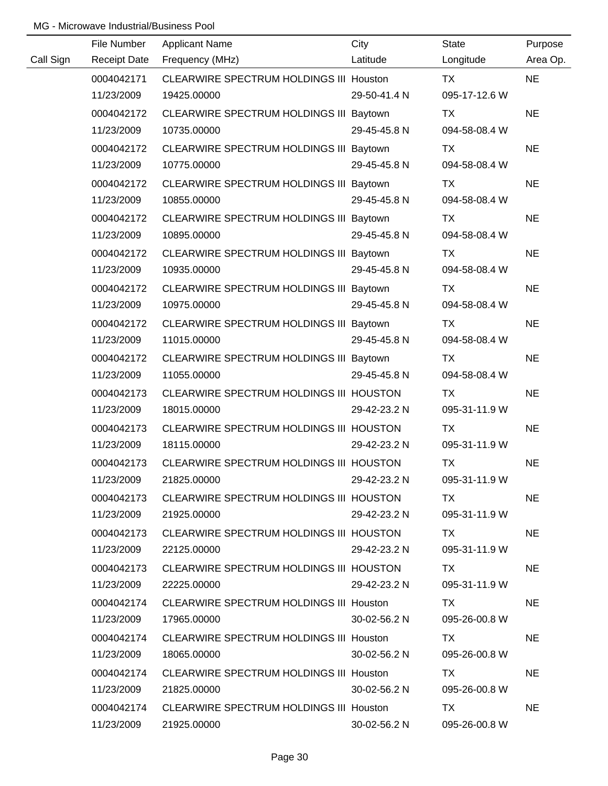|           | File Number         | <b>Applicant Name</b>                          | City         | <b>State</b>  | Purpose   |
|-----------|---------------------|------------------------------------------------|--------------|---------------|-----------|
| Call Sign | <b>Receipt Date</b> | Frequency (MHz)                                | Latitude     | Longitude     | Area Op.  |
|           | 0004042171          | CLEARWIRE SPECTRUM HOLDINGS III Houston        |              | <b>TX</b>     | <b>NE</b> |
|           | 11/23/2009          | 19425.00000                                    | 29-50-41.4 N | 095-17-12.6 W |           |
|           | 0004042172          | CLEARWIRE SPECTRUM HOLDINGS III Baytown        |              | TX            | <b>NE</b> |
|           | 11/23/2009          | 10735.00000                                    | 29-45-45.8 N | 094-58-08.4 W |           |
|           | 0004042172          | CLEARWIRE SPECTRUM HOLDINGS III Baytown        |              | <b>TX</b>     | <b>NE</b> |
|           | 11/23/2009          | 10775.00000                                    | 29-45-45.8 N | 094-58-08.4 W |           |
|           | 0004042172          | CLEARWIRE SPECTRUM HOLDINGS III Baytown        |              | TX            | <b>NE</b> |
|           | 11/23/2009          | 10855.00000                                    | 29-45-45.8 N | 094-58-08.4 W |           |
|           | 0004042172          | CLEARWIRE SPECTRUM HOLDINGS III Baytown        |              | TX            | <b>NE</b> |
|           | 11/23/2009          | 10895.00000                                    | 29-45-45.8 N | 094-58-08.4 W |           |
|           | 0004042172          | CLEARWIRE SPECTRUM HOLDINGS III Baytown        |              | TX            | <b>NE</b> |
|           | 11/23/2009          | 10935.00000                                    | 29-45-45.8 N | 094-58-08.4 W |           |
|           | 0004042172          | CLEARWIRE SPECTRUM HOLDINGS III Baytown        |              | <b>TX</b>     | <b>NE</b> |
|           | 11/23/2009          | 10975.00000                                    | 29-45-45.8 N | 094-58-08.4 W |           |
|           | 0004042172          | CLEARWIRE SPECTRUM HOLDINGS III Baytown        |              | TX            | <b>NE</b> |
|           | 11/23/2009          | 11015.00000                                    | 29-45-45.8 N | 094-58-08.4 W |           |
|           | 0004042172          | CLEARWIRE SPECTRUM HOLDINGS III Baytown        |              | TX            | <b>NE</b> |
|           | 11/23/2009          | 11055.00000                                    | 29-45-45.8 N | 094-58-08.4 W |           |
|           | 0004042173          | CLEARWIRE SPECTRUM HOLDINGS III HOUSTON        |              | <b>TX</b>     | <b>NE</b> |
|           | 11/23/2009          | 18015.00000                                    | 29-42-23.2 N | 095-31-11.9 W |           |
|           | 0004042173          | CLEARWIRE SPECTRUM HOLDINGS III HOUSTON        |              | <b>TX</b>     | <b>NE</b> |
|           | 11/23/2009          | 18115.00000                                    | 29-42-23.2 N | 095-31-11.9 W |           |
|           | 0004042173          | CLEARWIRE SPECTRUM HOLDINGS III HOUSTON        |              | <b>TX</b>     | <b>NE</b> |
|           | 11/23/2009          | 21825.00000                                    | 29-42-23.2 N | 095-31-11.9 W |           |
|           | 0004042173          | CLEARWIRE SPECTRUM HOLDINGS III HOUSTON        |              | TX.           | <b>NE</b> |
|           | 11/23/2009          | 21925.00000                                    | 29-42-23.2 N | 095-31-11.9 W |           |
|           | 0004042173          | CLEARWIRE SPECTRUM HOLDINGS III HOUSTON        |              | TX.           | <b>NE</b> |
|           | 11/23/2009          | 22125.00000                                    | 29-42-23.2 N | 095-31-11.9 W |           |
|           | 0004042173          | CLEARWIRE SPECTRUM HOLDINGS III HOUSTON        |              | TX.           | <b>NE</b> |
|           | 11/23/2009          | 22225.00000                                    | 29-42-23.2 N | 095-31-11.9 W |           |
|           | 0004042174          | <b>CLEARWIRE SPECTRUM HOLDINGS III Houston</b> |              | TX            | <b>NE</b> |
|           | 11/23/2009          | 17965.00000                                    | 30-02-56.2 N | 095-26-00.8 W |           |
|           | 0004042174          | <b>CLEARWIRE SPECTRUM HOLDINGS III Houston</b> |              | TX.           | <b>NE</b> |
|           | 11/23/2009          | 18065.00000                                    | 30-02-56.2 N | 095-26-00.8 W |           |
|           | 0004042174          | <b>CLEARWIRE SPECTRUM HOLDINGS III Houston</b> |              | TX            | <b>NE</b> |
|           | 11/23/2009          | 21825.00000                                    | 30-02-56.2 N | 095-26-00.8 W |           |
|           | 0004042174          | CLEARWIRE SPECTRUM HOLDINGS III Houston        |              | TX.           | <b>NE</b> |
|           | 11/23/2009          | 21925.00000                                    | 30-02-56.2 N | 095-26-00.8 W |           |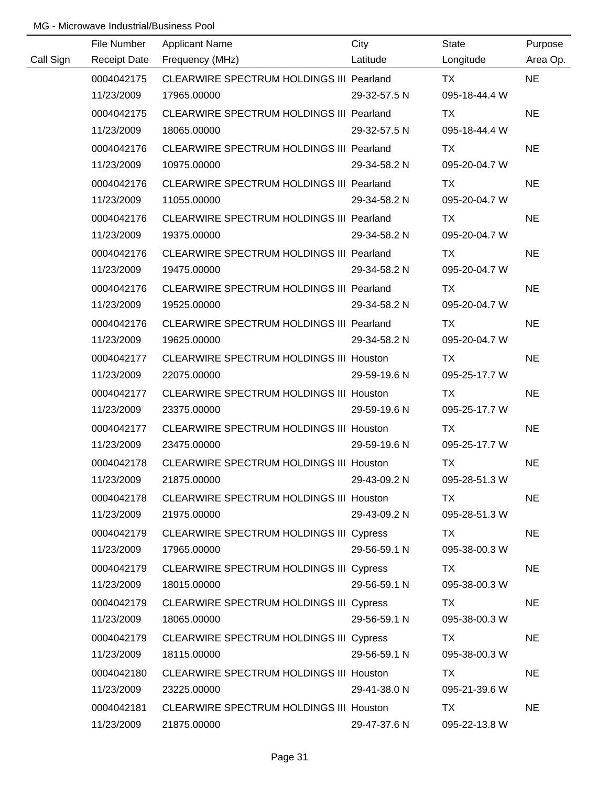|           | File Number | <b>Applicant Name</b>                          | City         | State         | Purpose   |
|-----------|-------------|------------------------------------------------|--------------|---------------|-----------|
| Call Sign |             | Receipt Date Frequency (MHz)                   | Latitude     | Longitude     | Area Op.  |
|           | 0004042175  | CLEARWIRE SPECTRUM HOLDINGS III Pearland       |              | <b>TX</b>     | <b>NE</b> |
|           | 11/23/2009  | 17965.00000                                    | 29-32-57.5 N | 095-18-44.4 W |           |
|           | 0004042175  | CLEARWIRE SPECTRUM HOLDINGS III Pearland       |              | <b>TX</b>     | <b>NE</b> |
|           | 11/23/2009  | 18065.00000                                    | 29-32-57.5 N | 095-18-44.4 W |           |
|           | 0004042176  | CLEARWIRE SPECTRUM HOLDINGS III Pearland       |              | TX            | <b>NE</b> |
|           | 11/23/2009  | 10975.00000                                    | 29-34-58.2 N | 095-20-04.7 W |           |
|           | 0004042176  | CLEARWIRE SPECTRUM HOLDINGS III Pearland       |              | TX            | <b>NE</b> |
|           | 11/23/2009  | 11055.00000                                    | 29-34-58.2 N | 095-20-04.7 W |           |
|           | 0004042176  | CLEARWIRE SPECTRUM HOLDINGS III Pearland       |              | TX            | <b>NE</b> |
|           | 11/23/2009  | 19375.00000                                    | 29-34-58.2 N | 095-20-04.7 W |           |
|           | 0004042176  | CLEARWIRE SPECTRUM HOLDINGS III Pearland       |              | TX            | <b>NE</b> |
|           | 11/23/2009  | 19475.00000                                    | 29-34-58.2 N | 095-20-04.7 W |           |
|           | 0004042176  | CLEARWIRE SPECTRUM HOLDINGS III Pearland       |              | TX            | <b>NE</b> |
|           | 11/23/2009  | 19525.00000                                    | 29-34-58.2 N | 095-20-04.7 W |           |
|           | 0004042176  | CLEARWIRE SPECTRUM HOLDINGS III Pearland       |              | TX            | <b>NE</b> |
|           | 11/23/2009  | 19625.00000                                    | 29-34-58.2 N | 095-20-04.7 W |           |
|           | 0004042177  | CLEARWIRE SPECTRUM HOLDINGS III Houston        |              | TX            | <b>NE</b> |
|           | 11/23/2009  | 22075.00000                                    | 29-59-19.6 N | 095-25-17.7 W |           |
|           | 0004042177  | <b>CLEARWIRE SPECTRUM HOLDINGS III Houston</b> |              | TX            | <b>NE</b> |
|           | 11/23/2009  | 23375.00000                                    | 29-59-19.6 N | 095-25-17.7 W |           |
|           | 0004042177  | CLEARWIRE SPECTRUM HOLDINGS III Houston        |              | <b>TX</b>     | <b>NE</b> |
|           | 11/23/2009  | 23475.00000                                    | 29-59-19.6 N | 095-25-17.7 W |           |
|           | 0004042178  | <b>CLEARWIRE SPECTRUM HOLDINGS III Houston</b> |              | <b>TX</b>     | <b>NE</b> |
|           | 11/23/2009  | 21875.00000                                    | 29-43-09.2 N | 095-28-51.3 W |           |
|           | 0004042178  | CLEARWIRE SPECTRUM HOLDINGS III Houston        |              | TX            | <b>NE</b> |
|           | 11/23/2009  | 21975.00000                                    | 29-43-09.2 N | 095-28-51.3 W |           |
|           | 0004042179  | CLEARWIRE SPECTRUM HOLDINGS III Cypress        |              | TX.           | <b>NE</b> |
|           | 11/23/2009  | 17965.00000                                    | 29-56-59.1 N | 095-38-00.3 W |           |
|           | 0004042179  | CLEARWIRE SPECTRUM HOLDINGS III Cypress        |              | TX            | <b>NE</b> |
|           | 11/23/2009  | 18015.00000                                    | 29-56-59.1 N | 095-38-00.3 W |           |
|           | 0004042179  | CLEARWIRE SPECTRUM HOLDINGS III Cypress        |              | TX            | <b>NE</b> |
|           | 11/23/2009  | 18065.00000                                    | 29-56-59.1 N | 095-38-00.3 W |           |
|           | 0004042179  | CLEARWIRE SPECTRUM HOLDINGS III Cypress        |              | TX            | <b>NE</b> |
|           | 11/23/2009  | 18115.00000                                    | 29-56-59.1 N | 095-38-00.3 W |           |
|           | 0004042180  | CLEARWIRE SPECTRUM HOLDINGS III Houston        |              | TX            | <b>NE</b> |
|           | 11/23/2009  | 23225.00000                                    | 29-41-38.0 N | 095-21-39.6 W |           |
|           | 0004042181  | CLEARWIRE SPECTRUM HOLDINGS III Houston        |              | TX            | <b>NE</b> |
|           | 11/23/2009  | 21875.00000                                    | 29-47-37.6 N | 095-22-13.8 W |           |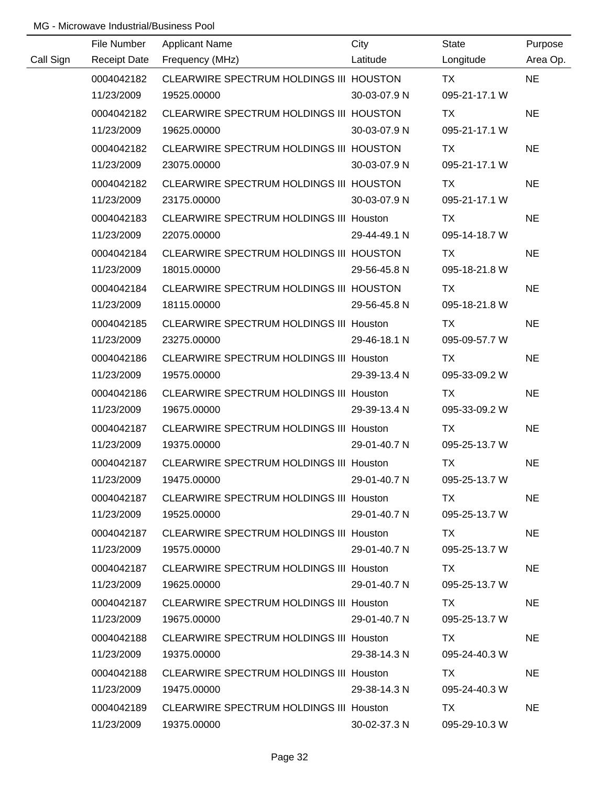|           | File Number         | <b>Applicant Name</b>                          | City         | State         | Purpose   |
|-----------|---------------------|------------------------------------------------|--------------|---------------|-----------|
| Call Sign | <b>Receipt Date</b> | Frequency (MHz)                                | Latitude     | Longitude     | Area Op.  |
|           | 0004042182          | CLEARWIRE SPECTRUM HOLDINGS III HOUSTON        |              | <b>TX</b>     | <b>NE</b> |
|           | 11/23/2009          | 19525.00000                                    | 30-03-07.9 N | 095-21-17.1 W |           |
|           | 0004042182          | CLEARWIRE SPECTRUM HOLDINGS III HOUSTON        |              | <b>TX</b>     | <b>NE</b> |
|           | 11/23/2009          | 19625.00000                                    | 30-03-07.9 N | 095-21-17.1 W |           |
|           | 0004042182          | CLEARWIRE SPECTRUM HOLDINGS III HOUSTON        |              | TX            | <b>NE</b> |
|           | 11/23/2009          | 23075.00000                                    | 30-03-07.9 N | 095-21-17.1 W |           |
|           | 0004042182          | CLEARWIRE SPECTRUM HOLDINGS III HOUSTON        |              | TX            | <b>NE</b> |
|           | 11/23/2009          | 23175.00000                                    | 30-03-07.9 N | 095-21-17.1 W |           |
|           | 0004042183          | CLEARWIRE SPECTRUM HOLDINGS III Houston        |              | TX            | <b>NE</b> |
|           | 11/23/2009          | 22075.00000                                    | 29-44-49.1 N | 095-14-18.7 W |           |
|           | 0004042184          | CLEARWIRE SPECTRUM HOLDINGS III HOUSTON        |              | TX            | <b>NE</b> |
|           | 11/23/2009          | 18015.00000                                    | 29-56-45.8 N | 095-18-21.8 W |           |
|           | 0004042184          | CLEARWIRE SPECTRUM HOLDINGS III HOUSTON        |              | <b>TX</b>     | <b>NE</b> |
|           | 11/23/2009          | 18115.00000                                    | 29-56-45.8 N | 095-18-21.8 W |           |
|           | 0004042185          | <b>CLEARWIRE SPECTRUM HOLDINGS III Houston</b> |              | TX            | <b>NE</b> |
|           | 11/23/2009          | 23275.00000                                    | 29-46-18.1 N | 095-09-57.7 W |           |
|           | 0004042186          | <b>CLEARWIRE SPECTRUM HOLDINGS III Houston</b> |              | TX            | <b>NE</b> |
|           | 11/23/2009          | 19575.00000                                    | 29-39-13.4 N | 095-33-09.2 W |           |
|           | 0004042186          | <b>CLEARWIRE SPECTRUM HOLDINGS III Houston</b> |              | <b>TX</b>     | <b>NE</b> |
|           | 11/23/2009          | 19675.00000                                    | 29-39-13.4 N | 095-33-09.2 W |           |
|           | 0004042187          | <b>CLEARWIRE SPECTRUM HOLDINGS III Houston</b> |              | <b>TX</b>     | <b>NE</b> |
|           | 11/23/2009          | 19375.00000                                    | 29-01-40.7 N | 095-25-13.7 W |           |
|           | 0004042187          | CLEARWIRE SPECTRUM HOLDINGS III Houston        |              | <b>TX</b>     | <b>NE</b> |
|           | 11/23/2009          | 19475.00000                                    | 29-01-40.7 N | 095-25-13.7 W |           |
|           | 0004042187          | CLEARWIRE SPECTRUM HOLDINGS III Houston        |              | TX.           | <b>NE</b> |
|           | 11/23/2009          | 19525.00000                                    | 29-01-40.7 N | 095-25-13.7 W |           |
|           | 0004042187          | CLEARWIRE SPECTRUM HOLDINGS III Houston        |              | TX.           | <b>NE</b> |
|           | 11/23/2009          | 19575.00000                                    | 29-01-40.7 N | 095-25-13.7 W |           |
|           | 0004042187          | <b>CLEARWIRE SPECTRUM HOLDINGS III Houston</b> |              | TX            | <b>NE</b> |
|           | 11/23/2009          | 19625.00000                                    | 29-01-40.7 N | 095-25-13.7 W |           |
|           | 0004042187          | <b>CLEARWIRE SPECTRUM HOLDINGS III Houston</b> |              | TX.           | <b>NE</b> |
|           | 11/23/2009          | 19675.00000                                    | 29-01-40.7 N | 095-25-13.7 W |           |
|           | 0004042188          | <b>CLEARWIRE SPECTRUM HOLDINGS III Houston</b> |              | TX.           | <b>NE</b> |
|           | 11/23/2009          | 19375.00000                                    | 29-38-14.3 N | 095-24-40.3 W |           |
|           | 0004042188          | <b>CLEARWIRE SPECTRUM HOLDINGS III Houston</b> |              | TX            | <b>NE</b> |
|           | 11/23/2009          | 19475.00000                                    | 29-38-14.3 N | 095-24-40.3 W |           |
|           | 0004042189          | CLEARWIRE SPECTRUM HOLDINGS III Houston        |              | <b>TX</b>     | <b>NE</b> |
|           | 11/23/2009          | 19375.00000                                    | 30-02-37.3 N | 095-29-10.3 W |           |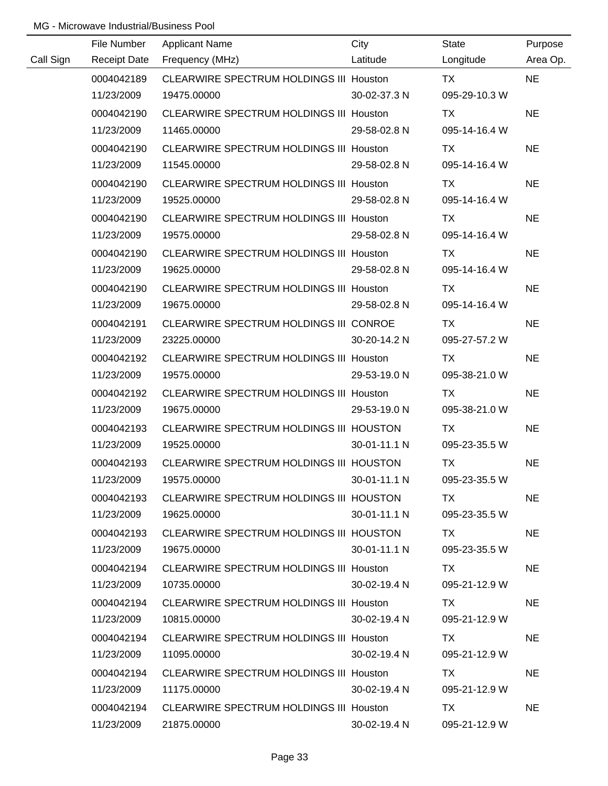|           | File Number         | <b>Applicant Name</b>                          | City         | <b>State</b>  | Purpose   |
|-----------|---------------------|------------------------------------------------|--------------|---------------|-----------|
| Call Sign | <b>Receipt Date</b> | Frequency (MHz)                                | Latitude     | Longitude     | Area Op.  |
|           | 0004042189          | CLEARWIRE SPECTRUM HOLDINGS III Houston        |              | <b>TX</b>     | <b>NE</b> |
|           | 11/23/2009          | 19475.00000                                    | 30-02-37.3 N | 095-29-10.3 W |           |
|           | 0004042190          | CLEARWIRE SPECTRUM HOLDINGS III Houston        |              | <b>TX</b>     | <b>NE</b> |
|           | 11/23/2009          | 11465.00000                                    | 29-58-02.8 N | 095-14-16.4 W |           |
|           | 0004042190          | CLEARWIRE SPECTRUM HOLDINGS III Houston        |              | TX            | <b>NE</b> |
|           | 11/23/2009          | 11545.00000                                    | 29-58-02.8 N | 095-14-16.4 W |           |
|           | 0004042190          | CLEARWIRE SPECTRUM HOLDINGS III Houston        |              | TX            | <b>NE</b> |
|           | 11/23/2009          | 19525.00000                                    | 29-58-02.8 N | 095-14-16.4 W |           |
|           | 0004042190          | CLEARWIRE SPECTRUM HOLDINGS III Houston        |              | <b>TX</b>     | <b>NE</b> |
|           | 11/23/2009          | 19575.00000                                    | 29-58-02.8 N | 095-14-16.4 W |           |
|           | 0004042190          | CLEARWIRE SPECTRUM HOLDINGS III Houston        |              | TX            | <b>NE</b> |
|           | 11/23/2009          | 19625.00000                                    | 29-58-02.8 N | 095-14-16.4 W |           |
|           | 0004042190          | <b>CLEARWIRE SPECTRUM HOLDINGS III Houston</b> |              | TX            | <b>NE</b> |
|           | 11/23/2009          | 19675.00000                                    | 29-58-02.8 N | 095-14-16.4 W |           |
|           | 0004042191          | CLEARWIRE SPECTRUM HOLDINGS III CONROE         |              | TX            | <b>NE</b> |
|           | 11/23/2009          | 23225.00000                                    | 30-20-14.2 N | 095-27-57.2 W |           |
|           | 0004042192          | <b>CLEARWIRE SPECTRUM HOLDINGS III Houston</b> |              | TX            | <b>NE</b> |
|           | 11/23/2009          | 19575.00000                                    | 29-53-19.0 N | 095-38-21.0 W |           |
|           | 0004042192          | <b>CLEARWIRE SPECTRUM HOLDINGS III Houston</b> |              | <b>TX</b>     | <b>NE</b> |
|           | 11/23/2009          | 19675.00000                                    | 29-53-19.0 N | 095-38-21.0 W |           |
|           | 0004042193          | CLEARWIRE SPECTRUM HOLDINGS III HOUSTON        |              | <b>TX</b>     | <b>NE</b> |
|           | 11/23/2009          | 19525.00000                                    | 30-01-11.1 N | 095-23-35.5 W |           |
|           | 0004042193          | CLEARWIRE SPECTRUM HOLDINGS III HOUSTON        |              | <b>TX</b>     | <b>NE</b> |
|           | 11/23/2009          | 19575.00000                                    | 30-01-11.1 N | 095-23-35.5 W |           |
|           | 0004042193          | CLEARWIRE SPECTRUM HOLDINGS III HOUSTON        |              | TX.           | <b>NE</b> |
|           | 11/23/2009          | 19625.00000                                    | 30-01-11.1 N | 095-23-35.5 W |           |
|           | 0004042193          | CLEARWIRE SPECTRUM HOLDINGS III HOUSTON        |              | TX.           | <b>NE</b> |
|           | 11/23/2009          | 19675.00000                                    | 30-01-11.1 N | 095-23-35.5 W |           |
|           | 0004042194          | <b>CLEARWIRE SPECTRUM HOLDINGS III Houston</b> |              | TX.           | <b>NE</b> |
|           | 11/23/2009          | 10735.00000                                    | 30-02-19.4 N | 095-21-12.9 W |           |
|           | 0004042194          | <b>CLEARWIRE SPECTRUM HOLDINGS III Houston</b> |              | TX.           | <b>NE</b> |
|           | 11/23/2009          | 10815.00000                                    | 30-02-19.4 N | 095-21-12.9 W |           |
|           | 0004042194          | CLEARWIRE SPECTRUM HOLDINGS III Houston        |              | TX.           | <b>NE</b> |
|           | 11/23/2009          | 11095.00000                                    | 30-02-19.4 N | 095-21-12.9 W |           |
|           | 0004042194          | CLEARWIRE SPECTRUM HOLDINGS III Houston        |              | TX            | <b>NE</b> |
|           | 11/23/2009          | 11175.00000                                    | 30-02-19.4 N | 095-21-12.9 W |           |
|           | 0004042194          | CLEARWIRE SPECTRUM HOLDINGS III Houston        |              | TX.           | <b>NE</b> |
|           | 11/23/2009          | 21875.00000                                    | 30-02-19.4 N | 095-21-12.9 W |           |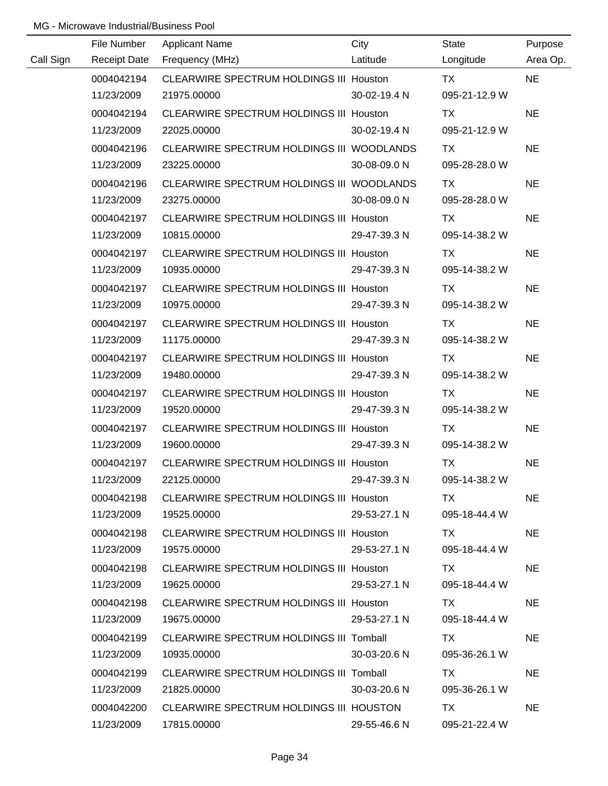|           | File Number         | <b>Applicant Name</b>                          | City         | State         | Purpose   |
|-----------|---------------------|------------------------------------------------|--------------|---------------|-----------|
| Call Sign | <b>Receipt Date</b> | Frequency (MHz)                                | Latitude     | Longitude     | Area Op.  |
|           | 0004042194          | CLEARWIRE SPECTRUM HOLDINGS III Houston        |              | <b>TX</b>     | <b>NE</b> |
|           | 11/23/2009          | 21975.00000                                    | 30-02-19.4 N | 095-21-12.9 W |           |
|           | 0004042194          | CLEARWIRE SPECTRUM HOLDINGS III Houston        |              | <b>TX</b>     | <b>NE</b> |
|           | 11/23/2009          | 22025.00000                                    | 30-02-19.4 N | 095-21-12.9 W |           |
|           | 0004042196          | CLEARWIRE SPECTRUM HOLDINGS III WOODLANDS      |              | TX            | <b>NE</b> |
|           | 11/23/2009          | 23225.00000                                    | 30-08-09.0 N | 095-28-28.0 W |           |
|           | 0004042196          | CLEARWIRE SPECTRUM HOLDINGS III WOODLANDS      |              | TX            | <b>NE</b> |
|           | 11/23/2009          | 23275.00000                                    | 30-08-09.0 N | 095-28-28.0 W |           |
|           | 0004042197          | CLEARWIRE SPECTRUM HOLDINGS III Houston        |              | TX            | <b>NE</b> |
|           | 11/23/2009          | 10815.00000                                    | 29-47-39.3 N | 095-14-38.2 W |           |
|           | 0004042197          | CLEARWIRE SPECTRUM HOLDINGS III Houston        |              | TX            | <b>NE</b> |
|           | 11/23/2009          | 10935.00000                                    | 29-47-39.3 N | 095-14-38.2 W |           |
|           | 0004042197          | CLEARWIRE SPECTRUM HOLDINGS III Houston        |              | <b>TX</b>     | <b>NE</b> |
|           | 11/23/2009          | 10975.00000                                    | 29-47-39.3 N | 095-14-38.2 W |           |
|           | 0004042197          | CLEARWIRE SPECTRUM HOLDINGS III Houston        |              | TX            | <b>NE</b> |
|           | 11/23/2009          | 11175.00000                                    | 29-47-39.3 N | 095-14-38.2 W |           |
|           | 0004042197          | <b>CLEARWIRE SPECTRUM HOLDINGS III Houston</b> |              | TX            | <b>NE</b> |
|           | 11/23/2009          | 19480.00000                                    | 29-47-39.3 N | 095-14-38.2 W |           |
|           | 0004042197          | CLEARWIRE SPECTRUM HOLDINGS III Houston        |              | <b>TX</b>     | <b>NE</b> |
|           | 11/23/2009          | 19520.00000                                    | 29-47-39.3 N | 095-14-38.2 W |           |
|           | 0004042197          | <b>CLEARWIRE SPECTRUM HOLDINGS III Houston</b> |              | <b>TX</b>     | <b>NE</b> |
|           | 11/23/2009          | 19600.00000                                    | 29-47-39.3 N | 095-14-38.2 W |           |
|           | 0004042197          | CLEARWIRE SPECTRUM HOLDINGS III Houston        |              | <b>TX</b>     | <b>NE</b> |
|           | 11/23/2009          | 22125.00000                                    | 29-47-39.3 N | 095-14-38.2 W |           |
|           | 0004042198          | CLEARWIRE SPECTRUM HOLDINGS III Houston        |              | TX.           | <b>NE</b> |
|           | 11/23/2009          | 19525.00000                                    | 29-53-27.1 N | 095-18-44.4 W |           |
|           | 0004042198          | CLEARWIRE SPECTRUM HOLDINGS III Houston        |              | TX.           | <b>NE</b> |
|           | 11/23/2009          | 19575.00000                                    | 29-53-27.1 N | 095-18-44.4 W |           |
|           | 0004042198          | CLEARWIRE SPECTRUM HOLDINGS III Houston        |              | TX            | <b>NE</b> |
|           | 11/23/2009          | 19625.00000                                    | 29-53-27.1 N | 095-18-44.4 W |           |
|           | 0004042198          | <b>CLEARWIRE SPECTRUM HOLDINGS III Houston</b> |              | TX.           | <b>NE</b> |
|           | 11/23/2009          | 19675.00000                                    | 29-53-27.1 N | 095-18-44.4 W |           |
|           | 0004042199          | CLEARWIRE SPECTRUM HOLDINGS III Tomball        |              | TX.           | <b>NE</b> |
|           | 11/23/2009          | 10935.00000                                    | 30-03-20.6 N | 095-36-26.1 W |           |
|           | 0004042199          | CLEARWIRE SPECTRUM HOLDINGS III Tomball        |              | TX            | <b>NE</b> |
|           | 11/23/2009          | 21825.00000                                    | 30-03-20.6 N | 095-36-26.1 W |           |
|           | 0004042200          | CLEARWIRE SPECTRUM HOLDINGS III HOUSTON        |              | <b>TX</b>     | <b>NE</b> |
|           | 11/23/2009          | 17815.00000                                    | 29-55-46.6 N | 095-21-22.4 W |           |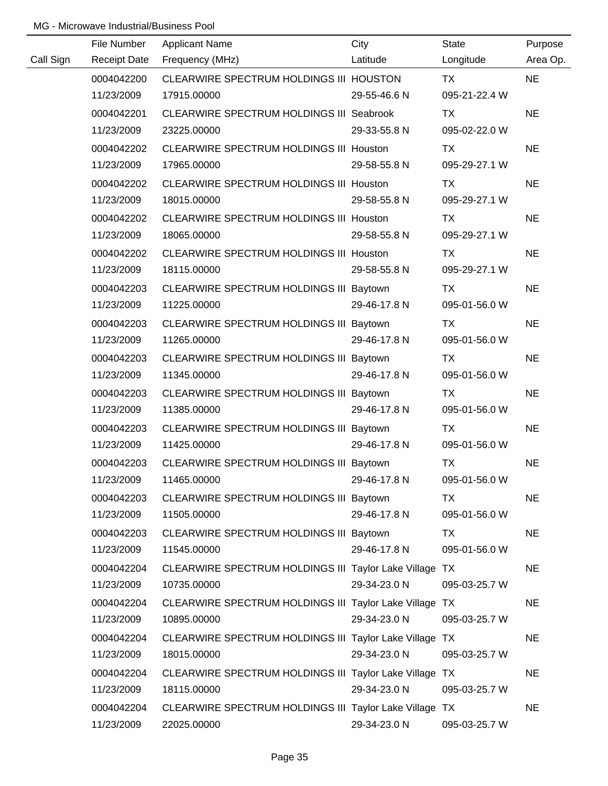|           | File Number         | <b>Applicant Name</b>                                  | City         | <b>State</b>  | Purpose   |
|-----------|---------------------|--------------------------------------------------------|--------------|---------------|-----------|
| Call Sign | <b>Receipt Date</b> | Frequency (MHz)                                        | Latitude     | Longitude     | Area Op.  |
|           | 0004042200          | CLEARWIRE SPECTRUM HOLDINGS III HOUSTON                |              | TX            | <b>NE</b> |
|           | 11/23/2009          | 17915.00000                                            | 29-55-46.6 N | 095-21-22.4 W |           |
|           | 0004042201          | <b>CLEARWIRE SPECTRUM HOLDINGS III Seabrook</b>        |              | <b>TX</b>     | <b>NE</b> |
|           | 11/23/2009          | 23225.00000                                            | 29-33-55.8 N | 095-02-22.0 W |           |
|           | 0004042202          | CLEARWIRE SPECTRUM HOLDINGS III Houston                |              | TX            | <b>NE</b> |
|           | 11/23/2009          | 17965.00000                                            | 29-58-55.8 N | 095-29-27.1 W |           |
|           | 0004042202          | CLEARWIRE SPECTRUM HOLDINGS III Houston                |              | <b>TX</b>     | <b>NE</b> |
|           | 11/23/2009          | 18015.00000                                            | 29-58-55.8 N | 095-29-27.1 W |           |
|           | 0004042202          | CLEARWIRE SPECTRUM HOLDINGS III Houston                |              | TX            | <b>NE</b> |
|           | 11/23/2009          | 18065.00000                                            | 29-58-55.8 N | 095-29-27.1 W |           |
|           | 0004042202          | <b>CLEARWIRE SPECTRUM HOLDINGS III Houston</b>         |              | <b>TX</b>     | <b>NE</b> |
|           | 11/23/2009          | 18115.00000                                            | 29-58-55.8 N | 095-29-27.1 W |           |
|           | 0004042203          | CLEARWIRE SPECTRUM HOLDINGS III Baytown                |              | TX            | <b>NE</b> |
|           | 11/23/2009          | 11225.00000                                            | 29-46-17.8 N | 095-01-56.0 W |           |
|           | 0004042203          | CLEARWIRE SPECTRUM HOLDINGS III Baytown                |              | TX            | <b>NE</b> |
|           | 11/23/2009          | 11265.00000                                            | 29-46-17.8 N | 095-01-56.0 W |           |
|           | 0004042203          | CLEARWIRE SPECTRUM HOLDINGS III Baytown                |              | TX            | <b>NE</b> |
|           | 11/23/2009          | 11345.00000                                            | 29-46-17.8 N | 095-01-56.0 W |           |
|           | 0004042203          | CLEARWIRE SPECTRUM HOLDINGS III Baytown                |              | TX            | <b>NE</b> |
|           | 11/23/2009          | 11385.00000                                            | 29-46-17.8 N | 095-01-56.0 W |           |
|           | 0004042203          | CLEARWIRE SPECTRUM HOLDINGS III Baytown                |              | <b>TX</b>     | <b>NE</b> |
|           | 11/23/2009          | 11425.00000                                            | 29-46-17.8 N | 095-01-56.0 W |           |
|           | 0004042203          | CLEARWIRE SPECTRUM HOLDINGS III Baytown                |              | <b>TX</b>     | <b>NE</b> |
|           | 11/23/2009          | 11465.00000                                            | 29-46-17.8 N | 095-01-56.0 W |           |
|           | 0004042203          | CLEARWIRE SPECTRUM HOLDINGS III Baytown                |              | TX            | <b>NE</b> |
|           | 11/23/2009          | 11505.00000                                            | 29-46-17.8 N | 095-01-56.0 W |           |
|           | 0004042203          | CLEARWIRE SPECTRUM HOLDINGS III Baytown                |              | TX            | <b>NE</b> |
|           | 11/23/2009          | 11545.00000                                            | 29-46-17.8 N | 095-01-56.0 W |           |
|           | 0004042204          | CLEARWIRE SPECTRUM HOLDINGS III Taylor Lake Village TX |              |               | <b>NE</b> |
|           | 11/23/2009          | 10735.00000                                            | 29-34-23.0 N | 095-03-25.7 W |           |
|           | 0004042204          | CLEARWIRE SPECTRUM HOLDINGS III Taylor Lake Village TX |              |               | <b>NE</b> |
|           | 11/23/2009          | 10895.00000                                            | 29-34-23.0 N | 095-03-25.7 W |           |
|           | 0004042204          | CLEARWIRE SPECTRUM HOLDINGS III Taylor Lake Village TX |              |               | <b>NE</b> |
|           | 11/23/2009          | 18015.00000                                            | 29-34-23.0 N | 095-03-25.7 W |           |
|           | 0004042204          | CLEARWIRE SPECTRUM HOLDINGS III Taylor Lake Village TX |              |               | <b>NE</b> |
|           | 11/23/2009          | 18115.00000                                            | 29-34-23.0 N | 095-03-25.7 W |           |
|           | 0004042204          | CLEARWIRE SPECTRUM HOLDINGS III Taylor Lake Village TX |              |               | <b>NE</b> |
|           | 11/23/2009          | 22025.00000                                            | 29-34-23.0 N | 095-03-25.7 W |           |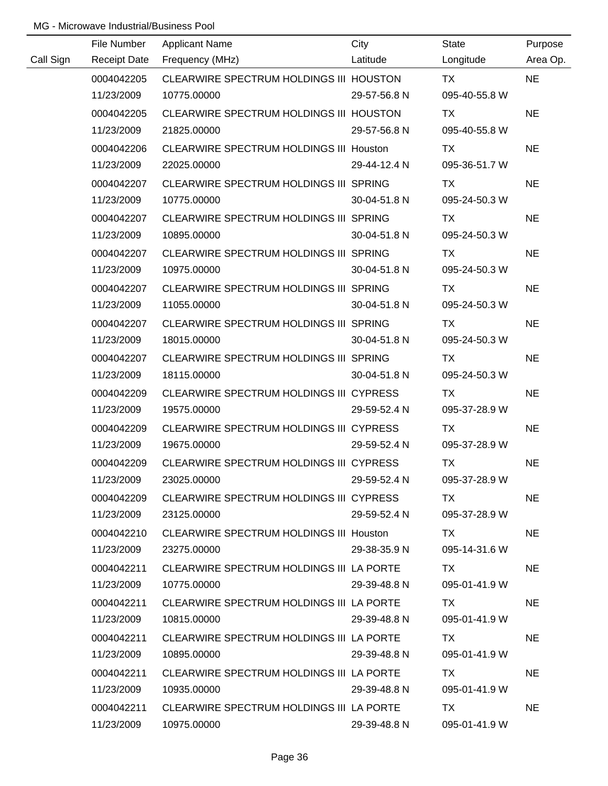|           | File Number         | <b>Applicant Name</b>                          | City         | State         | Purpose   |
|-----------|---------------------|------------------------------------------------|--------------|---------------|-----------|
| Call Sign | <b>Receipt Date</b> | Frequency (MHz)                                | Latitude     | Longitude     | Area Op.  |
|           | 0004042205          | CLEARWIRE SPECTRUM HOLDINGS III HOUSTON        |              | <b>TX</b>     | <b>NE</b> |
|           | 11/23/2009          | 10775.00000                                    | 29-57-56.8 N | 095-40-55.8 W |           |
|           | 0004042205          | CLEARWIRE SPECTRUM HOLDINGS III HOUSTON        |              | TX            | <b>NE</b> |
|           | 11/23/2009          | 21825.00000                                    | 29-57-56.8 N | 095-40-55.8 W |           |
|           | 0004042206          | <b>CLEARWIRE SPECTRUM HOLDINGS III Houston</b> |              | TX            | <b>NE</b> |
|           | 11/23/2009          | 22025.00000                                    | 29-44-12.4 N | 095-36-51.7 W |           |
|           | 0004042207          | CLEARWIRE SPECTRUM HOLDINGS III SPRING         |              | TX            | <b>NE</b> |
|           | 11/23/2009          | 10775.00000                                    | 30-04-51.8 N | 095-24-50.3 W |           |
|           | 0004042207          | CLEARWIRE SPECTRUM HOLDINGS III SPRING         |              | TX            | <b>NE</b> |
|           | 11/23/2009          | 10895.00000                                    | 30-04-51.8 N | 095-24-50.3 W |           |
|           | 0004042207          | CLEARWIRE SPECTRUM HOLDINGS III SPRING         |              | TX            | <b>NE</b> |
|           | 11/23/2009          | 10975.00000                                    | 30-04-51.8 N | 095-24-50.3 W |           |
|           | 0004042207          | CLEARWIRE SPECTRUM HOLDINGS III SPRING         |              | TX            | <b>NE</b> |
|           | 11/23/2009          | 11055.00000                                    | 30-04-51.8 N | 095-24-50.3 W |           |
|           | 0004042207          | CLEARWIRE SPECTRUM HOLDINGS III SPRING         |              | TX            | <b>NE</b> |
|           | 11/23/2009          | 18015.00000                                    | 30-04-51.8 N | 095-24-50.3 W |           |
|           | 0004042207          | CLEARWIRE SPECTRUM HOLDINGS III SPRING         |              | TX            | <b>NE</b> |
|           | 11/23/2009          | 18115.00000                                    | 30-04-51.8 N | 095-24-50.3 W |           |
|           | 0004042209          | CLEARWIRE SPECTRUM HOLDINGS III CYPRESS        |              | <b>TX</b>     | <b>NE</b> |
|           | 11/23/2009          | 19575.00000                                    | 29-59-52.4 N | 095-37-28.9 W |           |
|           | 0004042209          | CLEARWIRE SPECTRUM HOLDINGS III CYPRESS        |              | <b>TX</b>     | <b>NE</b> |
|           | 11/23/2009          | 19675.00000                                    | 29-59-52.4 N | 095-37-28.9 W |           |
|           | 0004042209          | CLEARWIRE SPECTRUM HOLDINGS III CYPRESS        |              | <b>TX</b>     | <b>NE</b> |
|           | 11/23/2009          | 23025.00000                                    | 29-59-52.4 N | 095-37-28.9 W |           |
|           | 0004042209          | CLEARWIRE SPECTRUM HOLDINGS III CYPRESS        |              | TX.           | <b>NE</b> |
|           | 11/23/2009          | 23125.00000                                    | 29-59-52.4 N | 095-37-28.9 W |           |
|           | 0004042210          | CLEARWIRE SPECTRUM HOLDINGS III Houston        |              | TX TX         | <b>NE</b> |
|           | 11/23/2009          | 23275.00000                                    | 29-38-35.9 N | 095-14-31.6 W |           |
|           | 0004042211          | CLEARWIRE SPECTRUM HOLDINGS III LA PORTE       |              | TX.           | <b>NE</b> |
|           | 11/23/2009          | 10775.00000                                    | 29-39-48.8 N | 095-01-41.9 W |           |
|           | 0004042211          | CLEARWIRE SPECTRUM HOLDINGS III LA PORTE       |              | TX.           | <b>NE</b> |
|           | 11/23/2009          | 10815.00000                                    | 29-39-48.8 N | 095-01-41.9 W |           |
|           | 0004042211          | CLEARWIRE SPECTRUM HOLDINGS III LA PORTE       |              | TX.           | <b>NE</b> |
|           | 11/23/2009          | 10895.00000                                    | 29-39-48.8 N | 095-01-41.9 W |           |
|           | 0004042211          | CLEARWIRE SPECTRUM HOLDINGS III LA PORTE       |              | TX.           | <b>NE</b> |
|           | 11/23/2009          | 10935.00000                                    | 29-39-48.8 N | 095-01-41.9 W |           |
|           | 0004042211          | CLEARWIRE SPECTRUM HOLDINGS III LA PORTE       |              | TX            | <b>NE</b> |
|           | 11/23/2009          | 10975.00000                                    | 29-39-48.8 N | 095-01-41.9 W |           |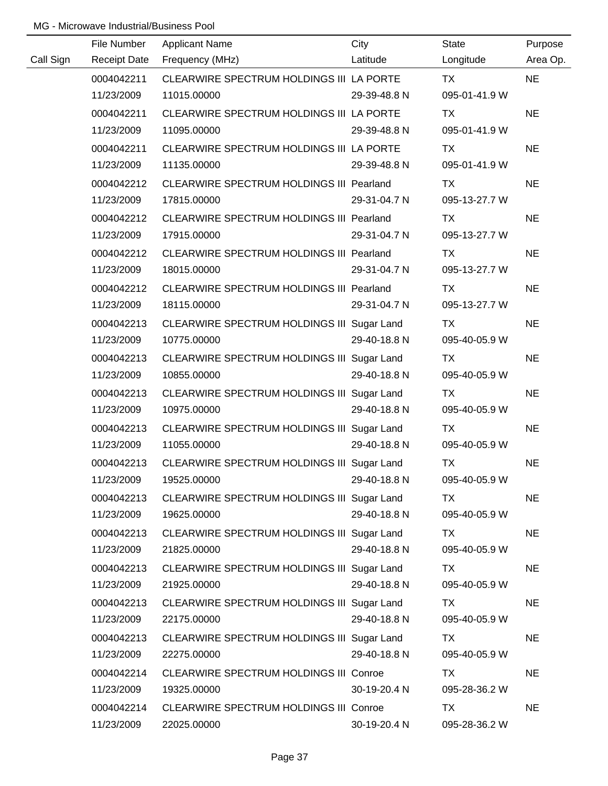|           | File Number         | <b>Applicant Name</b>                         | City         | <b>State</b>  | Purpose   |
|-----------|---------------------|-----------------------------------------------|--------------|---------------|-----------|
| Call Sign | <b>Receipt Date</b> | Frequency (MHz)                               | Latitude     | Longitude     | Area Op.  |
|           | 0004042211          | CLEARWIRE SPECTRUM HOLDINGS III LA PORTE      |              | <b>TX</b>     | <b>NE</b> |
|           | 11/23/2009          | 11015.00000                                   | 29-39-48.8 N | 095-01-41.9 W |           |
|           | 0004042211          | CLEARWIRE SPECTRUM HOLDINGS III LA PORTE      |              | <b>TX</b>     | <b>NE</b> |
|           | 11/23/2009          | 11095.00000                                   | 29-39-48.8 N | 095-01-41.9 W |           |
|           | 0004042211          | CLEARWIRE SPECTRUM HOLDINGS III LA PORTE      |              | TX            | <b>NE</b> |
|           | 11/23/2009          | 11135.00000                                   | 29-39-48.8 N | 095-01-41.9 W |           |
|           | 0004042212          | CLEARWIRE SPECTRUM HOLDINGS III Pearland      |              | <b>TX</b>     | <b>NE</b> |
|           | 11/23/2009          | 17815.00000                                   | 29-31-04.7 N | 095-13-27.7 W |           |
|           | 0004042212          | CLEARWIRE SPECTRUM HOLDINGS III Pearland      |              | TX            | <b>NE</b> |
|           | 11/23/2009          | 17915.00000                                   | 29-31-04.7 N | 095-13-27.7 W |           |
|           | 0004042212          | CLEARWIRE SPECTRUM HOLDINGS III Pearland      |              | TX            | <b>NE</b> |
|           | 11/23/2009          | 18015.00000                                   | 29-31-04.7 N | 095-13-27.7 W |           |
|           | 0004042212          | CLEARWIRE SPECTRUM HOLDINGS III Pearland      |              | TX            | <b>NE</b> |
|           | 11/23/2009          | 18115.00000                                   | 29-31-04.7 N | 095-13-27.7 W |           |
|           | 0004042213          | CLEARWIRE SPECTRUM HOLDINGS III Sugar Land    |              | TX            | <b>NE</b> |
|           | 11/23/2009          | 10775.00000                                   | 29-40-18.8 N | 095-40-05.9 W |           |
|           | 0004042213          | CLEARWIRE SPECTRUM HOLDINGS III Sugar Land    |              | TX            | <b>NE</b> |
|           | 11/23/2009          | 10855.00000                                   | 29-40-18.8 N | 095-40-05.9 W |           |
|           | 0004042213          | CLEARWIRE SPECTRUM HOLDINGS III Sugar Land    |              | <b>TX</b>     | <b>NE</b> |
|           | 11/23/2009          | 10975.00000                                   | 29-40-18.8 N | 095-40-05.9 W |           |
|           | 0004042213          | CLEARWIRE SPECTRUM HOLDINGS III Sugar Land    |              | <b>TX</b>     | <b>NE</b> |
|           | 11/23/2009          | 11055.00000                                   | 29-40-18.8 N | 095-40-05.9 W |           |
|           | 0004042213          | CLEARWIRE SPECTRUM HOLDINGS III Sugar Land    |              | <b>TX</b>     | <b>NE</b> |
|           | 11/23/2009          | 19525.00000                                   | 29-40-18.8 N | 095-40-05.9 W |           |
|           | 0004042213          | CLEARWIRE SPECTRUM HOLDINGS III Sugar Land    |              | TX            | <b>NE</b> |
|           | 11/23/2009          | 19625.00000                                   | 29-40-18.8 N | 095-40-05.9 W |           |
|           | 0004042213          | CLEARWIRE SPECTRUM HOLDINGS III Sugar Land    |              | TX            | <b>NE</b> |
|           | 11/23/2009          | 21825.00000                                   | 29-40-18.8 N | 095-40-05.9 W |           |
|           | 0004042213          | CLEARWIRE SPECTRUM HOLDINGS III Sugar Land    |              | TX            | <b>NE</b> |
|           | 11/23/2009          | 21925.00000                                   | 29-40-18.8 N | 095-40-05.9 W |           |
|           | 0004042213          | CLEARWIRE SPECTRUM HOLDINGS III Sugar Land    |              | TX            | <b>NE</b> |
|           | 11/23/2009          | 22175.00000                                   | 29-40-18.8 N | 095-40-05.9 W |           |
|           | 0004042213          | CLEARWIRE SPECTRUM HOLDINGS III Sugar Land    |              | TX            | <b>NE</b> |
|           | 11/23/2009          | 22275.00000                                   | 29-40-18.8 N | 095-40-05.9 W |           |
|           | 0004042214          | CLEARWIRE SPECTRUM HOLDINGS III Conroe        |              | TX            | <b>NE</b> |
|           | 11/23/2009          | 19325.00000                                   | 30-19-20.4 N | 095-28-36.2 W |           |
|           | 0004042214          | <b>CLEARWIRE SPECTRUM HOLDINGS III Conroe</b> |              | <b>TX</b>     | <b>NE</b> |
|           | 11/23/2009          | 22025.00000                                   | 30-19-20.4 N | 095-28-36.2 W |           |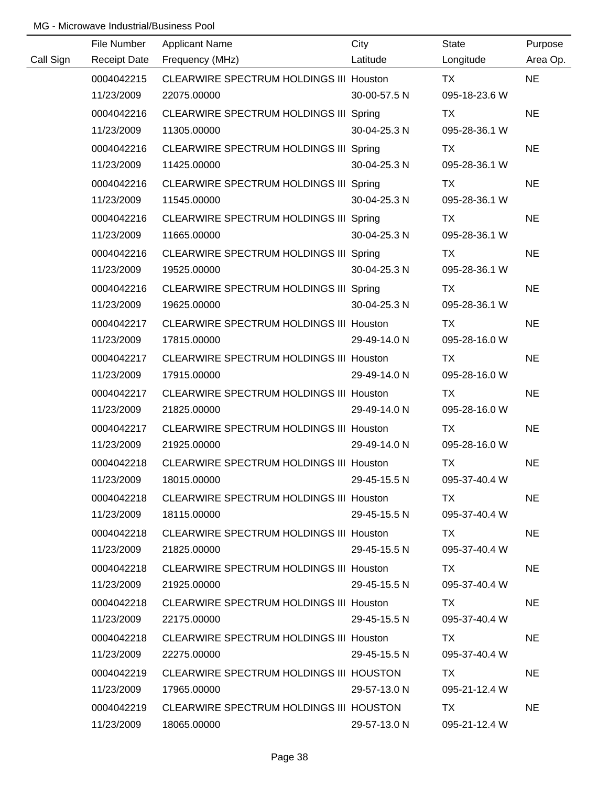|           | File Number         | <b>Applicant Name</b>                          | City         | State                                                                                                                                                                                                                          | Purpose   |
|-----------|---------------------|------------------------------------------------|--------------|--------------------------------------------------------------------------------------------------------------------------------------------------------------------------------------------------------------------------------|-----------|
| Call Sign | <b>Receipt Date</b> | Frequency (MHz)                                | Latitude     | Longitude                                                                                                                                                                                                                      | Area Op.  |
|           | 0004042215          | CLEARWIRE SPECTRUM HOLDINGS III Houston        |              | <b>TX</b>                                                                                                                                                                                                                      | <b>NE</b> |
|           | 11/23/2009          | 22075.00000                                    | 30-00-57.5 N | 095-18-23.6 W                                                                                                                                                                                                                  |           |
|           | 0004042216          | CLEARWIRE SPECTRUM HOLDINGS III Spring         |              | TX                                                                                                                                                                                                                             | <b>NE</b> |
|           | 11/23/2009          | 11305.00000                                    | 30-04-25.3 N | 095-28-36.1 W                                                                                                                                                                                                                  |           |
|           | 0004042216          | CLEARWIRE SPECTRUM HOLDINGS III Spring         |              | TX                                                                                                                                                                                                                             | <b>NE</b> |
|           | 11/23/2009          | 11425.00000                                    | 30-04-25.3 N | 095-28-36.1 W                                                                                                                                                                                                                  |           |
|           | 0004042216          | CLEARWIRE SPECTRUM HOLDINGS III Spring         |              | TX                                                                                                                                                                                                                             | <b>NE</b> |
|           | 11/23/2009          | 11545.00000                                    | 30-04-25.3 N | 095-28-36.1 W                                                                                                                                                                                                                  |           |
|           | 0004042216          | CLEARWIRE SPECTRUM HOLDINGS III Spring         |              | TX                                                                                                                                                                                                                             | <b>NE</b> |
|           | 11/23/2009          | 11665.00000                                    | 30-04-25.3 N | 095-28-36.1 W                                                                                                                                                                                                                  |           |
|           | 0004042216          | CLEARWIRE SPECTRUM HOLDINGS III Spring         |              | TX                                                                                                                                                                                                                             | <b>NE</b> |
|           | 11/23/2009          | 19525.00000                                    | 30-04-25.3 N | 095-28-36.1 W                                                                                                                                                                                                                  |           |
|           | 0004042216          | CLEARWIRE SPECTRUM HOLDINGS III Spring         |              | TX                                                                                                                                                                                                                             | <b>NE</b> |
|           | 11/23/2009          | 19625.00000                                    | 30-04-25.3 N | 095-28-36.1 W                                                                                                                                                                                                                  |           |
|           | 0004042217          | CLEARWIRE SPECTRUM HOLDINGS III Houston        |              | TX                                                                                                                                                                                                                             | <b>NE</b> |
|           | 11/23/2009          | 17815.00000                                    | 29-49-14.0 N | 095-28-16.0 W                                                                                                                                                                                                                  |           |
|           | 0004042217          | <b>CLEARWIRE SPECTRUM HOLDINGS III Houston</b> |              | TX                                                                                                                                                                                                                             | <b>NE</b> |
|           | 11/23/2009          | 17915.00000                                    | 29-49-14.0 N | 095-28-16.0 W                                                                                                                                                                                                                  |           |
|           | 0004042217          | <b>CLEARWIRE SPECTRUM HOLDINGS III Houston</b> |              | <b>TX</b>                                                                                                                                                                                                                      | <b>NE</b> |
|           | 11/23/2009          | 21825.00000                                    | 29-49-14.0 N | 095-28-16.0 W                                                                                                                                                                                                                  |           |
|           | 0004042217          | <b>CLEARWIRE SPECTRUM HOLDINGS III Houston</b> |              | <b>TX</b>                                                                                                                                                                                                                      | <b>NE</b> |
|           | 11/23/2009          | 21925.00000                                    | 29-49-14.0 N | 095-28-16.0 W                                                                                                                                                                                                                  |           |
|           | 0004042218          | CLEARWIRE SPECTRUM HOLDINGS III Houston        |              | <b>TX</b>                                                                                                                                                                                                                      | <b>NE</b> |
|           | 11/23/2009          | 18015.00000                                    | 29-45-15.5 N | 095-37-40.4 W                                                                                                                                                                                                                  |           |
|           | 0004042218          | CLEARWIRE SPECTRUM HOLDINGS III Houston        |              | TX.                                                                                                                                                                                                                            | <b>NE</b> |
|           | 11/23/2009          | 18115.00000                                    | 29-45-15.5 N | 095-37-40.4 W                                                                                                                                                                                                                  |           |
|           | 0004042218          | CLEARWIRE SPECTRUM HOLDINGS III Houston        |              | TX Development of the set of the set of the set of the set of the set of the set of the set of the set of the set of the set of the set of the set of the set of the set of the set of the set of the set of the set of the se | <b>NE</b> |
|           | 11/23/2009          | 21825.00000                                    | 29-45-15.5 N | 095-37-40.4 W                                                                                                                                                                                                                  |           |
|           | 0004042218          | CLEARWIRE SPECTRUM HOLDINGS III Houston        |              | TX.                                                                                                                                                                                                                            | <b>NE</b> |
|           | 11/23/2009          | 21925.00000                                    | 29-45-15.5 N | 095-37-40.4 W                                                                                                                                                                                                                  |           |
|           | 0004042218          | CLEARWIRE SPECTRUM HOLDINGS III Houston        |              | TX.                                                                                                                                                                                                                            | <b>NE</b> |
|           | 11/23/2009          | 22175.00000                                    | 29-45-15.5 N | 095-37-40.4 W                                                                                                                                                                                                                  |           |
|           | 0004042218          | <b>CLEARWIRE SPECTRUM HOLDINGS III Houston</b> |              | TX.                                                                                                                                                                                                                            | <b>NE</b> |
|           | 11/23/2009          | 22275.00000                                    | 29-45-15.5 N | 095-37-40.4 W                                                                                                                                                                                                                  |           |
|           | 0004042219          | CLEARWIRE SPECTRUM HOLDINGS III HOUSTON        |              | TX.                                                                                                                                                                                                                            | <b>NE</b> |
|           | 11/23/2009          | 17965.00000                                    | 29-57-13.0 N | 095-21-12.4 W                                                                                                                                                                                                                  |           |
|           | 0004042219          | CLEARWIRE SPECTRUM HOLDINGS III HOUSTON        |              | TX                                                                                                                                                                                                                             | <b>NE</b> |
|           | 11/23/2009          | 18065.00000                                    | 29-57-13.0 N | 095-21-12.4 W                                                                                                                                                                                                                  |           |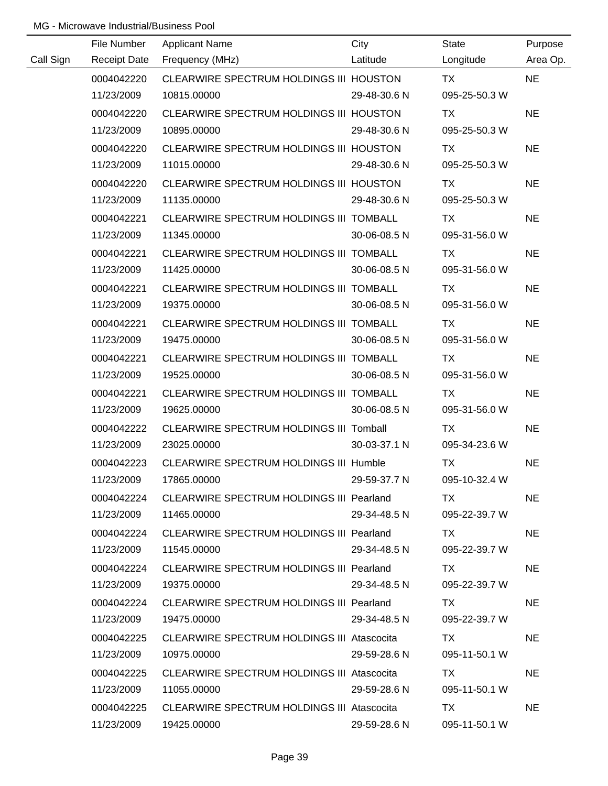|           | File Number         | <b>Applicant Name</b>                             | City         | <b>State</b>  | Purpose   |
|-----------|---------------------|---------------------------------------------------|--------------|---------------|-----------|
| Call Sign | <b>Receipt Date</b> | Frequency (MHz)                                   | Latitude     | Longitude     | Area Op.  |
|           | 0004042220          | CLEARWIRE SPECTRUM HOLDINGS III HOUSTON           |              | <b>TX</b>     | <b>NE</b> |
|           | 11/23/2009          | 10815.00000                                       | 29-48-30.6 N | 095-25-50.3 W |           |
|           | 0004042220          | CLEARWIRE SPECTRUM HOLDINGS III HOUSTON           |              | <b>TX</b>     | <b>NE</b> |
|           | 11/23/2009          | 10895.00000                                       | 29-48-30.6 N | 095-25-50.3 W |           |
|           | 0004042220          | CLEARWIRE SPECTRUM HOLDINGS III HOUSTON           |              | TX            | <b>NE</b> |
|           | 11/23/2009          | 11015.00000                                       | 29-48-30.6 N | 095-25-50.3 W |           |
|           | 0004042220          | CLEARWIRE SPECTRUM HOLDINGS III HOUSTON           |              | TX            | <b>NE</b> |
|           | 11/23/2009          | 11135.00000                                       | 29-48-30.6 N | 095-25-50.3 W |           |
|           | 0004042221          | CLEARWIRE SPECTRUM HOLDINGS III TOMBALL           |              | TX            | <b>NE</b> |
|           | 11/23/2009          | 11345.00000                                       | 30-06-08.5 N | 095-31-56.0 W |           |
|           | 0004042221          | CLEARWIRE SPECTRUM HOLDINGS III TOMBALL           |              | TX            | <b>NE</b> |
|           | 11/23/2009          | 11425.00000                                       | 30-06-08.5 N | 095-31-56.0 W |           |
|           | 0004042221          | CLEARWIRE SPECTRUM HOLDINGS III TOMBALL           |              | TX            | <b>NE</b> |
|           | 11/23/2009          | 19375.00000                                       | 30-06-08.5 N | 095-31-56.0 W |           |
|           | 0004042221          | CLEARWIRE SPECTRUM HOLDINGS III TOMBALL           |              | TX            | <b>NE</b> |
|           | 11/23/2009          | 19475.00000                                       | 30-06-08.5 N | 095-31-56.0 W |           |
|           | 0004042221          | CLEARWIRE SPECTRUM HOLDINGS III TOMBALL           |              | TX            | <b>NE</b> |
|           | 11/23/2009          | 19525.00000                                       | 30-06-08.5 N | 095-31-56.0 W |           |
|           | 0004042221          | CLEARWIRE SPECTRUM HOLDINGS III TOMBALL           |              | <b>TX</b>     | <b>NE</b> |
|           | 11/23/2009          | 19625.00000                                       | 30-06-08.5 N | 095-31-56.0 W |           |
|           | 0004042222          | CLEARWIRE SPECTRUM HOLDINGS III Tomball           |              | <b>TX</b>     | <b>NE</b> |
|           | 11/23/2009          | 23025.00000                                       | 30-03-37.1 N | 095-34-23.6 W |           |
|           | 0004042223          | CLEARWIRE SPECTRUM HOLDINGS III Humble            |              | <b>TX</b>     | <b>NE</b> |
|           | 11/23/2009          | 17865.00000                                       | 29-59-37.7 N | 095-10-32.4 W |           |
|           | 0004042224          | CLEARWIRE SPECTRUM HOLDINGS III Pearland          |              | TX.           | <b>NE</b> |
|           | 11/23/2009          | 11465.00000                                       | 29-34-48.5 N | 095-22-39.7 W |           |
|           | 0004042224          | CLEARWIRE SPECTRUM HOLDINGS III Pearland          |              | TX.           | <b>NE</b> |
|           | 11/23/2009          | 11545.00000                                       | 29-34-48.5 N | 095-22-39.7 W |           |
|           | 0004042224          | CLEARWIRE SPECTRUM HOLDINGS III Pearland          |              | TX.           | <b>NE</b> |
|           | 11/23/2009          | 19375.00000                                       | 29-34-48.5 N | 095-22-39.7 W |           |
|           | 0004042224          | CLEARWIRE SPECTRUM HOLDINGS III Pearland          |              | TX.           | <b>NE</b> |
|           | 11/23/2009          | 19475.00000                                       | 29-34-48.5 N | 095-22-39.7 W |           |
|           | 0004042225          | <b>CLEARWIRE SPECTRUM HOLDINGS III Atascocita</b> |              | TX.           | NE        |
|           | 11/23/2009          | 10975.00000                                       | 29-59-28.6 N | 095-11-50.1 W |           |
|           | 0004042225          | <b>CLEARWIRE SPECTRUM HOLDINGS III Atascocita</b> |              | TX.           | <b>NE</b> |
|           | 11/23/2009          | 11055.00000                                       | 29-59-28.6 N | 095-11-50.1 W |           |
|           | 0004042225          | <b>CLEARWIRE SPECTRUM HOLDINGS III Atascocita</b> |              | TX            | <b>NE</b> |
|           | 11/23/2009          | 19425.00000                                       | 29-59-28.6 N | 095-11-50.1 W |           |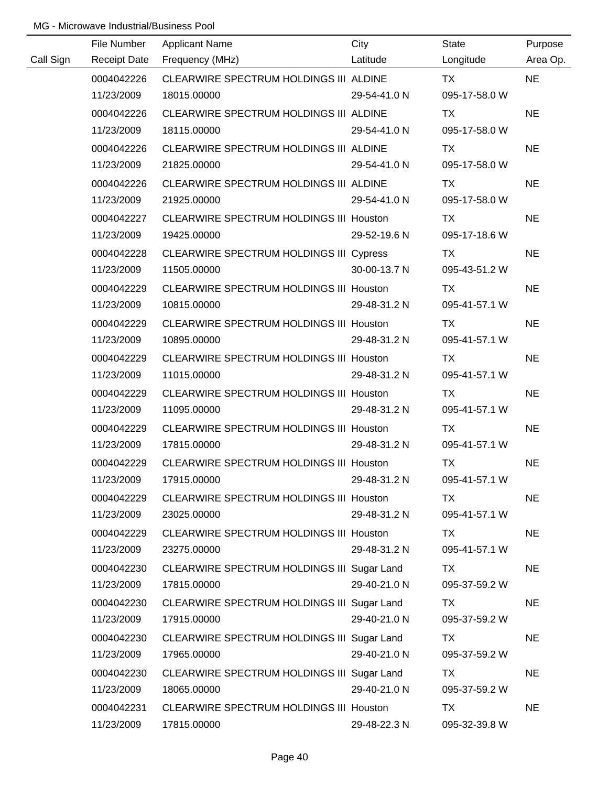|           | File Number         | <b>Applicant Name</b>                          | City         | State         | Purpose   |
|-----------|---------------------|------------------------------------------------|--------------|---------------|-----------|
| Call Sign | <b>Receipt Date</b> | Frequency (MHz)                                | Latitude     | Longitude     | Area Op.  |
|           | 0004042226          | CLEARWIRE SPECTRUM HOLDINGS III ALDINE         |              | <b>TX</b>     | <b>NE</b> |
|           | 11/23/2009          | 18015.00000                                    | 29-54-41.0 N | 095-17-58.0 W |           |
|           | 0004042226          | CLEARWIRE SPECTRUM HOLDINGS III ALDINE         |              | <b>TX</b>     | <b>NE</b> |
|           | 11/23/2009          | 18115.00000                                    | 29-54-41.0 N | 095-17-58.0 W |           |
|           | 0004042226          | CLEARWIRE SPECTRUM HOLDINGS III ALDINE         |              | TX            | <b>NE</b> |
|           | 11/23/2009          | 21825.00000                                    | 29-54-41.0 N | 095-17-58.0 W |           |
|           | 0004042226          | CLEARWIRE SPECTRUM HOLDINGS III ALDINE         |              | TX            | <b>NE</b> |
|           | 11/23/2009          | 21925.00000                                    | 29-54-41.0 N | 095-17-58.0 W |           |
|           | 0004042227          | CLEARWIRE SPECTRUM HOLDINGS III Houston        |              | TX            | <b>NE</b> |
|           | 11/23/2009          | 19425.00000                                    | 29-52-19.6 N | 095-17-18.6 W |           |
|           | 0004042228          | <b>CLEARWIRE SPECTRUM HOLDINGS III Cypress</b> |              | <b>TX</b>     | <b>NE</b> |
|           | 11/23/2009          | 11505.00000                                    | 30-00-13.7 N | 095-43-51.2 W |           |
|           | 0004042229          | CLEARWIRE SPECTRUM HOLDINGS III Houston        |              | TX            | <b>NE</b> |
|           | 11/23/2009          | 10815.00000                                    | 29-48-31.2 N | 095-41-57.1 W |           |
|           | 0004042229          | <b>CLEARWIRE SPECTRUM HOLDINGS III Houston</b> |              | TX            | <b>NE</b> |
|           | 11/23/2009          | 10895.00000                                    | 29-48-31.2 N | 095-41-57.1 W |           |
|           | 0004042229          | <b>CLEARWIRE SPECTRUM HOLDINGS III Houston</b> |              | TX            | <b>NE</b> |
|           | 11/23/2009          | 11015.00000                                    | 29-48-31.2 N | 095-41-57.1 W |           |
|           | 0004042229          | CLEARWIRE SPECTRUM HOLDINGS III Houston        |              | <b>TX</b>     | <b>NE</b> |
|           | 11/23/2009          | 11095.00000                                    | 29-48-31.2 N | 095-41-57.1 W |           |
|           | 0004042229          | <b>CLEARWIRE SPECTRUM HOLDINGS III Houston</b> |              | <b>TX</b>     | <b>NE</b> |
|           | 11/23/2009          | 17815.00000                                    | 29-48-31.2 N | 095-41-57.1 W |           |
|           | 0004042229          | CLEARWIRE SPECTRUM HOLDINGS III Houston        |              | <b>TX</b>     | <b>NE</b> |
|           | 11/23/2009          | 17915.00000                                    | 29-48-31.2 N | 095-41-57.1 W |           |
|           | 0004042229          | CLEARWIRE SPECTRUM HOLDINGS III Houston        |              | TX            | <b>NE</b> |
|           | 11/23/2009          | 23025.00000                                    | 29-48-31.2 N | 095-41-57.1 W |           |
|           | 0004042229          | <b>CLEARWIRE SPECTRUM HOLDINGS III Houston</b> |              | TX            | <b>NE</b> |
|           | 11/23/2009          | 23275.00000                                    | 29-48-31.2 N | 095-41-57.1 W |           |
|           | 0004042230          | CLEARWIRE SPECTRUM HOLDINGS III Sugar Land     |              | TX            | <b>NE</b> |
|           | 11/23/2009          | 17815.00000                                    | 29-40-21.0 N | 095-37-59.2 W |           |
|           | 0004042230          | CLEARWIRE SPECTRUM HOLDINGS III Sugar Land     |              | TX            | <b>NE</b> |
|           | 11/23/2009          | 17915.00000                                    | 29-40-21.0 N | 095-37-59.2 W |           |
|           | 0004042230          | CLEARWIRE SPECTRUM HOLDINGS III Sugar Land     |              | TX            | <b>NE</b> |
|           | 11/23/2009          | 17965.00000                                    | 29-40-21.0 N | 095-37-59.2 W |           |
|           | 0004042230          | CLEARWIRE SPECTRUM HOLDINGS III Sugar Land     |              | TX            | <b>NE</b> |
|           | 11/23/2009          | 18065.00000                                    | 29-40-21.0 N | 095-37-59.2 W |           |
|           | 0004042231          | CLEARWIRE SPECTRUM HOLDINGS III Houston        |              | <b>TX</b>     | <b>NE</b> |
|           | 11/23/2009          | 17815.00000                                    | 29-48-22.3 N | 095-32-39.8 W |           |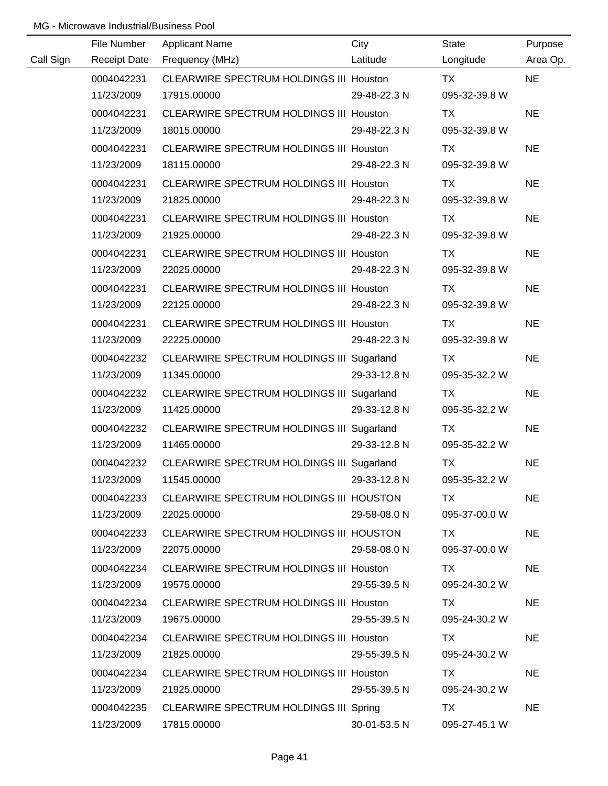|           | File Number         | <b>Applicant Name</b>                          | City         | <b>State</b>  | Purpose   |
|-----------|---------------------|------------------------------------------------|--------------|---------------|-----------|
| Call Sign | <b>Receipt Date</b> | Frequency (MHz)                                | Latitude     | Longitude     | Area Op.  |
|           | 0004042231          | CLEARWIRE SPECTRUM HOLDINGS III Houston        |              | TX            | <b>NE</b> |
|           | 11/23/2009          | 17915.00000                                    | 29-48-22.3 N | 095-32-39.8 W |           |
|           | 0004042231          | CLEARWIRE SPECTRUM HOLDINGS III Houston        |              | TX            | <b>NE</b> |
|           | 11/23/2009          | 18015.00000                                    | 29-48-22.3 N | 095-32-39.8 W |           |
|           | 0004042231          | CLEARWIRE SPECTRUM HOLDINGS III Houston        |              | TX            | <b>NE</b> |
|           | 11/23/2009          | 18115.00000                                    | 29-48-22.3 N | 095-32-39.8 W |           |
|           | 0004042231          | CLEARWIRE SPECTRUM HOLDINGS III Houston        |              | TX            | <b>NE</b> |
|           | 11/23/2009          | 21825.00000                                    | 29-48-22.3 N | 095-32-39.8 W |           |
|           | 0004042231          | CLEARWIRE SPECTRUM HOLDINGS III Houston        |              | TX            | <b>NE</b> |
|           | 11/23/2009          | 21925.00000                                    | 29-48-22.3 N | 095-32-39.8 W |           |
|           | 0004042231          | CLEARWIRE SPECTRUM HOLDINGS III Houston        |              | <b>TX</b>     | <b>NE</b> |
|           | 11/23/2009          | 22025.00000                                    | 29-48-22.3 N | 095-32-39.8 W |           |
|           | 0004042231          | CLEARWIRE SPECTRUM HOLDINGS III Houston        |              | TX            | <b>NE</b> |
|           | 11/23/2009          | 22125.00000                                    | 29-48-22.3 N | 095-32-39.8 W |           |
|           | 0004042231          | CLEARWIRE SPECTRUM HOLDINGS III Houston        |              | TX            | <b>NE</b> |
|           | 11/23/2009          | 22225.00000                                    | 29-48-22.3 N | 095-32-39.8 W |           |
|           | 0004042232          | CLEARWIRE SPECTRUM HOLDINGS III Sugarland      |              | TX            | <b>NE</b> |
|           | 11/23/2009          | 11345.00000                                    | 29-33-12.8 N | 095-35-32.2 W |           |
|           | 0004042232          | CLEARWIRE SPECTRUM HOLDINGS III Sugarland      |              | TX            | <b>NE</b> |
|           | 11/23/2009          | 11425.00000                                    | 29-33-12.8 N | 095-35-32.2 W |           |
|           | 0004042232          | CLEARWIRE SPECTRUM HOLDINGS III Sugarland      |              | <b>TX</b>     | <b>NE</b> |
|           | 11/23/2009          | 11465.00000                                    | 29-33-12.8 N | 095-35-32.2 W |           |
|           | 0004042232          | CLEARWIRE SPECTRUM HOLDINGS III Sugarland      |              | <b>TX</b>     | <b>NE</b> |
|           | 11/23/2009          | 11545.00000                                    | 29-33-12.8 N | 095-35-32.2 W |           |
|           | 0004042233          | CLEARWIRE SPECTRUM HOLDINGS III HOUSTON        |              | TX            | <b>NE</b> |
|           | 11/23/2009          | 22025.00000                                    | 29-58-08.0 N | 095-37-00.0 W |           |
|           | 0004042233          | CLEARWIRE SPECTRUM HOLDINGS III HOUSTON        |              | TX.           | <b>NE</b> |
|           | 11/23/2009          | 22075.00000                                    | 29-58-08.0 N | 095-37-00.0 W |           |
|           | 0004042234          | <b>CLEARWIRE SPECTRUM HOLDINGS III Houston</b> |              | TX            | <b>NE</b> |
|           | 11/23/2009          | 19575.00000                                    | 29-55-39.5 N | 095-24-30.2 W |           |
|           | 0004042234          | CLEARWIRE SPECTRUM HOLDINGS III Houston        |              | TX.           | <b>NE</b> |
|           | 11/23/2009          | 19675.00000                                    | 29-55-39.5 N | 095-24-30.2 W |           |
|           | 0004042234          | <b>CLEARWIRE SPECTRUM HOLDINGS III Houston</b> |              | TX            | <b>NE</b> |
|           | 11/23/2009          | 21825.00000                                    | 29-55-39.5 N | 095-24-30.2 W |           |
|           | 0004042234          | <b>CLEARWIRE SPECTRUM HOLDINGS III Houston</b> |              | TX.           | <b>NE</b> |
|           | 11/23/2009          | 21925.00000                                    | 29-55-39.5 N | 095-24-30.2 W |           |
|           | 0004042235          | CLEARWIRE SPECTRUM HOLDINGS III Spring         |              | TX.           | <b>NE</b> |
|           | 11/23/2009          | 17815.00000                                    | 30-01-53.5 N | 095-27-45.1 W |           |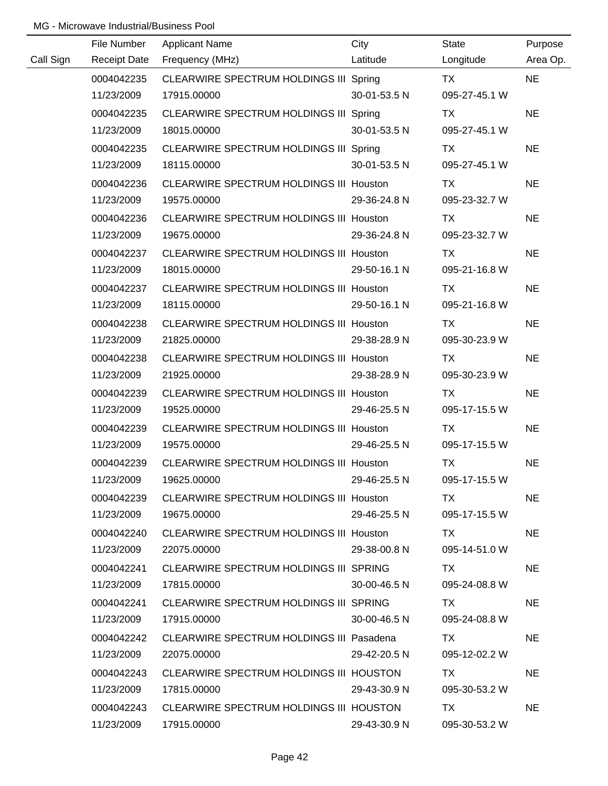|           | File Number         | <b>Applicant Name</b>                           | City         | <b>State</b>  | Purpose   |
|-----------|---------------------|-------------------------------------------------|--------------|---------------|-----------|
| Call Sign | <b>Receipt Date</b> | Frequency (MHz)                                 | Latitude     | Longitude     | Area Op.  |
|           | 0004042235          | CLEARWIRE SPECTRUM HOLDINGS III Spring          |              | <b>TX</b>     | <b>NE</b> |
|           | 11/23/2009          | 17915.00000                                     | 30-01-53.5 N | 095-27-45.1 W |           |
|           | 0004042235          | CLEARWIRE SPECTRUM HOLDINGS III Spring          |              | TX            | <b>NE</b> |
|           | 11/23/2009          | 18015.00000                                     | 30-01-53.5 N | 095-27-45.1 W |           |
|           | 0004042235          | CLEARWIRE SPECTRUM HOLDINGS III Spring          |              | TX            | <b>NE</b> |
|           | 11/23/2009          | 18115.00000                                     | 30-01-53.5 N | 095-27-45.1 W |           |
|           | 0004042236          | CLEARWIRE SPECTRUM HOLDINGS III Houston         |              | TX            | <b>NE</b> |
|           | 11/23/2009          | 19575.00000                                     | 29-36-24.8 N | 095-23-32.7 W |           |
|           | 0004042236          | CLEARWIRE SPECTRUM HOLDINGS III Houston         |              | TX            | <b>NE</b> |
|           | 11/23/2009          | 19675.00000                                     | 29-36-24.8 N | 095-23-32.7 W |           |
|           | 0004042237          | CLEARWIRE SPECTRUM HOLDINGS III Houston         |              | TX            | <b>NE</b> |
|           | 11/23/2009          | 18015.00000                                     | 29-50-16.1 N | 095-21-16.8 W |           |
|           | 0004042237          | CLEARWIRE SPECTRUM HOLDINGS III Houston         |              | TX            | <b>NE</b> |
|           | 11/23/2009          | 18115.00000                                     | 29-50-16.1 N | 095-21-16.8 W |           |
|           | 0004042238          | <b>CLEARWIRE SPECTRUM HOLDINGS III Houston</b>  |              | TX            | <b>NE</b> |
|           | 11/23/2009          | 21825.00000                                     | 29-38-28.9 N | 095-30-23.9 W |           |
|           | 0004042238          | <b>CLEARWIRE SPECTRUM HOLDINGS III Houston</b>  |              | TX            | <b>NE</b> |
|           | 11/23/2009          | 21925.00000                                     | 29-38-28.9 N | 095-30-23.9 W |           |
|           | 0004042239          | CLEARWIRE SPECTRUM HOLDINGS III Houston         |              | TX            | <b>NE</b> |
|           | 11/23/2009          | 19525.00000                                     | 29-46-25.5 N | 095-17-15.5 W |           |
|           | 0004042239          | CLEARWIRE SPECTRUM HOLDINGS III Houston         |              | <b>TX</b>     | <b>NE</b> |
|           | 11/23/2009          | 19575.00000                                     | 29-46-25.5 N | 095-17-15.5 W |           |
|           | 0004042239          | CLEARWIRE SPECTRUM HOLDINGS III Houston         |              | <b>TX</b>     | <b>NE</b> |
|           | 11/23/2009          | 19625.00000                                     | 29-46-25.5 N | 095-17-15.5 W |           |
|           | 0004042239          | CLEARWIRE SPECTRUM HOLDINGS III Houston         |              | TX.           | <b>NE</b> |
|           | 11/23/2009          | 19675.00000                                     | 29-46-25.5 N | 095-17-15.5 W |           |
|           | 0004042240          | CLEARWIRE SPECTRUM HOLDINGS III Houston         |              | TX T          | NE.       |
|           | 11/23/2009          | 22075.00000                                     | 29-38-00.8 N | 095-14-51.0 W |           |
|           | 0004042241          | CLEARWIRE SPECTRUM HOLDINGS III SPRING          |              | TX T          | <b>NE</b> |
|           | 11/23/2009          | 17815.00000                                     | 30-00-46.5 N | 095-24-08.8 W |           |
|           | 0004042241          | CLEARWIRE SPECTRUM HOLDINGS III SPRING          |              | TX .          | <b>NE</b> |
|           | 11/23/2009          | 17915.00000                                     | 30-00-46.5 N | 095-24-08.8 W |           |
|           | 0004042242          | <b>CLEARWIRE SPECTRUM HOLDINGS III Pasadena</b> |              | TX.           | <b>NE</b> |
|           | 11/23/2009          | 22075.00000                                     | 29-42-20.5 N | 095-12-02.2 W |           |
|           | 0004042243          | CLEARWIRE SPECTRUM HOLDINGS III HOUSTON         |              | TX.           | <b>NE</b> |
|           | 11/23/2009          | 17815.00000                                     | 29-43-30.9 N | 095-30-53.2 W |           |
|           | 0004042243          | CLEARWIRE SPECTRUM HOLDINGS III HOUSTON         |              | TX            | <b>NE</b> |
|           | 11/23/2009          | 17915.00000                                     | 29-43-30.9 N | 095-30-53.2 W |           |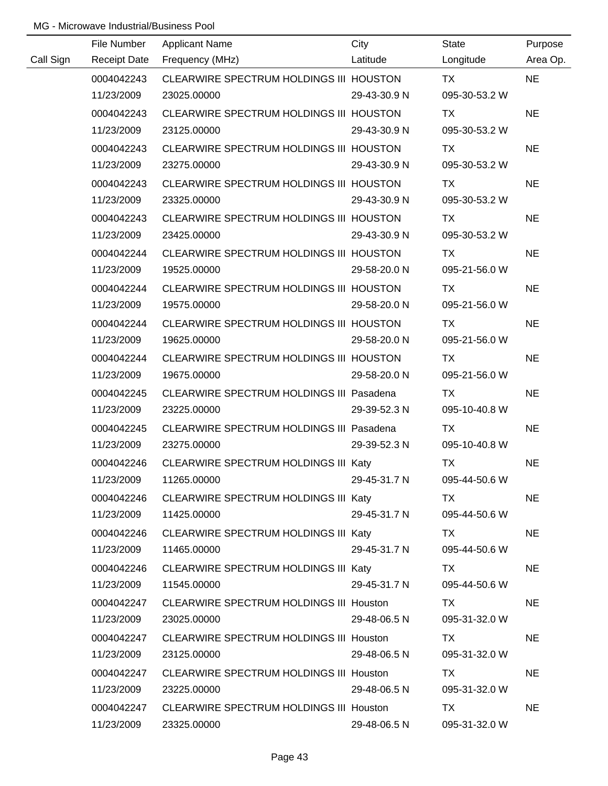|           | File Number         | <b>Applicant Name</b>                           | City         | State         | Purpose   |
|-----------|---------------------|-------------------------------------------------|--------------|---------------|-----------|
| Call Sign | <b>Receipt Date</b> | Frequency (MHz)                                 | Latitude     | Longitude     | Area Op.  |
|           | 0004042243          | CLEARWIRE SPECTRUM HOLDINGS III HOUSTON         |              | <b>TX</b>     | <b>NE</b> |
|           | 11/23/2009          | 23025.00000                                     | 29-43-30.9 N | 095-30-53.2 W |           |
|           | 0004042243          | CLEARWIRE SPECTRUM HOLDINGS III HOUSTON         |              | TX            | <b>NE</b> |
|           | 11/23/2009          | 23125.00000                                     | 29-43-30.9 N | 095-30-53.2 W |           |
|           | 0004042243          | CLEARWIRE SPECTRUM HOLDINGS III HOUSTON         |              | TX            | <b>NE</b> |
|           | 11/23/2009          | 23275.00000                                     | 29-43-30.9 N | 095-30-53.2 W |           |
|           | 0004042243          | CLEARWIRE SPECTRUM HOLDINGS III HOUSTON         |              | TX            | <b>NE</b> |
|           | 11/23/2009          | 23325.00000                                     | 29-43-30.9 N | 095-30-53.2 W |           |
|           | 0004042243          | CLEARWIRE SPECTRUM HOLDINGS III HOUSTON         |              | TX            | <b>NE</b> |
|           | 11/23/2009          | 23425.00000                                     | 29-43-30.9 N | 095-30-53.2 W |           |
|           | 0004042244          | CLEARWIRE SPECTRUM HOLDINGS III HOUSTON         |              | TX            | <b>NE</b> |
|           | 11/23/2009          | 19525.00000                                     | 29-58-20.0 N | 095-21-56.0 W |           |
|           | 0004042244          | CLEARWIRE SPECTRUM HOLDINGS III HOUSTON         |              | TX            | <b>NE</b> |
|           | 11/23/2009          | 19575.00000                                     | 29-58-20.0 N | 095-21-56.0 W |           |
|           | 0004042244          | CLEARWIRE SPECTRUM HOLDINGS III HOUSTON         |              | TX            | <b>NE</b> |
|           | 11/23/2009          | 19625.00000                                     | 29-58-20.0 N | 095-21-56.0 W |           |
|           | 0004042244          | CLEARWIRE SPECTRUM HOLDINGS III HOUSTON         |              | TX            | <b>NE</b> |
|           | 11/23/2009          | 19675.00000                                     | 29-58-20.0 N | 095-21-56.0 W |           |
|           | 0004042245          | CLEARWIRE SPECTRUM HOLDINGS III Pasadena        |              | <b>TX</b>     | <b>NE</b> |
|           | 11/23/2009          | 23225.00000                                     | 29-39-52.3 N | 095-10-40.8 W |           |
|           | 0004042245          | <b>CLEARWIRE SPECTRUM HOLDINGS III Pasadena</b> |              | <b>TX</b>     | <b>NE</b> |
|           | 11/23/2009          | 23275.00000                                     | 29-39-52.3 N | 095-10-40.8 W |           |
|           | 0004042246          | CLEARWIRE SPECTRUM HOLDINGS III Katy            |              | <b>TX</b>     | <b>NE</b> |
|           | 11/23/2009          | 11265.00000                                     | 29-45-31.7 N | 095-44-50.6 W |           |
|           | 0004042246          | CLEARWIRE SPECTRUM HOLDINGS III Katy            |              | TX T          | <b>NE</b> |
|           | 11/23/2009          | 11425.00000                                     | 29-45-31.7 N | 095-44-50.6 W |           |
|           | 0004042246          | CLEARWIRE SPECTRUM HOLDINGS III Katy            |              | TX TX         | <b>NE</b> |
|           | 11/23/2009          | 11465.00000                                     | 29-45-31.7 N | 095-44-50.6 W |           |
|           | 0004042246          | CLEARWIRE SPECTRUM HOLDINGS III Katy            |              | TX.           | <b>NE</b> |
|           | 11/23/2009          | 11545.00000                                     | 29-45-31.7 N | 095-44-50.6 W |           |
|           | 0004042247          | CLEARWIRE SPECTRUM HOLDINGS III Houston         |              | TX.           | <b>NE</b> |
|           | 11/23/2009          | 23025.00000                                     | 29-48-06.5 N | 095-31-32.0 W |           |
|           | 0004042247          | CLEARWIRE SPECTRUM HOLDINGS III Houston         |              | TX.           | <b>NE</b> |
|           | 11/23/2009          | 23125.00000                                     | 29-48-06.5 N | 095-31-32.0 W |           |
|           | 0004042247          | CLEARWIRE SPECTRUM HOLDINGS III Houston         |              | TX            | <b>NE</b> |
|           | 11/23/2009          | 23225.00000                                     | 29-48-06.5 N | 095-31-32.0 W |           |
|           | 0004042247          | CLEARWIRE SPECTRUM HOLDINGS III Houston         |              | <b>TX</b>     | <b>NE</b> |
|           | 11/23/2009          | 23325.00000                                     | 29-48-06.5 N | 095-31-32.0 W |           |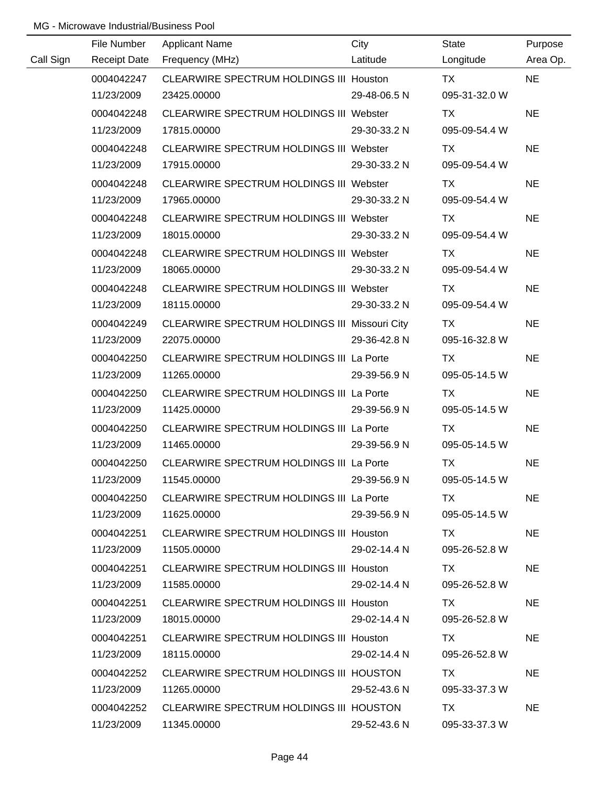|           | File Number         | <b>Applicant Name</b>                                | City         | <b>State</b>  | Purpose   |
|-----------|---------------------|------------------------------------------------------|--------------|---------------|-----------|
| Call Sign | <b>Receipt Date</b> | Frequency (MHz)                                      | Latitude     | Longitude     | Area Op.  |
|           | 0004042247          | CLEARWIRE SPECTRUM HOLDINGS III Houston              |              | TX            | <b>NE</b> |
|           | 11/23/2009          | 23425.00000                                          | 29-48-06.5 N | 095-31-32.0 W |           |
|           | 0004042248          | CLEARWIRE SPECTRUM HOLDINGS III Webster              |              | TX            | <b>NE</b> |
|           | 11/23/2009          | 17815.00000                                          | 29-30-33.2 N | 095-09-54.4 W |           |
|           | 0004042248          | CLEARWIRE SPECTRUM HOLDINGS III Webster              |              | TX            | <b>NE</b> |
|           | 11/23/2009          | 17915.00000                                          | 29-30-33.2 N | 095-09-54.4 W |           |
|           | 0004042248          | <b>CLEARWIRE SPECTRUM HOLDINGS III Webster</b>       |              | TX            | <b>NE</b> |
|           | 11/23/2009          | 17965.00000                                          | 29-30-33.2 N | 095-09-54.4 W |           |
|           | 0004042248          | CLEARWIRE SPECTRUM HOLDINGS III Webster              |              | TX            | <b>NE</b> |
|           | 11/23/2009          | 18015.00000                                          | 29-30-33.2 N | 095-09-54.4 W |           |
|           | 0004042248          | CLEARWIRE SPECTRUM HOLDINGS III Webster              |              | TX            | <b>NE</b> |
|           | 11/23/2009          | 18065.00000                                          | 29-30-33.2 N | 095-09-54.4 W |           |
|           | 0004042248          | CLEARWIRE SPECTRUM HOLDINGS III Webster              |              | TX            | <b>NE</b> |
|           | 11/23/2009          | 18115.00000                                          | 29-30-33.2 N | 095-09-54.4 W |           |
|           | 0004042249          | <b>CLEARWIRE SPECTRUM HOLDINGS III Missouri City</b> |              | TX            | <b>NE</b> |
|           | 11/23/2009          | 22075.00000                                          | 29-36-42.8 N | 095-16-32.8 W |           |
|           | 0004042250          | CLEARWIRE SPECTRUM HOLDINGS III La Porte             |              | TX            | <b>NE</b> |
|           | 11/23/2009          | 11265.00000                                          | 29-39-56.9 N | 095-05-14.5 W |           |
|           | 0004042250          | CLEARWIRE SPECTRUM HOLDINGS III La Porte             |              | TX            | <b>NE</b> |
|           | 11/23/2009          | 11425.00000                                          | 29-39-56.9 N | 095-05-14.5 W |           |
|           | 0004042250          | CLEARWIRE SPECTRUM HOLDINGS III La Porte             |              | <b>TX</b>     | <b>NE</b> |
|           | 11/23/2009          | 11465.00000                                          | 29-39-56.9 N | 095-05-14.5 W |           |
|           | 0004042250          | CLEARWIRE SPECTRUM HOLDINGS III La Porte             |              | <b>TX</b>     | <b>NE</b> |
|           | 11/23/2009          | 11545.00000                                          | 29-39-56.9 N | 095-05-14.5 W |           |
|           | 0004042250          | CLEARWIRE SPECTRUM HOLDINGS III La Porte             |              | TX.           | <b>NE</b> |
|           | 11/23/2009          | 11625.00000                                          | 29-39-56.9 N | 095-05-14.5 W |           |
|           | 0004042251          | CLEARWIRE SPECTRUM HOLDINGS III Houston              |              | TX.           | <b>NE</b> |
|           | 11/23/2009          | 11505.00000                                          | 29-02-14.4 N | 095-26-52.8 W |           |
|           | 0004042251          | CLEARWIRE SPECTRUM HOLDINGS III Houston              |              | TX.           | <b>NE</b> |
|           | 11/23/2009          | 11585.00000                                          | 29-02-14.4 N | 095-26-52.8 W |           |
|           | 0004042251          | CLEARWIRE SPECTRUM HOLDINGS III Houston              |              | TX.           | <b>NE</b> |
|           | 11/23/2009          | 18015.00000                                          | 29-02-14.4 N | 095-26-52.8 W |           |
|           | 0004042251          | <b>CLEARWIRE SPECTRUM HOLDINGS III Houston</b>       |              | TX.           | <b>NE</b> |
|           | 11/23/2009          | 18115.00000                                          | 29-02-14.4 N | 095-26-52.8 W |           |
|           | 0004042252          | CLEARWIRE SPECTRUM HOLDINGS III HOUSTON              |              | TX.           | <b>NE</b> |
|           | 11/23/2009          | 11265.00000                                          | 29-52-43.6 N | 095-33-37.3 W |           |
|           | 0004042252          | CLEARWIRE SPECTRUM HOLDINGS III HOUSTON              |              | TX            | <b>NE</b> |
|           | 11/23/2009          | 11345.00000                                          | 29-52-43.6 N | 095-33-37.3 W |           |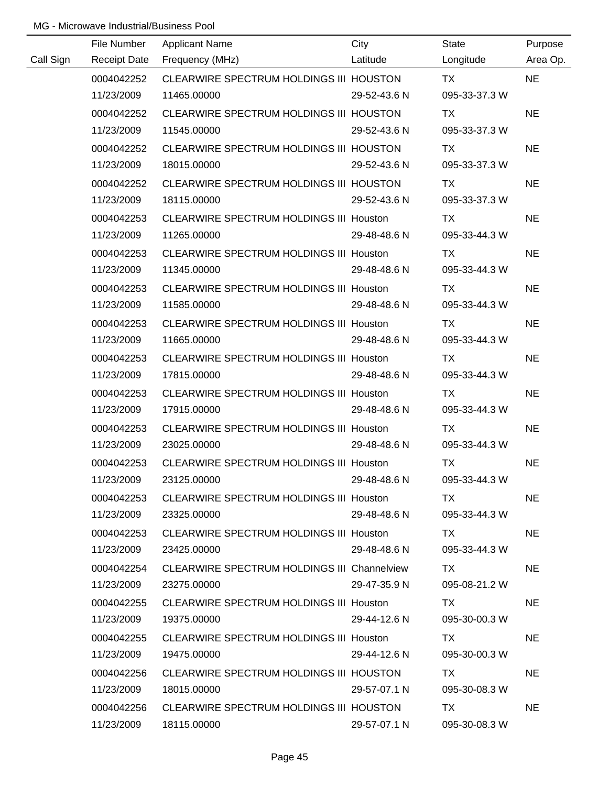|           | File Number | <b>Applicant Name</b>                              | City         | State         | Purpose   |
|-----------|-------------|----------------------------------------------------|--------------|---------------|-----------|
| Call Sign |             | Receipt Date Frequency (MHz)                       | Latitude     | Longitude     | Area Op.  |
|           | 0004042252  | CLEARWIRE SPECTRUM HOLDINGS III HOUSTON            |              | TX T          | <b>NE</b> |
|           | 11/23/2009  | 11465.00000                                        | 29-52-43.6 N | 095-33-37.3 W |           |
|           | 0004042252  | CLEARWIRE SPECTRUM HOLDINGS III HOUSTON            |              | TX            | <b>NE</b> |
|           | 11/23/2009  | 11545.00000                                        | 29-52-43.6 N | 095-33-37.3 W |           |
|           | 0004042252  | CLEARWIRE SPECTRUM HOLDINGS III HOUSTON            |              | TX.           | <b>NE</b> |
|           | 11/23/2009  | 18015.00000                                        | 29-52-43.6 N | 095-33-37.3 W |           |
|           | 0004042252  | CLEARWIRE SPECTRUM HOLDINGS III HOUSTON            |              | TX.           | <b>NE</b> |
|           | 11/23/2009  | 18115.00000                                        | 29-52-43.6 N | 095-33-37.3 W |           |
|           | 0004042253  | CLEARWIRE SPECTRUM HOLDINGS III Houston            |              | <b>TX</b>     | <b>NE</b> |
|           | 11/23/2009  | 11265.00000                                        | 29-48-48.6 N | 095-33-44.3 W |           |
|           | 0004042253  | CLEARWIRE SPECTRUM HOLDINGS III Houston            |              | TX.           | <b>NE</b> |
|           | 11/23/2009  | 11345.00000                                        | 29-48-48.6 N | 095-33-44.3 W |           |
|           | 0004042253  | CLEARWIRE SPECTRUM HOLDINGS III Houston            |              | <b>TX</b>     | <b>NE</b> |
|           | 11/23/2009  | 11585.00000                                        | 29-48-48.6 N | 095-33-44.3 W |           |
|           | 0004042253  | CLEARWIRE SPECTRUM HOLDINGS III Houston            |              | TX            | <b>NE</b> |
|           | 11/23/2009  | 11665.00000                                        | 29-48-48.6 N | 095-33-44.3 W |           |
|           | 0004042253  | CLEARWIRE SPECTRUM HOLDINGS III Houston            |              | <b>TX</b>     | <b>NE</b> |
|           | 11/23/2009  | 17815.00000                                        | 29-48-48.6 N | 095-33-44.3 W |           |
|           | 0004042253  | CLEARWIRE SPECTRUM HOLDINGS III Houston            |              | TX            | <b>NE</b> |
|           | 11/23/2009  | 17915.00000                                        | 29-48-48.6 N | 095-33-44.3 W |           |
|           | 0004042253  | CLEARWIRE SPECTRUM HOLDINGS III Houston            |              | <b>TX</b>     | <b>NE</b> |
|           | 11/23/2009  | 23025.00000                                        | 29-48-48.6 N | 095-33-44.3 W |           |
|           | 0004042253  | CLEARWIRE SPECTRUM HOLDINGS III Houston            |              | <b>TX</b>     | <b>NE</b> |
|           | 11/23/2009  | 23125.00000                                        | 29-48-48.6 N | 095-33-44.3 W |           |
|           | 0004042253  | CLEARWIRE SPECTRUM HOLDINGS III Houston            |              | TX .          | <b>NE</b> |
|           | 11/23/2009  | 23325.00000                                        | 29-48-48.6 N | 095-33-44.3 W |           |
|           | 0004042253  | CLEARWIRE SPECTRUM HOLDINGS III Houston            |              | TX.           | <b>NE</b> |
|           | 11/23/2009  | 23425.00000                                        | 29-48-48.6 N | 095-33-44.3 W |           |
|           | 0004042254  | <b>CLEARWIRE SPECTRUM HOLDINGS III Channelview</b> |              | TX .          | <b>NE</b> |
|           | 11/23/2009  | 23275.00000                                        | 29-47-35.9 N | 095-08-21.2 W |           |
|           | 0004042255  | CLEARWIRE SPECTRUM HOLDINGS III Houston            |              | TX.           | <b>NE</b> |
|           | 11/23/2009  | 19375.00000                                        | 29-44-12.6 N | 095-30-00.3 W |           |
|           | 0004042255  | CLEARWIRE SPECTRUM HOLDINGS III Houston            |              | TX.           | <b>NE</b> |
|           | 11/23/2009  | 19475.00000                                        | 29-44-12.6 N | 095-30-00.3 W |           |
|           | 0004042256  | CLEARWIRE SPECTRUM HOLDINGS III HOUSTON            |              | TX.           | <b>NE</b> |
|           | 11/23/2009  | 18015.00000                                        | 29-57-07.1 N | 095-30-08.3 W |           |
|           | 0004042256  | CLEARWIRE SPECTRUM HOLDINGS III HOUSTON            |              | TX.           | <b>NE</b> |
|           | 11/23/2009  | 18115.00000                                        | 29-57-07.1 N | 095-30-08.3 W |           |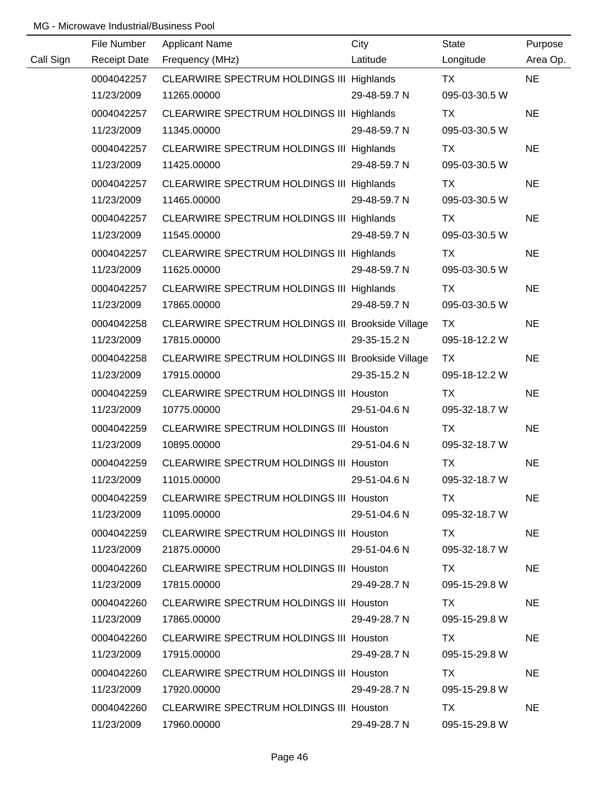|           | File Number         | <b>Applicant Name</b>                             | City         | <b>State</b>  | Purpose   |
|-----------|---------------------|---------------------------------------------------|--------------|---------------|-----------|
| Call Sign | <b>Receipt Date</b> | Frequency (MHz)                                   | Latitude     | Longitude     | Area Op.  |
|           | 0004042257          | CLEARWIRE SPECTRUM HOLDINGS III Highlands         |              | TX            | <b>NE</b> |
|           | 11/23/2009          | 11265.00000                                       | 29-48-59.7 N | 095-03-30.5 W |           |
|           | 0004042257          | CLEARWIRE SPECTRUM HOLDINGS III Highlands         |              | TX            | <b>NE</b> |
|           | 11/23/2009          | 11345.00000                                       | 29-48-59.7 N | 095-03-30.5 W |           |
|           | 0004042257          | CLEARWIRE SPECTRUM HOLDINGS III Highlands         |              | TX            | <b>NE</b> |
|           | 11/23/2009          | 11425.00000                                       | 29-48-59.7 N | 095-03-30.5 W |           |
|           | 0004042257          | CLEARWIRE SPECTRUM HOLDINGS III Highlands         |              | <b>TX</b>     | <b>NE</b> |
|           | 11/23/2009          | 11465.00000                                       | 29-48-59.7 N | 095-03-30.5 W |           |
|           | 0004042257          | CLEARWIRE SPECTRUM HOLDINGS III Highlands         |              | TX            | <b>NE</b> |
|           | 11/23/2009          | 11545.00000                                       | 29-48-59.7 N | 095-03-30.5 W |           |
|           | 0004042257          | CLEARWIRE SPECTRUM HOLDINGS III Highlands         |              | <b>TX</b>     | <b>NE</b> |
|           | 11/23/2009          | 11625.00000                                       | 29-48-59.7 N | 095-03-30.5 W |           |
|           | 0004042257          | CLEARWIRE SPECTRUM HOLDINGS III Highlands         |              | <b>TX</b>     | <b>NE</b> |
|           | 11/23/2009          | 17865.00000                                       | 29-48-59.7 N | 095-03-30.5 W |           |
|           | 0004042258          | CLEARWIRE SPECTRUM HOLDINGS III Brookside Village |              | TX            | <b>NE</b> |
|           | 11/23/2009          | 17815.00000                                       | 29-35-15.2 N | 095-18-12.2 W |           |
|           | 0004042258          | CLEARWIRE SPECTRUM HOLDINGS III Brookside Village |              | TX            | <b>NE</b> |
|           | 11/23/2009          | 17915.00000                                       | 29-35-15.2 N | 095-18-12.2 W |           |
|           | 0004042259          | CLEARWIRE SPECTRUM HOLDINGS III Houston           |              | TX            | <b>NE</b> |
|           | 11/23/2009          | 10775.00000                                       | 29-51-04.6 N | 095-32-18.7 W |           |
|           | 0004042259          | CLEARWIRE SPECTRUM HOLDINGS III Houston           |              | <b>TX</b>     | <b>NE</b> |
|           | 11/23/2009          | 10895.00000                                       | 29-51-04.6 N | 095-32-18.7 W |           |
|           | 0004042259          | CLEARWIRE SPECTRUM HOLDINGS III Houston           |              | <b>TX</b>     | <b>NE</b> |
|           | 11/23/2009          | 11015.00000                                       | 29-51-04.6 N | 095-32-18.7 W |           |
|           | 0004042259          | <b>CLEARWIRE SPECTRUM HOLDINGS III Houston</b>    |              | TX.           | <b>NE</b> |
|           | 11/23/2009          | 11095.00000                                       | 29-51-04.6 N | 095-32-18.7 W |           |
|           | 0004042259          | CLEARWIRE SPECTRUM HOLDINGS III Houston           |              | TX.           | <b>NE</b> |
|           | 11/23/2009          | 21875.00000                                       | 29-51-04.6 N | 095-32-18.7 W |           |
|           | 0004042260          | CLEARWIRE SPECTRUM HOLDINGS III Houston           |              | TX.           | <b>NE</b> |
|           | 11/23/2009          | 17815.00000                                       | 29-49-28.7 N | 095-15-29.8 W |           |
|           | 0004042260          | <b>CLEARWIRE SPECTRUM HOLDINGS III Houston</b>    |              | TX.           | <b>NE</b> |
|           | 11/23/2009          | 17865.00000                                       | 29-49-28.7 N | 095-15-29.8 W |           |
|           | 0004042260          | <b>CLEARWIRE SPECTRUM HOLDINGS III Houston</b>    |              | TX.           | <b>NE</b> |
|           | 11/23/2009          | 17915.00000                                       | 29-49-28.7 N | 095-15-29.8 W |           |
|           | 0004042260          | <b>CLEARWIRE SPECTRUM HOLDINGS III Houston</b>    |              | TX.           | <b>NE</b> |
|           | 11/23/2009          | 17920.00000                                       | 29-49-28.7 N | 095-15-29.8 W |           |
|           | 0004042260          | <b>CLEARWIRE SPECTRUM HOLDINGS III Houston</b>    |              | TX            | <b>NE</b> |
|           | 11/23/2009          | 17960.00000                                       | 29-49-28.7 N | 095-15-29.8 W |           |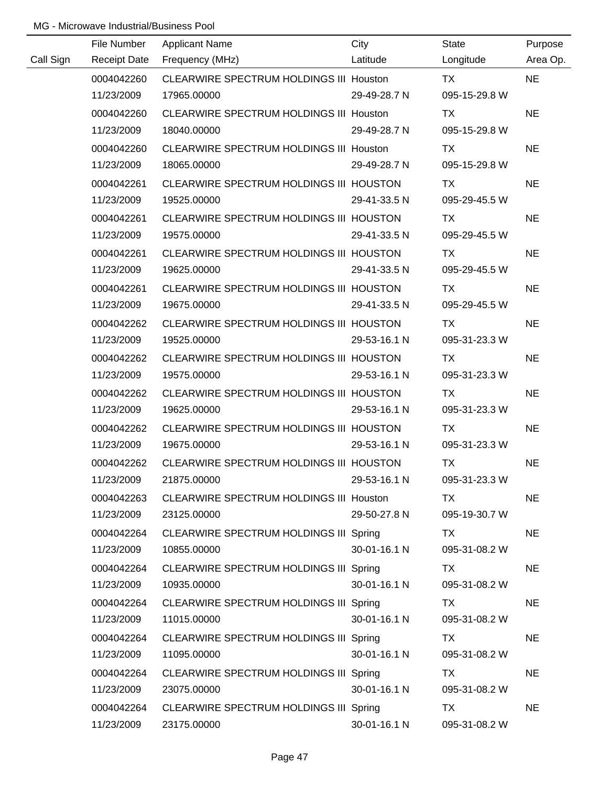|           | File Number         | <b>Applicant Name</b>                   | City         | <b>State</b>  | Purpose   |
|-----------|---------------------|-----------------------------------------|--------------|---------------|-----------|
| Call Sign | <b>Receipt Date</b> | Frequency (MHz)                         | Latitude     | Longitude     | Area Op.  |
|           | 0004042260          | CLEARWIRE SPECTRUM HOLDINGS III Houston |              | <b>TX</b>     | <b>NE</b> |
|           | 11/23/2009          | 17965.00000                             | 29-49-28.7 N | 095-15-29.8 W |           |
|           | 0004042260          | CLEARWIRE SPECTRUM HOLDINGS III Houston |              | <b>TX</b>     | <b>NE</b> |
|           | 11/23/2009          | 18040.00000                             | 29-49-28.7 N | 095-15-29.8 W |           |
|           | 0004042260          | CLEARWIRE SPECTRUM HOLDINGS III Houston |              | TX            | <b>NE</b> |
|           | 11/23/2009          | 18065.00000                             | 29-49-28.7 N | 095-15-29.8 W |           |
|           | 0004042261          | CLEARWIRE SPECTRUM HOLDINGS III HOUSTON |              | TX            | <b>NE</b> |
|           | 11/23/2009          | 19525.00000                             | 29-41-33.5 N | 095-29-45.5 W |           |
|           | 0004042261          | CLEARWIRE SPECTRUM HOLDINGS III HOUSTON |              | TX            | <b>NE</b> |
|           | 11/23/2009          | 19575.00000                             | 29-41-33.5 N | 095-29-45.5 W |           |
|           | 0004042261          | CLEARWIRE SPECTRUM HOLDINGS III HOUSTON |              | TX            | <b>NE</b> |
|           | 11/23/2009          | 19625.00000                             | 29-41-33.5 N | 095-29-45.5 W |           |
|           | 0004042261          | CLEARWIRE SPECTRUM HOLDINGS III HOUSTON |              | TX            | <b>NE</b> |
|           | 11/23/2009          | 19675.00000                             | 29-41-33.5 N | 095-29-45.5 W |           |
|           | 0004042262          | CLEARWIRE SPECTRUM HOLDINGS III HOUSTON |              | TX            | <b>NE</b> |
|           | 11/23/2009          | 19525.00000                             | 29-53-16.1 N | 095-31-23.3 W |           |
|           | 0004042262          | CLEARWIRE SPECTRUM HOLDINGS III HOUSTON |              | TX            | <b>NE</b> |
|           | 11/23/2009          | 19575.00000                             | 29-53-16.1 N | 095-31-23.3 W |           |
|           | 0004042262          | CLEARWIRE SPECTRUM HOLDINGS III HOUSTON |              | <b>TX</b>     | <b>NE</b> |
|           | 11/23/2009          | 19625.00000                             | 29-53-16.1 N | 095-31-23.3 W |           |
|           | 0004042262          | CLEARWIRE SPECTRUM HOLDINGS III HOUSTON |              | <b>TX</b>     | <b>NE</b> |
|           | 11/23/2009          | 19675.00000                             | 29-53-16.1 N | 095-31-23.3 W |           |
|           | 0004042262          | CLEARWIRE SPECTRUM HOLDINGS III HOUSTON |              | <b>TX</b>     | <b>NE</b> |
|           | 11/23/2009          | 21875.00000                             | 29-53-16.1 N | 095-31-23.3 W |           |
|           | 0004042263          | CLEARWIRE SPECTRUM HOLDINGS III Houston |              | TX            | <b>NE</b> |
|           | 11/23/2009          | 23125.00000                             | 29-50-27.8 N | 095-19-30.7 W |           |
|           | 0004042264          | CLEARWIRE SPECTRUM HOLDINGS III Spring  |              | TX            | <b>NE</b> |
|           | 11/23/2009          | 10855.00000                             | 30-01-16.1 N | 095-31-08.2 W |           |
|           | 0004042264          | CLEARWIRE SPECTRUM HOLDINGS III Spring  |              | TX.           | <b>NE</b> |
|           | 11/23/2009          | 10935.00000                             | 30-01-16.1 N | 095-31-08.2 W |           |
|           | 0004042264          | CLEARWIRE SPECTRUM HOLDINGS III Spring  |              | TX            | <b>NE</b> |
|           | 11/23/2009          | 11015.00000                             | 30-01-16.1 N | 095-31-08.2 W |           |
|           | 0004042264          | CLEARWIRE SPECTRUM HOLDINGS III Spring  |              | TX            | <b>NE</b> |
|           | 11/23/2009          | 11095.00000                             | 30-01-16.1 N | 095-31-08.2 W |           |
|           | 0004042264          | CLEARWIRE SPECTRUM HOLDINGS III Spring  |              | TX            | <b>NE</b> |
|           | 11/23/2009          | 23075.00000                             | 30-01-16.1 N | 095-31-08.2 W |           |
|           | 0004042264          | CLEARWIRE SPECTRUM HOLDINGS III Spring  |              | <b>TX</b>     | <b>NE</b> |
|           | 11/23/2009          | 23175.00000                             | 30-01-16.1 N | 095-31-08.2 W |           |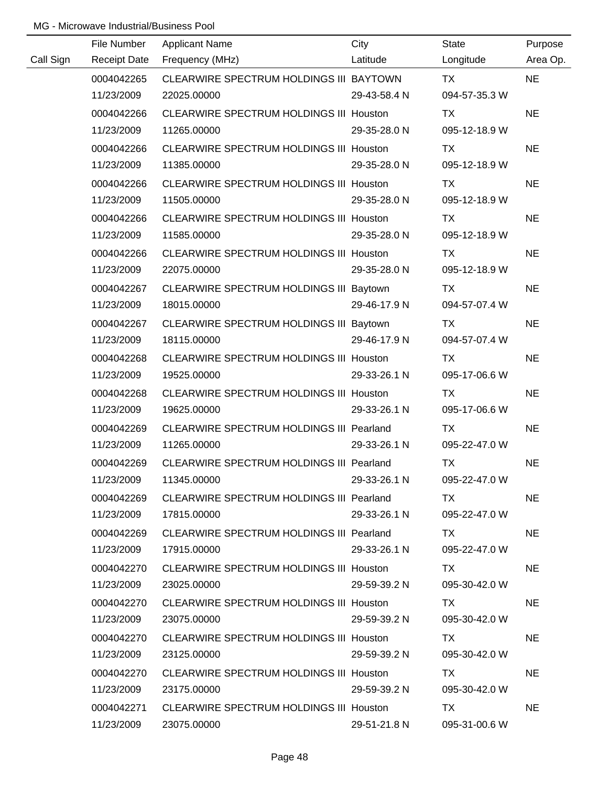|           | File Number         | <b>Applicant Name</b>                          | City         | <b>State</b>  | Purpose   |
|-----------|---------------------|------------------------------------------------|--------------|---------------|-----------|
| Call Sign | <b>Receipt Date</b> | Frequency (MHz)                                | Latitude     | Longitude     | Area Op.  |
|           | 0004042265          | CLEARWIRE SPECTRUM HOLDINGS III BAYTOWN        |              | <b>TX</b>     | <b>NE</b> |
|           | 11/23/2009          | 22025.00000                                    | 29-43-58.4 N | 094-57-35.3 W |           |
|           | 0004042266          | CLEARWIRE SPECTRUM HOLDINGS III Houston        |              | <b>TX</b>     | <b>NE</b> |
|           | 11/23/2009          | 11265.00000                                    | 29-35-28.0 N | 095-12-18.9 W |           |
|           | 0004042266          | CLEARWIRE SPECTRUM HOLDINGS III Houston        |              | <b>TX</b>     | <b>NE</b> |
|           | 11/23/2009          | 11385.00000                                    | 29-35-28.0 N | 095-12-18.9 W |           |
|           | 0004042266          | <b>CLEARWIRE SPECTRUM HOLDINGS III Houston</b> |              | TX            | <b>NE</b> |
|           | 11/23/2009          | 11505.00000                                    | 29-35-28.0 N | 095-12-18.9 W |           |
|           | 0004042266          | <b>CLEARWIRE SPECTRUM HOLDINGS III Houston</b> |              | TX            | <b>NE</b> |
|           | 11/23/2009          | 11585.00000                                    | 29-35-28.0 N | 095-12-18.9 W |           |
|           | 0004042266          | CLEARWIRE SPECTRUM HOLDINGS III Houston        |              | TX            | <b>NE</b> |
|           | 11/23/2009          | 22075.00000                                    | 29-35-28.0 N | 095-12-18.9 W |           |
|           | 0004042267          | CLEARWIRE SPECTRUM HOLDINGS III Baytown        |              | TX            | <b>NE</b> |
|           | 11/23/2009          | 18015.00000                                    | 29-46-17.9 N | 094-57-07.4 W |           |
|           | 0004042267          | CLEARWIRE SPECTRUM HOLDINGS III Baytown        |              | TX            | <b>NE</b> |
|           | 11/23/2009          | 18115.00000                                    | 29-46-17.9 N | 094-57-07.4 W |           |
|           | 0004042268          | <b>CLEARWIRE SPECTRUM HOLDINGS III Houston</b> |              | TX            | <b>NE</b> |
|           | 11/23/2009          | 19525.00000                                    | 29-33-26.1 N | 095-17-06.6 W |           |
|           | 0004042268          | <b>CLEARWIRE SPECTRUM HOLDINGS III Houston</b> |              | <b>TX</b>     | <b>NE</b> |
|           | 11/23/2009          | 19625.00000                                    | 29-33-26.1 N | 095-17-06.6 W |           |
|           | 0004042269          | CLEARWIRE SPECTRUM HOLDINGS III Pearland       |              | <b>TX</b>     | <b>NE</b> |
|           | 11/23/2009          | 11265.00000                                    | 29-33-26.1 N | 095-22-47.0 W |           |
|           | 0004042269          | CLEARWIRE SPECTRUM HOLDINGS III Pearland       |              | <b>TX</b>     | <b>NE</b> |
|           | 11/23/2009          | 11345.00000                                    | 29-33-26.1 N | 095-22-47.0 W |           |
|           | 0004042269          | CLEARWIRE SPECTRUM HOLDINGS III Pearland       |              | TX.           | <b>NE</b> |
|           | 11/23/2009          | 17815.00000                                    | 29-33-26.1 N | 095-22-47.0 W |           |
|           | 0004042269          | CLEARWIRE SPECTRUM HOLDINGS III Pearland       |              | TX TX         | <b>NE</b> |
|           | 11/23/2009          | 17915.00000                                    | 29-33-26.1 N | 095-22-47.0 W |           |
|           | 0004042270          | <b>CLEARWIRE SPECTRUM HOLDINGS III Houston</b> |              | TX T          | <b>NE</b> |
|           | 11/23/2009          | 23025.00000                                    | 29-59-39.2 N | 095-30-42.0 W |           |
|           | 0004042270          | <b>CLEARWIRE SPECTRUM HOLDINGS III Houston</b> |              | TX.           | <b>NE</b> |
|           | 11/23/2009          | 23075.00000                                    | 29-59-39.2 N | 095-30-42.0 W |           |
|           | 0004042270          | <b>CLEARWIRE SPECTRUM HOLDINGS III Houston</b> |              | TX.           | <b>NE</b> |
|           | 11/23/2009          | 23125.00000                                    | 29-59-39.2 N | 095-30-42.0 W |           |
|           | 0004042270          | CLEARWIRE SPECTRUM HOLDINGS III Houston        |              | TX            | <b>NE</b> |
|           | 11/23/2009          | 23175.00000                                    | 29-59-39.2 N | 095-30-42.0 W |           |
|           | 0004042271          | CLEARWIRE SPECTRUM HOLDINGS III Houston        |              | TX.           | <b>NE</b> |
|           | 11/23/2009          | 23075.00000                                    | 29-51-21.8 N | 095-31-00.6 W |           |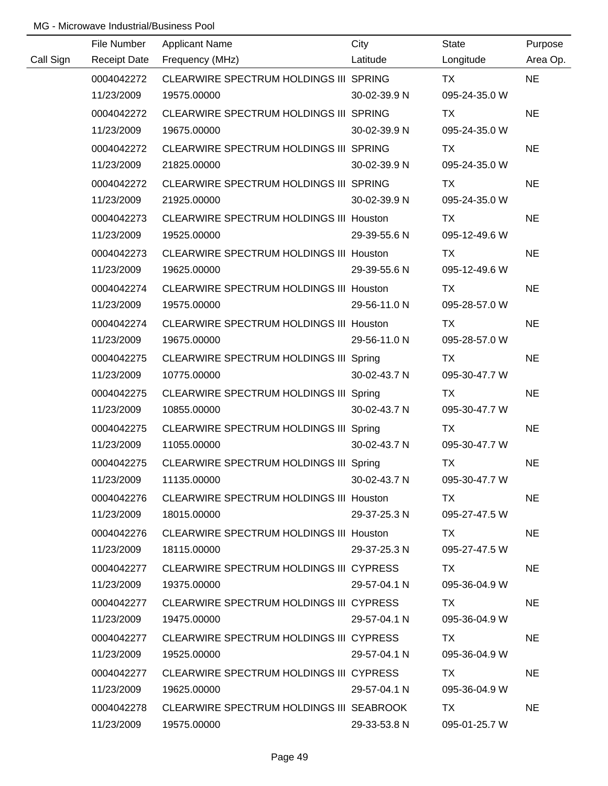|           | File Number | <b>Applicant Name</b>                    | City         | State         | Purpose   |
|-----------|-------------|------------------------------------------|--------------|---------------|-----------|
| Call Sign |             | Receipt Date Frequency (MHz)             | Latitude     | Longitude     | Area Op.  |
|           | 0004042272  | CLEARWIRE SPECTRUM HOLDINGS III SPRING   |              | <b>TX</b>     | <b>NE</b> |
|           | 11/23/2009  | 19575.00000                              | 30-02-39.9 N | 095-24-35.0 W |           |
|           | 0004042272  | CLEARWIRE SPECTRUM HOLDINGS III SPRING   |              | <b>TX</b>     | <b>NE</b> |
|           | 11/23/2009  | 19675.00000                              | 30-02-39.9 N | 095-24-35.0 W |           |
|           | 0004042272  | CLEARWIRE SPECTRUM HOLDINGS III SPRING   |              | TX            | <b>NE</b> |
|           | 11/23/2009  | 21825.00000                              | 30-02-39.9 N | 095-24-35.0 W |           |
|           | 0004042272  | CLEARWIRE SPECTRUM HOLDINGS III SPRING   |              | TX            | <b>NE</b> |
|           | 11/23/2009  | 21925.00000                              | 30-02-39.9 N | 095-24-35.0 W |           |
|           | 0004042273  | CLEARWIRE SPECTRUM HOLDINGS III Houston  |              | TX            | <b>NE</b> |
|           | 11/23/2009  | 19525.00000                              | 29-39-55.6 N | 095-12-49.6 W |           |
|           | 0004042273  | CLEARWIRE SPECTRUM HOLDINGS III Houston  |              | TX            | <b>NE</b> |
|           | 11/23/2009  | 19625.00000                              | 29-39-55.6 N | 095-12-49.6 W |           |
|           | 0004042274  | CLEARWIRE SPECTRUM HOLDINGS III Houston  |              | TX            | <b>NE</b> |
|           | 11/23/2009  | 19575.00000                              | 29-56-11.0 N | 095-28-57.0 W |           |
|           | 0004042274  | CLEARWIRE SPECTRUM HOLDINGS III Houston  |              | TX            | <b>NE</b> |
|           | 11/23/2009  | 19675.00000                              | 29-56-11.0 N | 095-28-57.0 W |           |
|           | 0004042275  | CLEARWIRE SPECTRUM HOLDINGS III Spring   |              | TX            | <b>NE</b> |
|           | 11/23/2009  | 10775.00000                              | 30-02-43.7 N | 095-30-47.7 W |           |
|           | 0004042275  | CLEARWIRE SPECTRUM HOLDINGS III Spring   |              | TX            | <b>NE</b> |
|           | 11/23/2009  | 10855.00000                              | 30-02-43.7 N | 095-30-47.7 W |           |
|           | 0004042275  | CLEARWIRE SPECTRUM HOLDINGS III Spring   |              | TX            | <b>NE</b> |
|           | 11/23/2009  | 11055.00000                              | 30-02-43.7 N | 095-30-47.7 W |           |
|           | 0004042275  | CLEARWIRE SPECTRUM HOLDINGS III Spring   |              | <b>TX</b>     | <b>NE</b> |
|           | 11/23/2009  | 11135.00000                              | 30-02-43.7 N | 095-30-47.7 W |           |
|           | 0004042276  | CLEARWIRE SPECTRUM HOLDINGS III Houston  |              | TX.           | <b>NE</b> |
|           | 11/23/2009  | 18015.00000                              | 29-37-25.3 N | 095-27-47.5 W |           |
|           | 0004042276  | CLEARWIRE SPECTRUM HOLDINGS III Houston  |              | TX.           | <b>NE</b> |
|           | 11/23/2009  | 18115.00000                              | 29-37-25.3 N | 095-27-47.5 W |           |
|           | 0004042277  | CLEARWIRE SPECTRUM HOLDINGS III CYPRESS  |              | TX TX         | <b>NE</b> |
|           | 11/23/2009  | 19375.00000                              | 29-57-04.1 N | 095-36-04.9 W |           |
|           | 0004042277  | CLEARWIRE SPECTRUM HOLDINGS III CYPRESS  |              | TX.           | <b>NE</b> |
|           | 11/23/2009  | 19475.00000                              | 29-57-04.1 N | 095-36-04.9 W |           |
|           | 0004042277  | CLEARWIRE SPECTRUM HOLDINGS III CYPRESS  |              | TX.           | <b>NE</b> |
|           | 11/23/2009  | 19525.00000                              | 29-57-04.1 N | 095-36-04.9 W |           |
|           | 0004042277  | CLEARWIRE SPECTRUM HOLDINGS III CYPRESS  |              | TX.           | <b>NE</b> |
|           | 11/23/2009  | 19625.00000                              | 29-57-04.1 N | 095-36-04.9 W |           |
|           | 0004042278  | CLEARWIRE SPECTRUM HOLDINGS III SEABROOK |              | TX            | <b>NE</b> |
|           | 11/23/2009  | 19575.00000                              | 29-33-53.8 N | 095-01-25.7 W |           |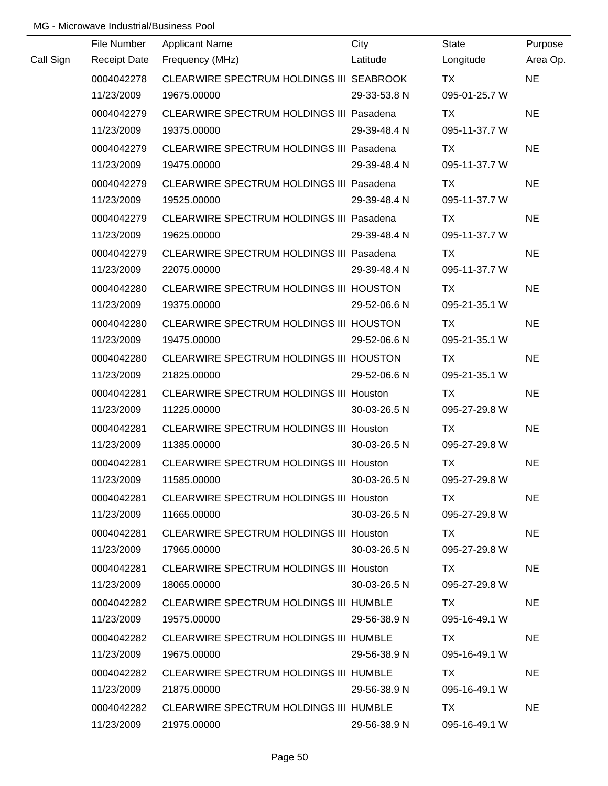|           | File Number         | <b>Applicant Name</b>                          | City         | State         | Purpose   |
|-----------|---------------------|------------------------------------------------|--------------|---------------|-----------|
| Call Sign | <b>Receipt Date</b> | Frequency (MHz)                                | Latitude     | Longitude     | Area Op.  |
|           | 0004042278          | CLEARWIRE SPECTRUM HOLDINGS III SEABROOK       |              | <b>TX</b>     | <b>NE</b> |
|           | 11/23/2009          | 19675.00000                                    | 29-33-53.8 N | 095-01-25.7 W |           |
|           | 0004042279          | CLEARWIRE SPECTRUM HOLDINGS III Pasadena       |              | TX.           | <b>NE</b> |
|           | 11/23/2009          | 19375.00000                                    | 29-39-48.4 N | 095-11-37.7 W |           |
|           | 0004042279          | CLEARWIRE SPECTRUM HOLDINGS III Pasadena       |              | TX.           | <b>NE</b> |
|           | 11/23/2009          | 19475.00000                                    | 29-39-48.4 N | 095-11-37.7 W |           |
|           | 0004042279          | CLEARWIRE SPECTRUM HOLDINGS III Pasadena       |              | TX.           | <b>NE</b> |
|           | 11/23/2009          | 19525.00000                                    | 29-39-48.4 N | 095-11-37.7 W |           |
|           | 0004042279          | CLEARWIRE SPECTRUM HOLDINGS III Pasadena       |              | <b>TX</b>     | <b>NE</b> |
|           | 11/23/2009          | 19625.00000                                    | 29-39-48.4 N | 095-11-37.7 W |           |
|           | 0004042279          | CLEARWIRE SPECTRUM HOLDINGS III Pasadena       |              | TX            | <b>NE</b> |
|           | 11/23/2009          | 22075.00000                                    | 29-39-48.4 N | 095-11-37.7 W |           |
|           | 0004042280          | CLEARWIRE SPECTRUM HOLDINGS III HOUSTON        |              | <b>TX</b>     | <b>NE</b> |
|           | 11/23/2009          | 19375.00000                                    | 29-52-06.6 N | 095-21-35.1 W |           |
|           | 0004042280          | CLEARWIRE SPECTRUM HOLDINGS III HOUSTON        |              | TX            | <b>NE</b> |
|           | 11/23/2009          | 19475.00000                                    | 29-52-06.6 N | 095-21-35.1 W |           |
|           | 0004042280          | CLEARWIRE SPECTRUM HOLDINGS III HOUSTON        |              | TX            | <b>NE</b> |
|           | 11/23/2009          | 21825.00000                                    | 29-52-06.6 N | 095-21-35.1 W |           |
|           | 0004042281          | CLEARWIRE SPECTRUM HOLDINGS III Houston        |              | TX            | <b>NE</b> |
|           | 11/23/2009          | 11225.00000                                    | 30-03-26.5 N | 095-27-29.8 W |           |
|           | 0004042281          | <b>CLEARWIRE SPECTRUM HOLDINGS III Houston</b> |              | <b>TX</b>     | <b>NE</b> |
|           | 11/23/2009          | 11385.00000                                    | 30-03-26.5 N | 095-27-29.8 W |           |
|           | 0004042281          | CLEARWIRE SPECTRUM HOLDINGS III Houston        |              | <b>TX</b>     | <b>NE</b> |
|           | 11/23/2009          | 11585.00000                                    | 30-03-26.5 N | 095-27-29.8 W |           |
|           | 0004042281          | CLEARWIRE SPECTRUM HOLDINGS III Houston        |              | TX.           | <b>NE</b> |
|           | 11/23/2009          | 11665.00000                                    | 30-03-26.5 N | 095-27-29.8 W |           |
|           | 0004042281          | CLEARWIRE SPECTRUM HOLDINGS III Houston        |              | TX T          | <b>NE</b> |
|           | 11/23/2009          | 17965.00000                                    | 30-03-26.5 N | 095-27-29.8 W |           |
|           | 0004042281          | CLEARWIRE SPECTRUM HOLDINGS III Houston        |              | TX T          | <b>NE</b> |
|           | 11/23/2009          | 18065.00000                                    | 30-03-26.5 N | 095-27-29.8 W |           |
|           | 0004042282          | CLEARWIRE SPECTRUM HOLDINGS III HUMBLE         |              | TX I          | <b>NE</b> |
|           | 11/23/2009          | 19575.00000                                    | 29-56-38.9 N | 095-16-49.1 W |           |
|           | 0004042282          | CLEARWIRE SPECTRUM HOLDINGS III HUMBLE         |              | TX.           | <b>NE</b> |
|           | 11/23/2009          | 19675.00000                                    | 29-56-38.9 N | 095-16-49.1 W |           |
|           | 0004042282          | CLEARWIRE SPECTRUM HOLDINGS III HUMBLE         |              | TX.           | <b>NE</b> |
|           | 11/23/2009          | 21875.00000                                    | 29-56-38.9 N | 095-16-49.1 W |           |
|           | 0004042282          | CLEARWIRE SPECTRUM HOLDINGS III HUMBLE         |              | TX.           | <b>NE</b> |
|           | 11/23/2009          | 21975.00000                                    | 29-56-38.9 N | 095-16-49.1 W |           |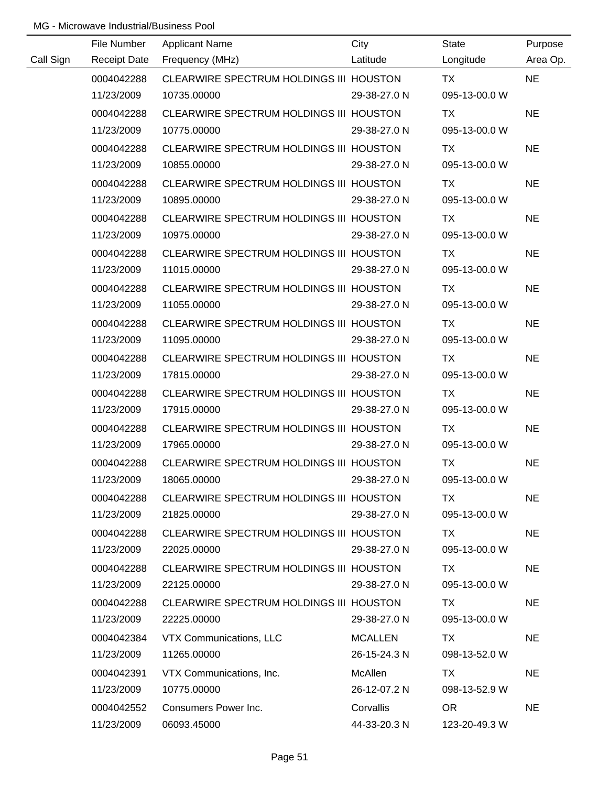|           | File Number         | <b>Applicant Name</b>                   | City           | <b>State</b>  | Purpose   |
|-----------|---------------------|-----------------------------------------|----------------|---------------|-----------|
| Call Sign | <b>Receipt Date</b> | Frequency (MHz)                         | Latitude       | Longitude     | Area Op.  |
|           | 0004042288          | CLEARWIRE SPECTRUM HOLDINGS III HOUSTON |                | <b>TX</b>     | <b>NE</b> |
|           | 11/23/2009          | 10735.00000                             | 29-38-27.0 N   | 095-13-00.0 W |           |
|           | 0004042288          | CLEARWIRE SPECTRUM HOLDINGS III HOUSTON |                | TX            | <b>NE</b> |
|           | 11/23/2009          | 10775.00000                             | 29-38-27.0 N   | 095-13-00.0 W |           |
|           | 0004042288          | CLEARWIRE SPECTRUM HOLDINGS III HOUSTON |                | TX            | <b>NE</b> |
|           | 11/23/2009          | 10855.00000                             | 29-38-27.0 N   | 095-13-00.0 W |           |
|           | 0004042288          | CLEARWIRE SPECTRUM HOLDINGS III HOUSTON |                | TX            | <b>NE</b> |
|           | 11/23/2009          | 10895.00000                             | 29-38-27.0 N   | 095-13-00.0 W |           |
|           | 0004042288          | CLEARWIRE SPECTRUM HOLDINGS III HOUSTON |                | TX            | <b>NE</b> |
|           | 11/23/2009          | 10975.00000                             | 29-38-27.0 N   | 095-13-00.0 W |           |
|           | 0004042288          | CLEARWIRE SPECTRUM HOLDINGS III HOUSTON |                | TX            | <b>NE</b> |
|           | 11/23/2009          | 11015.00000                             | 29-38-27.0 N   | 095-13-00.0 W |           |
|           | 0004042288          | CLEARWIRE SPECTRUM HOLDINGS III HOUSTON |                | TX            | <b>NE</b> |
|           | 11/23/2009          | 11055.00000                             | 29-38-27.0 N   | 095-13-00.0 W |           |
|           | 0004042288          | CLEARWIRE SPECTRUM HOLDINGS III HOUSTON |                | TX            | <b>NE</b> |
|           | 11/23/2009          | 11095.00000                             | 29-38-27.0 N   | 095-13-00.0 W |           |
|           | 0004042288          | CLEARWIRE SPECTRUM HOLDINGS III HOUSTON |                | TX            | <b>NE</b> |
|           | 11/23/2009          | 17815.00000                             | 29-38-27.0 N   | 095-13-00.0 W |           |
|           | 0004042288          | CLEARWIRE SPECTRUM HOLDINGS III HOUSTON |                | TX            | <b>NE</b> |
|           | 11/23/2009          | 17915.00000                             | 29-38-27.0 N   | 095-13-00.0 W |           |
|           | 0004042288          | CLEARWIRE SPECTRUM HOLDINGS III HOUSTON |                | <b>TX</b>     | <b>NE</b> |
|           | 11/23/2009          | 17965.00000                             | 29-38-27.0 N   | 095-13-00.0 W |           |
|           | 0004042288          | CLEARWIRE SPECTRUM HOLDINGS III HOUSTON |                | <b>TX</b>     | <b>NE</b> |
|           | 11/23/2009          | 18065.00000                             | 29-38-27.0 N   | 095-13-00.0 W |           |
|           | 0004042288          | CLEARWIRE SPECTRUM HOLDINGS III HOUSTON |                | TX            | <b>NE</b> |
|           | 11/23/2009          | 21825.00000                             | 29-38-27.0 N   | 095-13-00.0 W |           |
|           | 0004042288          | CLEARWIRE SPECTRUM HOLDINGS III HOUSTON |                | TX            | <b>NE</b> |
|           | 11/23/2009          | 22025.00000                             | 29-38-27.0 N   | 095-13-00.0 W |           |
|           | 0004042288          | CLEARWIRE SPECTRUM HOLDINGS III HOUSTON |                | TX            | <b>NE</b> |
|           | 11/23/2009          | 22125.00000                             | 29-38-27.0 N   | 095-13-00.0 W |           |
|           | 0004042288          | CLEARWIRE SPECTRUM HOLDINGS III HOUSTON |                | TX            | <b>NE</b> |
|           | 11/23/2009          | 22225.00000                             | 29-38-27.0 N   | 095-13-00.0 W |           |
|           | 0004042384          | VTX Communications, LLC                 | <b>MCALLEN</b> | TX            | <b>NE</b> |
|           | 11/23/2009          | 11265.00000                             | 26-15-24.3 N   | 098-13-52.0 W |           |
|           | 0004042391          | VTX Communications, Inc.                | McAllen        | TX            | <b>NE</b> |
|           | 11/23/2009          | 10775.00000                             | 26-12-07.2 N   | 098-13-52.9 W |           |
|           | 0004042552          | Consumers Power Inc.                    | Corvallis      | <b>OR</b>     | <b>NE</b> |
|           | 11/23/2009          | 06093.45000                             | 44-33-20.3 N   | 123-20-49.3 W |           |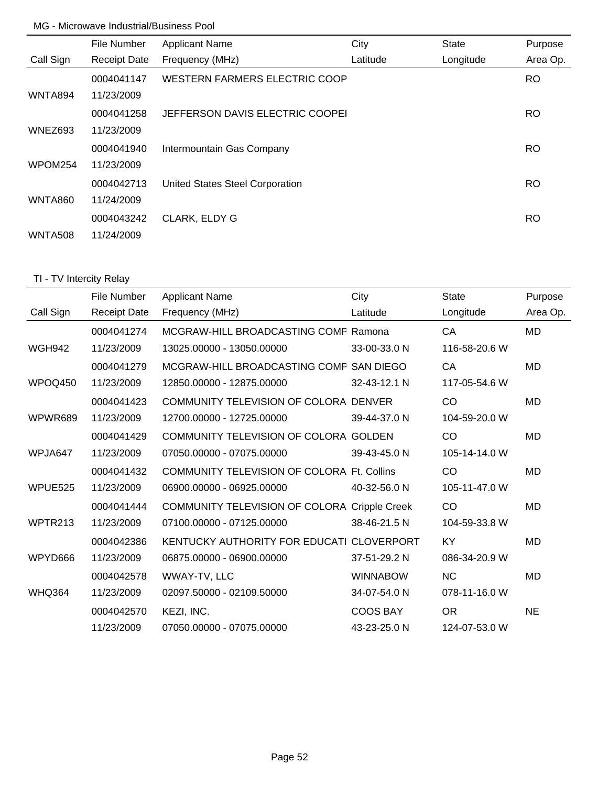|                | File Number         | <b>Applicant Name</b>           | City     | <b>State</b> | Purpose   |
|----------------|---------------------|---------------------------------|----------|--------------|-----------|
| Call Sign      | <b>Receipt Date</b> | Frequency (MHz)                 | Latitude | Longitude    | Area Op.  |
|                | 0004041147          | WESTERN FARMERS ELECTRIC COOP   |          |              | <b>RO</b> |
| WNTA894        | 11/23/2009          |                                 |          |              |           |
|                | 0004041258          | JEFFERSON DAVIS ELECTRIC COOPEI |          |              | RO.       |
| WNEZ693        | 11/23/2009          |                                 |          |              |           |
|                | 0004041940          | Intermountain Gas Company       |          |              | RO.       |
| WPOM254        | 11/23/2009          |                                 |          |              |           |
|                | 0004042713          | United States Steel Corporation |          |              | <b>RO</b> |
| WNTA860        | 11/24/2009          |                                 |          |              |           |
|                | 0004043242          | <b>CLARK, ELDY G</b>            |          |              | RO.       |
| <b>WNTA508</b> | 11/24/2009          |                                 |          |              |           |

# TI - TV Intercity Relay

|               | File Number         | <b>Applicant Name</b>                             | City            | <b>State</b>  | Purpose   |
|---------------|---------------------|---------------------------------------------------|-----------------|---------------|-----------|
| Call Sign     | <b>Receipt Date</b> | Frequency (MHz)                                   | Latitude        | Longitude     | Area Op.  |
|               | 0004041274          | MCGRAW-HILL BROADCASTING COMF Ramona              |                 | CA            | <b>MD</b> |
| <b>WGH942</b> | 11/23/2009          | 13025.00000 - 13050.00000                         | 33-00-33.0 N    | 116-58-20.6 W |           |
|               | 0004041279          | MCGRAW-HILL BROADCASTING COMF SAN DIEGO           |                 | CA            | <b>MD</b> |
| WPOQ450       | 11/23/2009          | 12850.00000 - 12875.00000                         | 32-43-12.1 N    | 117-05-54.6 W |           |
|               | 0004041423          | COMMUNITY TELEVISION OF COLORA DENVER             |                 | CO            | MD        |
| WPWR689       | 11/23/2009          | 12700.00000 - 12725.00000                         | 39-44-37.0 N    | 104-59-20.0 W |           |
|               | 0004041429          | COMMUNITY TELEVISION OF COLORA GOLDEN             |                 | CO            | <b>MD</b> |
| WPJA647       | 11/23/2009          | 07050.00000 - 07075.00000                         | 39-43-45.0 N    | 105-14-14.0 W |           |
|               | 0004041432          | <b>COMMUNITY TELEVISION OF COLORA Ft. Collins</b> |                 | CO            | <b>MD</b> |
| WPUE525       | 11/23/2009          | 06900.00000 - 06925.00000                         | 40-32-56.0 N    | 105-11-47.0 W |           |
|               | 0004041444          | COMMUNITY TELEVISION OF COLORA Cripple Creek      |                 | CO            | MD        |
| WPTR213       | 11/23/2009          | 07100.00000 - 07125.00000                         | 38-46-21.5 N    | 104-59-33.8 W |           |
|               | 0004042386          | KENTUCKY AUTHORITY FOR EDUCATI CLOVERPORT         |                 | KY            | <b>MD</b> |
| WPYD666       | 11/23/2009          | 06875.00000 - 06900.00000                         | 37-51-29.2 N    | 086-34-20.9 W |           |
|               | 0004042578          | WWAY-TV, LLC                                      | <b>WINNABOW</b> | <b>NC</b>     | <b>MD</b> |
| <b>WHQ364</b> | 11/23/2009          | 02097.50000 - 02109.50000                         | 34-07-54.0 N    | 078-11-16.0 W |           |
|               | 0004042570          | KEZI, INC.                                        | <b>COOS BAY</b> | <b>OR</b>     | <b>NE</b> |
|               | 11/23/2009          | 07050.00000 - 07075.00000                         | 43-23-25.0 N    | 124-07-53.0 W |           |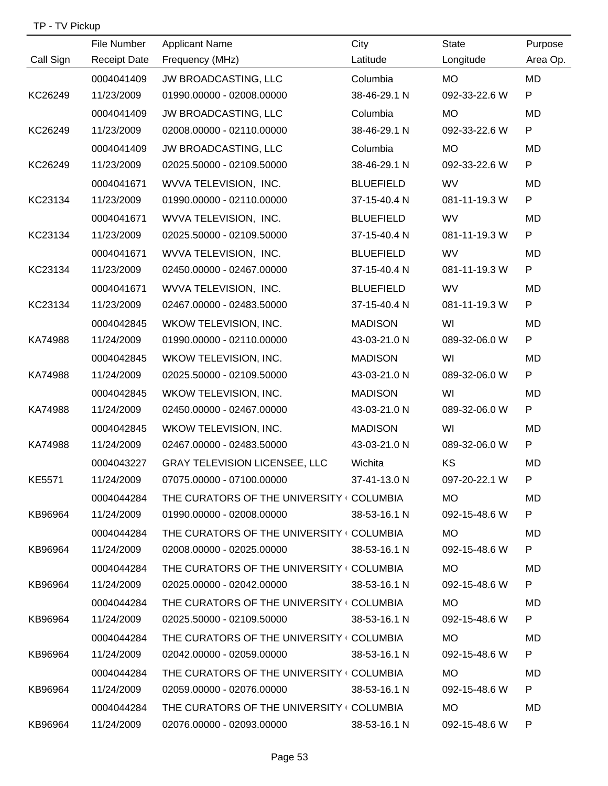| TP - TV Pickup |  |
|----------------|--|
|----------------|--|

|           | File Number         | <b>Applicant Name</b>                     | City             | <b>State</b>    | Purpose   |
|-----------|---------------------|-------------------------------------------|------------------|-----------------|-----------|
| Call Sign | <b>Receipt Date</b> | Frequency (MHz)                           | Latitude         | Longitude       | Area Op.  |
|           | 0004041409          | JW BROADCASTING, LLC                      | Columbia         | <b>MO</b>       | <b>MD</b> |
| KC26249   | 11/23/2009          | 01990.00000 - 02008.00000                 | 38-46-29.1 N     | 092-33-22.6 W   | P         |
|           | 0004041409          | JW BROADCASTING, LLC                      | Columbia         | <b>MO</b>       | MD        |
| KC26249   | 11/23/2009          | 02008.00000 - 02110.00000                 | 38-46-29.1 N     | 092-33-22.6 W   | P         |
|           | 0004041409          | JW BROADCASTING, LLC                      | Columbia         | <b>MO</b>       | <b>MD</b> |
| KC26249   | 11/23/2009          | 02025.50000 - 02109.50000                 | 38-46-29.1 N     | 092-33-22.6 W   | P         |
|           | 0004041671          | WVVA TELEVISION, INC.                     | <b>BLUEFIELD</b> | <b>WV</b>       | MD        |
| KC23134   | 11/23/2009          | 01990.00000 - 02110.00000                 | 37-15-40.4 N     | 081-11-19.3 W   | P         |
|           | 0004041671          | WVVA TELEVISION, INC.                     | <b>BLUEFIELD</b> | <b>WV</b>       | MD        |
| KC23134   | 11/23/2009          | 02025.50000 - 02109.50000                 | 37-15-40.4 N     | 081-11-19.3 W   | P         |
|           | 0004041671          | WVVA TELEVISION, INC.                     | <b>BLUEFIELD</b> | <b>WV</b>       | MD        |
| KC23134   | 11/23/2009          | 02450.00000 - 02467.00000                 | 37-15-40.4 N     | 081-11-19.3 W   | P         |
|           | 0004041671          | WVVA TELEVISION, INC.                     | <b>BLUEFIELD</b> | <b>WV</b>       | MD        |
| KC23134   | 11/23/2009          | 02467.00000 - 02483.50000                 | 37-15-40.4 N     | 081-11-19.3 W   | P         |
|           | 0004042845          | WKOW TELEVISION, INC.                     | <b>MADISON</b>   | WI              | MD        |
| KA74988   | 11/24/2009          | 01990.00000 - 02110.00000                 | 43-03-21.0 N     | 089-32-06.0 W   | P         |
|           | 0004042845          | WKOW TELEVISION, INC.                     | <b>MADISON</b>   | WI              | MD        |
| KA74988   | 11/24/2009          | 02025.50000 - 02109.50000                 | 43-03-21.0 N     | 089-32-06.0 W   | P         |
|           | 0004042845          | WKOW TELEVISION, INC.                     | <b>MADISON</b>   | WI              | MD        |
| KA74988   | 11/24/2009          | 02450.00000 - 02467.00000                 | 43-03-21.0 N     | 089-32-06.0 W   | P         |
|           | 0004042845          | WKOW TELEVISION, INC.                     | <b>MADISON</b>   | WI              | MD        |
| KA74988   | 11/24/2009          | 02467.00000 - 02483.50000                 | 43-03-21.0 N     | 089-32-06.0 W   | P         |
|           | 0004043227          | <b>GRAY TELEVISION LICENSEE, LLC</b>      | Wichita          | KS              | MD        |
| KE5571    | 11/24/2009          | 07075.00000 - 07100.00000                 | 37-41-13.0 N     | 097-20-22.1 W   | P         |
|           | 0004044284          | THE CURATORS OF THE UNIVERSITY COLUMBIA   |                  | MO <b>MO</b>    | MD        |
| KB96964   | 11/24/2009          | 01990.00000 - 02008.00000 38-53-16.1 N    |                  | 092-15-48.6 W   | P.        |
|           | 0004044284          | THE CURATORS OF THE UNIVERSITY ( COLUMBIA |                  | MO <sub>b</sub> | MD.       |
| KB96964   | 11/24/2009          | 02008.00000 - 02025.00000 38-53-16.1 N    |                  | 092-15-48.6 W   | P         |
|           | 0004044284          | THE CURATORS OF THE UNIVERSITY ( COLUMBIA |                  | MO <sub>b</sub> | MD.       |
| KB96964   | 11/24/2009          | 02025.00000 - 02042.00000 38-53-16.1 N    |                  | 092-15-48.6 W   | P.        |
|           | 0004044284          | THE CURATORS OF THE UNIVERSITY ( COLUMBIA |                  | MO              | MD.       |
| KB96964   | 11/24/2009          | 02025.50000 - 02109.50000 38-53-16.1 N    |                  | 092-15-48.6 W   | P.        |
|           | 0004044284          | THE CURATORS OF THE UNIVERSITY I COLUMBIA |                  | MO <b>MO</b>    | MD.       |
| KB96964   | 11/24/2009          | 02042.00000 - 02059.00000 38-53-16.1 N    |                  | 092-15-48.6 W   | P         |
|           | 0004044284          | THE CURATORS OF THE UNIVERSITY I COLUMBIA |                  | <b>MO</b>       | MD.       |
| KB96964   | 11/24/2009          | 02059.00000 - 02076.00000 38-53-16.1 N    |                  | 092-15-48.6 W   | P.        |
|           | 0004044284          | THE CURATORS OF THE UNIVERSITY I COLUMBIA |                  | <b>MO</b>       | MD.       |
| KB96964   | 11/24/2009          | 02076.00000 - 02093.00000 38-53-16.1 N    |                  | 092-15-48.6 W   | P.        |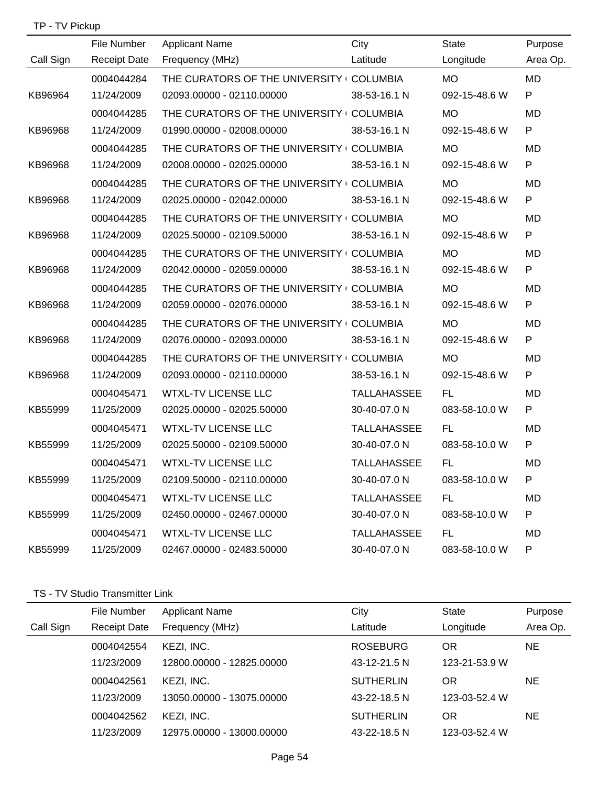| TP - TV Pickup |  |
|----------------|--|
|----------------|--|

|           | File Number         | <b>Applicant Name</b>                     | City               | <b>State</b>  | Purpose   |
|-----------|---------------------|-------------------------------------------|--------------------|---------------|-----------|
| Call Sign | <b>Receipt Date</b> | Frequency (MHz)                           | Latitude           | Longitude     | Area Op.  |
|           | 0004044284          | THE CURATORS OF THE UNIVERSITY (COLUMBIA  |                    | <b>MO</b>     | MD        |
| KB96964   | 11/24/2009          | 02093.00000 - 02110.00000                 | 38-53-16.1 N       | 092-15-48.6 W | P         |
|           | 0004044285          | THE CURATORS OF THE UNIVERSITY COLUMBIA   |                    | <b>MO</b>     | MD.       |
| KB96968   | 11/24/2009          | 01990.00000 - 02008.00000                 | 38-53-16.1 N       | 092-15-48.6 W | P         |
|           | 0004044285          | THE CURATORS OF THE UNIVERSITY COLUMBIA   |                    | <b>MO</b>     | <b>MD</b> |
| KB96968   | 11/24/2009          | 02008.00000 - 02025.00000                 | 38-53-16.1 N       | 092-15-48.6 W | P         |
|           | 0004044285          | THE CURATORS OF THE UNIVERSITY (COLUMBIA  |                    | <b>MO</b>     | <b>MD</b> |
| KB96968   | 11/24/2009          | 02025.00000 - 02042.00000                 | 38-53-16.1 N       | 092-15-48.6 W | P         |
|           | 0004044285          | THE CURATORS OF THE UNIVERSITY I COLUMBIA |                    | MO            | MD        |
| KB96968   | 11/24/2009          | 02025.50000 - 02109.50000                 | 38-53-16.1 N       | 092-15-48.6 W | P         |
|           | 0004044285          | THE CURATORS OF THE UNIVERSITY (COLUMBIA  |                    | MO            | <b>MD</b> |
| KB96968   | 11/24/2009          | 02042.00000 - 02059.00000                 | 38-53-16.1 N       | 092-15-48.6 W | P         |
|           | 0004044285          | THE CURATORS OF THE UNIVERSITY (COLUMBIA  |                    | <b>MO</b>     | MD        |
| KB96968   | 11/24/2009          | 02059.00000 - 02076.00000                 | 38-53-16.1 N       | 092-15-48.6 W | P         |
|           | 0004044285          | THE CURATORS OF THE UNIVERSITY (COLUMBIA  |                    | MO            | <b>MD</b> |
| KB96968   | 11/24/2009          | 02076.00000 - 02093.00000                 | 38-53-16.1 N       | 092-15-48.6 W | P         |
|           | 0004044285          | THE CURATORS OF THE UNIVERSITY (COLUMBIA  |                    | <b>MO</b>     | MD        |
| KB96968   | 11/24/2009          | 02093.00000 - 02110.00000                 | 38-53-16.1 N       | 092-15-48.6 W | P         |
|           | 0004045471          | <b>WTXL-TV LICENSE LLC</b>                | <b>TALLAHASSEE</b> | FL.           | MD        |
| KB55999   | 11/25/2009          | 02025.00000 - 02025.50000                 | 30-40-07.0 N       | 083-58-10.0 W | P         |
|           | 0004045471          | <b>WTXL-TV LICENSE LLC</b>                | <b>TALLAHASSEE</b> | FL.           | MD.       |
| KB55999   | 11/25/2009          | 02025.50000 - 02109.50000                 | 30-40-07.0 N       | 083-58-10.0 W | P         |
|           | 0004045471          | <b>WTXL-TV LICENSE LLC</b>                | <b>TALLAHASSEE</b> | FL.           | MD        |
| KB55999   | 11/25/2009          | 02109.50000 - 02110.00000                 | 30-40-07.0 N       | 083-58-10.0 W | P         |
|           | 0004045471          | <b>WTXL-TV LICENSE LLC</b>                | <b>TALLAHASSEE</b> | FL            | MD        |
| KB55999   | 11/25/2009          | 02450.00000 - 02467.00000                 | 30-40-07.0 N       | 083-58-10.0 W | P         |
|           | 0004045471          | <b>WTXL-TV LICENSE LLC</b>                | <b>TALLAHASSEE</b> | FL            | MD        |
| KB55999   | 11/25/2009          | 02467.00000 - 02483.50000                 | 30-40-07.0 N       | 083-58-10.0 W | P         |

# TS - TV Studio Transmitter Link

|           | File Number         | <b>Applicant Name</b>     | City             | State         | Purpose   |
|-----------|---------------------|---------------------------|------------------|---------------|-----------|
| Call Sign | <b>Receipt Date</b> | Frequency (MHz)           | Latitude         | Longitude     | Area Op.  |
|           | 0004042554          | KEZI, INC.                | <b>ROSEBURG</b>  | <b>OR</b>     | <b>NE</b> |
|           | 11/23/2009          | 12800.00000 - 12825.00000 | 43-12-21.5 N     | 123-21-53.9 W |           |
|           | 0004042561          | KEZI, INC.                | <b>SUTHERLIN</b> | <b>OR</b>     | NE.       |
|           | 11/23/2009          | 13050.00000 - 13075.00000 | 43-22-18.5 N     | 123-03-52.4 W |           |
|           | 0004042562          | KEZI, INC.                | <b>SUTHERLIN</b> | OR            | ΝE        |
|           | 11/23/2009          | 12975.00000 - 13000.00000 | 43-22-18.5 N     | 123-03-52.4 W |           |